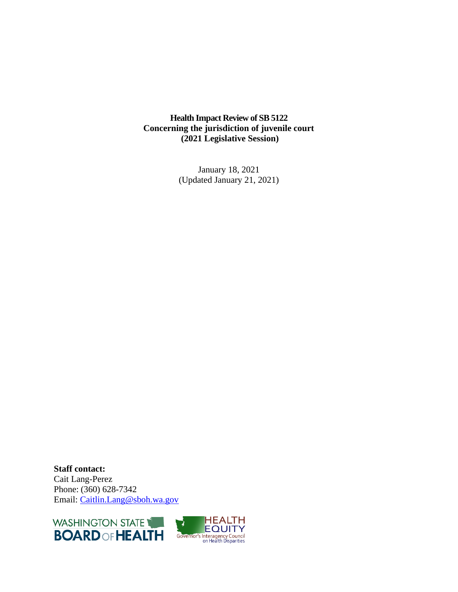**Health Impact Review of SB 5122 Concerning the jurisdiction of juvenile court (2021 Legislative Session)**

> January 18, 2021 (Updated January 21, 2021)

**Staff contact:** Cait Lang-Perez Phone: (360) 628-7342 Email: [Caitlin.Lang@sboh.wa.gov](mailto:Caitlin.Lang@sboh.wa.gov)

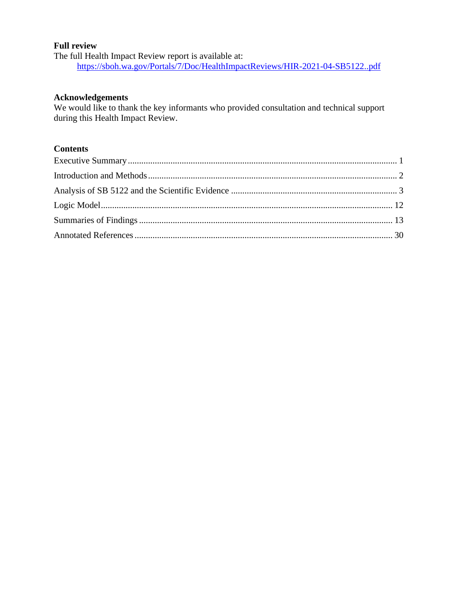#### **Full review**

The full Health Impact Review report is available at: <https://sboh.wa.gov/Portals/7/Doc/HealthImpactReviews/HIR-2021-04-SB5122..pdf>

#### **Acknowledgements**

We would like to thank the key informants who provided consultation and technical support during this Health Impact Review.

## **Contents**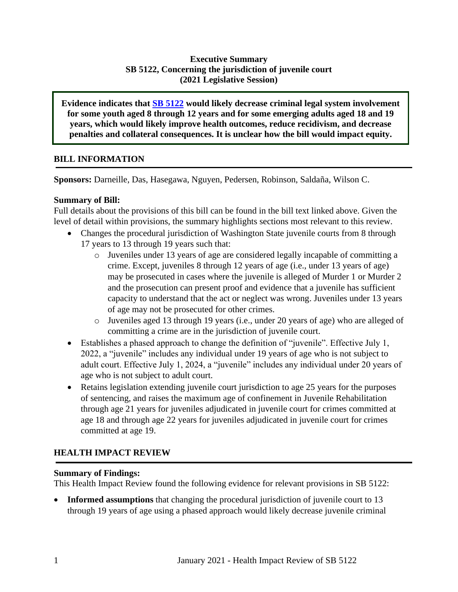## **Executive Summary SB 5122, Concerning the jurisdiction of juvenile court (2021 Legislative Session)**

**Evidence indicates that [SB 5122](http://lawfilesext.leg.wa.gov/biennium/2021-22/Pdf/Bills/Senate%20Bills/5122.pdf?q=20210115135717) would likely decrease criminal legal system involvement for some youth aged 8 through 12 years and for some emerging adults aged 18 and 19 years, which would likely improve health outcomes, reduce recidivism, and decrease penalties and collateral consequences. It is unclear how the bill would impact equity.**

## **BILL INFORMATION**

**Sponsors:** Darneille, Das, Hasegawa, Nguyen, Pedersen, Robinson, Saldaña, Wilson C.

### **Summary of Bill:**

Full details about the provisions of this bill can be found in the bill text linked above. Given the level of detail within provisions, the summary highlights sections most relevant to this review.

- Changes the procedural jurisdiction of Washington State juvenile courts from 8 through 17 years to 13 through 19 years such that:
	- o Juveniles under 13 years of age are considered legally incapable of committing a crime. Except, juveniles 8 through 12 years of age (i.e., under 13 years of age) may be prosecuted in cases where the juvenile is alleged of Murder 1 or Murder 2 and the prosecution can present proof and evidence that a juvenile has sufficient capacity to understand that the act or neglect was wrong. Juveniles under 13 years of age may not be prosecuted for other crimes.
	- o Juveniles aged 13 through 19 years (i.e., under 20 years of age) who are alleged of committing a crime are in the jurisdiction of juvenile court.
- Establishes a phased approach to change the definition of "juvenile". Effective July 1, 2022, a "juvenile" includes any individual under 19 years of age who is not subject to adult court. Effective July 1, 2024, a "juvenile" includes any individual under 20 years of age who is not subject to adult court.
- Retains legislation extending juvenile court jurisdiction to age 25 years for the purposes of sentencing, and raises the maximum age of confinement in Juvenile Rehabilitation through age 21 years for juveniles adjudicated in juvenile court for crimes committed at age 18 and through age 22 years for juveniles adjudicated in juvenile court for crimes committed at age 19.

# **HEALTH IMPACT REVIEW**

### **Summary of Findings:**

This Health Impact Review found the following evidence for relevant provisions in SB 5122:

**Informed assumptions** that changing the procedural jurisdiction of juvenile court to 13 through 19 years of age using a phased approach would likely decrease juvenile criminal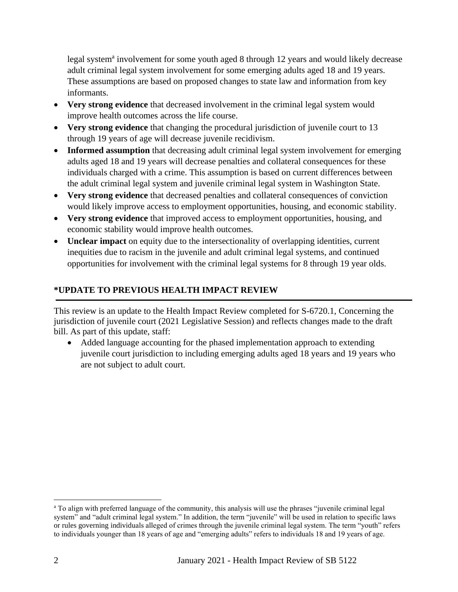legal system<sup>a</sup> involvement for some youth aged 8 through 12 years and would likely decrease adult criminal legal system involvement for some emerging adults aged 18 and 19 years. These assumptions are based on proposed changes to state law and information from key informants.

- **Very strong evidence** that decreased involvement in the criminal legal system would improve health outcomes across the life course.
- **Very strong evidence** that changing the procedural jurisdiction of juvenile court to 13 through 19 years of age will decrease juvenile recidivism.
- **Informed assumption** that decreasing adult criminal legal system involvement for emerging adults aged 18 and 19 years will decrease penalties and collateral consequences for these individuals charged with a crime. This assumption is based on current differences between the adult criminal legal system and juvenile criminal legal system in Washington State.
- **Very strong evidence** that decreased penalties and collateral consequences of conviction would likely improve access to employment opportunities, housing, and economic stability.
- **Very strong evidence** that improved access to employment opportunities, housing, and economic stability would improve health outcomes.
- **Unclear impact** on equity due to the intersectionality of overlapping identities, current inequities due to racism in the juvenile and adult criminal legal systems, and continued opportunities for involvement with the criminal legal systems for 8 through 19 year olds.

# <span id="page-3-0"></span>**\*UPDATE TO PREVIOUS HEALTH IMPACT REVIEW**

This review is an update to the Health Impact Review completed for S-6720.1, Concerning the jurisdiction of juvenile court (2021 Legislative Session) and reflects changes made to the draft bill. As part of this update, staff:

• Added language accounting for the phased implementation approach to extending juvenile court jurisdiction to including emerging adults aged 18 years and 19 years who are not subject to adult court.

<sup>&</sup>lt;sup>a</sup> To align with preferred language of the community, this analysis will use the phrases "juvenile criminal legal system" and "adult criminal legal system." In addition, the term "juvenile" will be used in relation to specific laws or rules governing individuals alleged of crimes through the juvenile criminal legal system. The term "youth" refers to individuals younger than 18 years of age and "emerging adults" refers to individuals 18 and 19 years of age.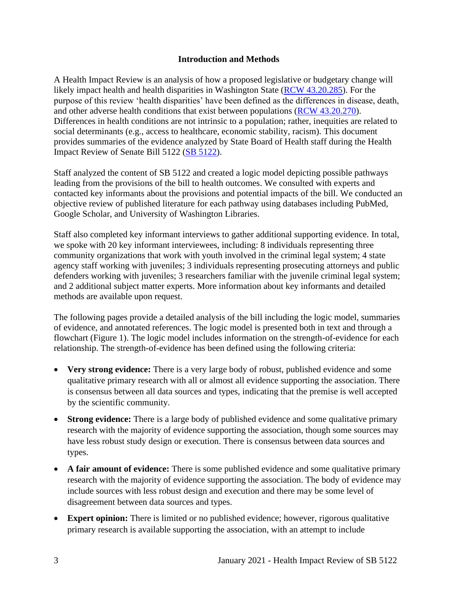#### **Introduction and Methods**

A Health Impact Review is an analysis of how a proposed legislative or budgetary change will likely impact health and health disparities in Washington State [\(RCW 43.20.285\)](https://apps.leg.wa.gov/rcw/default.aspx?cite=43.20.285). For the purpose of this review 'health disparities' have been defined as the differences in disease, death, and other adverse health conditions that exist between populations [\(RCW 43.20.270\)](http://apps.leg.wa.gov/rcw/default.aspx?cite=43.20.270). Differences in health conditions are not intrinsic to a population; rather, inequities are related to social determinants (e.g., access to healthcare, economic stability, racism). This document provides summaries of the evidence analyzed by State Board of Health staff during the Health Impact Review of Senate Bill 5122 [\(SB 5122\)](http://lawfilesext.leg.wa.gov/biennium/2021-22/Pdf/Bills/Senate%20Bills/5122.pdf?q=20210115075634).

Staff analyzed the content of SB 5122 and created a logic model depicting possible pathways leading from the provisions of the bill to health outcomes. We consulted with experts and contacted key informants about the provisions and potential impacts of the bill. We conducted an objective review of published literature for each pathway using databases including PubMed, Google Scholar, and University of Washington Libraries.

Staff also completed key informant interviews to gather additional supporting evidence. In total, we spoke with 20 key informant interviewees, including: 8 individuals representing three community organizations that work with youth involved in the criminal legal system; 4 state agency staff working with juveniles; 3 individuals representing prosecuting attorneys and public defenders working with juveniles; 3 researchers familiar with the juvenile criminal legal system; and 2 additional subject matter experts. More information about key informants and detailed methods are available upon request.

The following pages provide a detailed analysis of the bill including the logic model, summaries of evidence, and annotated references. The logic model is presented both in text and through a flowchart (Figure 1). The logic model includes information on the strength-of-evidence for each relationship. The strength-of-evidence has been defined using the following criteria:

- <span id="page-4-0"></span>• **Very strong evidence:** There is a very large body of robust, published evidence and some qualitative primary research with all or almost all evidence supporting the association. There is consensus between all data sources and types, indicating that the premise is well accepted by the scientific community.
- **Strong evidence:** There is a large body of published evidence and some qualitative primary research with the majority of evidence supporting the association, though some sources may have less robust study design or execution. There is consensus between data sources and types.
- A fair amount of evidence: There is some published evidence and some qualitative primary research with the majority of evidence supporting the association. The body of evidence may include sources with less robust design and execution and there may be some level of disagreement between data sources and types.
- **Expert opinion:** There is limited or no published evidence; however, rigorous qualitative primary research is available supporting the association, with an attempt to include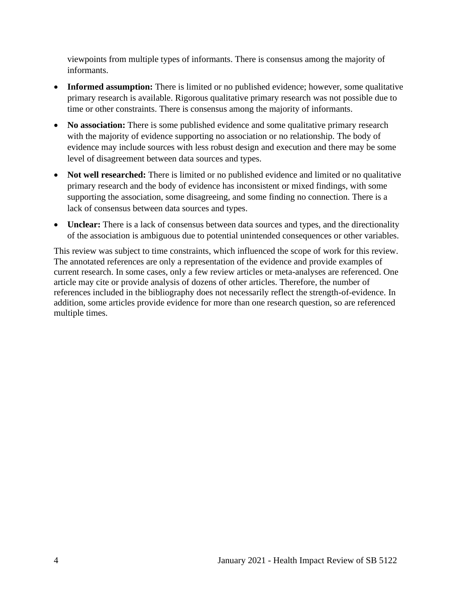viewpoints from multiple types of informants. There is consensus among the majority of informants.

- **Informed assumption:** There is limited or no published evidence; however, some qualitative primary research is available. Rigorous qualitative primary research was not possible due to time or other constraints. There is consensus among the majority of informants.
- **No association:** There is some published evidence and some qualitative primary research with the majority of evidence supporting no association or no relationship. The body of evidence may include sources with less robust design and execution and there may be some level of disagreement between data sources and types.
- **Not well researched:** There is limited or no published evidence and limited or no qualitative primary research and the body of evidence has inconsistent or mixed findings, with some supporting the association, some disagreeing, and some finding no connection. There is a lack of consensus between data sources and types.
- **Unclear:** There is a lack of consensus between data sources and types, and the directionality of the association is ambiguous due to potential unintended consequences or other variables.

This review was subject to time constraints, which influenced the scope of work for this review. The annotated references are only a representation of the evidence and provide examples of current research. In some cases, only a few review articles or meta-analyses are referenced. One article may cite or provide analysis of dozens of other articles. Therefore, the number of references included in the bibliography does not necessarily reflect the strength-of-evidence. In addition, some articles provide evidence for more than one research question, so are referenced multiple times.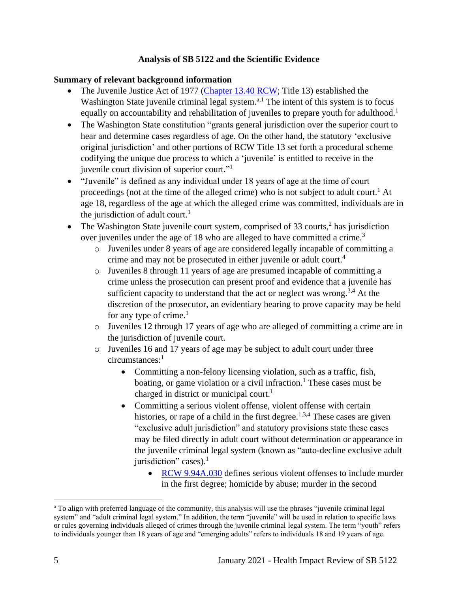### **Analysis of SB 5122 and the Scientific Evidence**

#### **Summary of relevant background information**

- The Juvenile Justice Act of 1977 [\(Chapter 13.40 RCW;](https://app.leg.wa.gov/RCW/default.aspx?cite=13.40) Title 13) established the Washington State juvenile criminal legal system.<sup>a,1</sup> The intent of this system is to focus equally on accountability and rehabilitation of juveniles to prepare youth for adulthood.<sup>1</sup>
- The Washington State constitution "grants general jurisdiction over the superior court to hear and determine cases regardless of age. On the other hand, the statutory 'exclusive original jurisdiction' and other portions of RCW Title 13 set forth a procedural scheme codifying the unique due process to which a 'juvenile' is entitled to receive in the juvenile court division of superior court."<sup>1</sup>
- "Juvenile" is defined as any individual under 18 years of age at the time of court proceedings (not at the time of the alleged crime) who is not subject to adult court.<sup>1</sup> At age 18, regardless of the age at which the alleged crime was committed, individuals are in the jurisdiction of adult court.<sup>1</sup>
- The Washington State juvenile court system, comprised of 33 courts, $2$  has jurisdiction over juveniles under the age of 18 who are alleged to have committed a crime.<sup>3</sup>
	- o Juveniles under 8 years of age are considered legally incapable of committing a crime and may not be prosecuted in either juvenile or adult court.<sup>4</sup>
	- o Juveniles 8 through 11 years of age are presumed incapable of committing a crime unless the prosecution can present proof and evidence that a juvenile has sufficient capacity to understand that the act or neglect was wrong.<sup>3,4</sup> At the discretion of the prosecutor, an evidentiary hearing to prove capacity may be held for any type of crime. $<sup>1</sup>$ </sup>
	- o Juveniles 12 through 17 years of age who are alleged of committing a crime are in the jurisdiction of juvenile court.
	- o Juveniles 16 and 17 years of age may be subject to adult court under three circumstances:<sup>1</sup>
		- Committing a non-felony licensing violation, such as a traffic, fish, boating, or game violation or a civil infraction.<sup>1</sup> These cases must be charged in district or municipal court.<sup>1</sup>
		- Committing a serious violent offense, violent offense with certain histories, or rape of a child in the first degree.<sup>1,3,4</sup> These cases are given "exclusive adult jurisdiction" and statutory provisions state these cases may be filed directly in adult court without determination or appearance in the juvenile criminal legal system (known as "auto-decline exclusive adult jurisdiction" cases).<sup>1</sup>
			- [RCW 9.94A.030](https://apps.leg.wa.gov/rcw/default.aspx?cite=9.94A.030) defines serious violent offenses to include murder in the first degree; homicide by abuse; murder in the second

<sup>&</sup>lt;sup>a</sup> To align with preferred language of the community, this analysis will use the phrases "juvenile criminal legal system" and "adult criminal legal system." In addition, the term "juvenile" will be used in relation to specific laws or rules governing individuals alleged of crimes through the juvenile criminal legal system. The term "youth" refers to individuals younger than 18 years of age and "emerging adults" refers to individuals 18 and 19 years of age.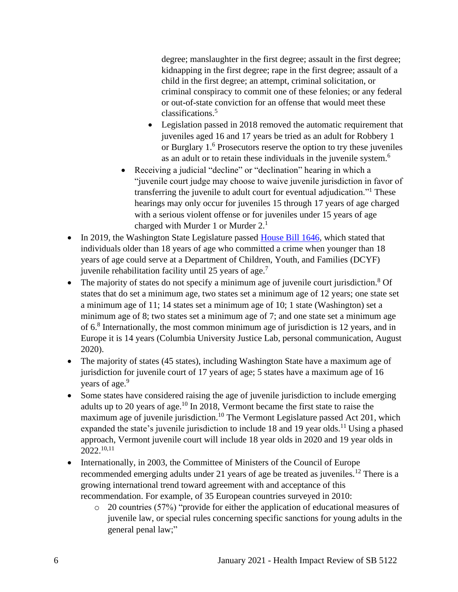degree; manslaughter in the first degree; assault in the first degree; kidnapping in the first degree; rape in the first degree; assault of a child in the first degree; an attempt, criminal solicitation, or criminal conspiracy to commit one of these felonies; or any federal or out-of-state conviction for an offense that would meet these classifications.<sup>5</sup>

- Legislation passed in 2018 removed the automatic requirement that juveniles aged 16 and 17 years be tried as an adult for Robbery 1 or Burglary 1. <sup>6</sup> Prosecutors reserve the option to try these juveniles as an adult or to retain these individuals in the juvenile system.<sup>6</sup>
- Receiving a judicial "decline" or "declination" hearing in which a "juvenile court judge may choose to waive juvenile jurisdiction in favor of transferring the juvenile to adult court for eventual adjudication."<sup>1</sup> These hearings may only occur for juveniles 15 through 17 years of age charged with a serious violent offense or for juveniles under 15 years of age charged with Murder 1 or Murder 2.<sup>1</sup>
- In 2019, the Washington State Legislature passed [House Bill 1646,](https://app.leg.wa.gov/billsummary?BillNumber=1646&Year=2019&Initiative=false) which stated that individuals older than 18 years of age who committed a crime when younger than 18 years of age could serve at a Department of Children, Youth, and Families (DCYF) juvenile rehabilitation facility until 25 years of age.<sup>7</sup>
- The majority of states do not specify a minimum age of juvenile court jurisdiction.<sup>8</sup> Of states that do set a minimum age, two states set a minimum age of 12 years; one state set a minimum age of 11; 14 states set a minimum age of 10; 1 state (Washington) set a minimum age of 8; two states set a minimum age of 7; and one state set a minimum age of 6.<sup>8</sup> Internationally, the most common minimum age of jurisdiction is 12 years, and in Europe it is 14 years (Columbia University Justice Lab, personal communication, August 2020).
- The majority of states (45 states), including Washington State have a maximum age of jurisdiction for juvenile court of 17 years of age; 5 states have a maximum age of 16 years of age.<sup>9</sup>
- Some states have considered raising the age of juvenile jurisdiction to include emerging adults up to 20 years of age.<sup>10</sup> In 2018, Vermont became the first state to raise the maximum age of juvenile jurisdiction.<sup>10</sup> The Vermont Legislature passed Act 201, which expanded the state's juvenile jurisdiction to include 18 and 19 year olds.<sup>11</sup> Using a phased approach, Vermont juvenile court will include 18 year olds in 2020 and 19 year olds in 2022.10,11
- Internationally, in 2003, the Committee of Ministers of the Council of Europe recommended emerging adults under 21 years of age be treated as juveniles.<sup>12</sup> There is a growing international trend toward agreement with and acceptance of this recommendation. For example, of 35 European countries surveyed in 2010:
	- o 20 countries (57%) "provide for either the application of educational measures of juvenile law, or special rules concerning specific sanctions for young adults in the general penal law;"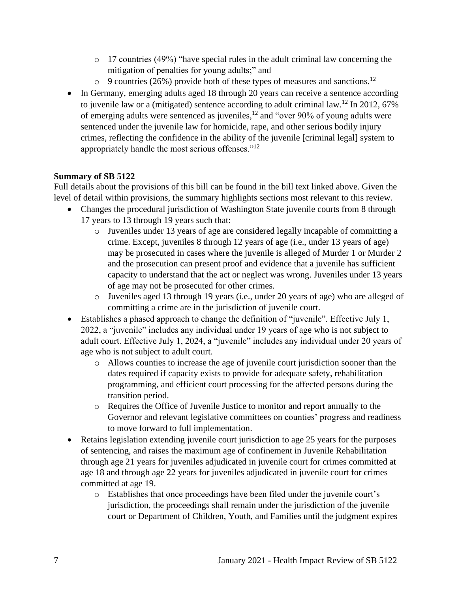- o 17 countries (49%) "have special rules in the adult criminal law concerning the mitigation of penalties for young adults;" and
- $\circ$  9 countries (26%) provide both of these types of measures and sanctions.<sup>12</sup>
- In Germany, emerging adults aged 18 through 20 years can receive a sentence according to juvenile law or a (mitigated) sentence according to adult criminal law.<sup>12</sup> In 2012, 67% of emerging adults were sentenced as juveniles,<sup>12</sup> and "over 90% of young adults were sentenced under the juvenile law for homicide, rape, and other serious bodily injury crimes, reflecting the confidence in the ability of the juvenile [criminal legal] system to appropriately handle the most serious offenses."<sup>12</sup>

### **Summary of SB 5122**

Full details about the provisions of this bill can be found in the bill text linked above. Given the level of detail within provisions, the summary highlights sections most relevant to this review.

- Changes the procedural jurisdiction of Washington State juvenile courts from 8 through 17 years to 13 through 19 years such that:
	- o Juveniles under 13 years of age are considered legally incapable of committing a crime. Except, juveniles 8 through 12 years of age (i.e., under 13 years of age) may be prosecuted in cases where the juvenile is alleged of Murder 1 or Murder 2 and the prosecution can present proof and evidence that a juvenile has sufficient capacity to understand that the act or neglect was wrong. Juveniles under 13 years of age may not be prosecuted for other crimes.
	- o Juveniles aged 13 through 19 years (i.e., under 20 years of age) who are alleged of committing a crime are in the jurisdiction of juvenile court.
- Establishes a phased approach to change the definition of "juvenile". Effective July 1, 2022, a "juvenile" includes any individual under 19 years of age who is not subject to adult court. Effective July 1, 2024, a "juvenile" includes any individual under 20 years of age who is not subject to adult court.
	- o Allows counties to increase the age of juvenile court jurisdiction sooner than the dates required if capacity exists to provide for adequate safety, rehabilitation programming, and efficient court processing for the affected persons during the transition period.
	- o Requires the Office of Juvenile Justice to monitor and report annually to the Governor and relevant legislative committees on counties' progress and readiness to move forward to full implementation.
- Retains legislation extending juvenile court jurisdiction to age 25 years for the purposes of sentencing, and raises the maximum age of confinement in Juvenile Rehabilitation through age 21 years for juveniles adjudicated in juvenile court for crimes committed at age 18 and through age 22 years for juveniles adjudicated in juvenile court for crimes committed at age 19.
	- o Establishes that once proceedings have been filed under the juvenile court's jurisdiction, the proceedings shall remain under the jurisdiction of the juvenile court or Department of Children, Youth, and Families until the judgment expires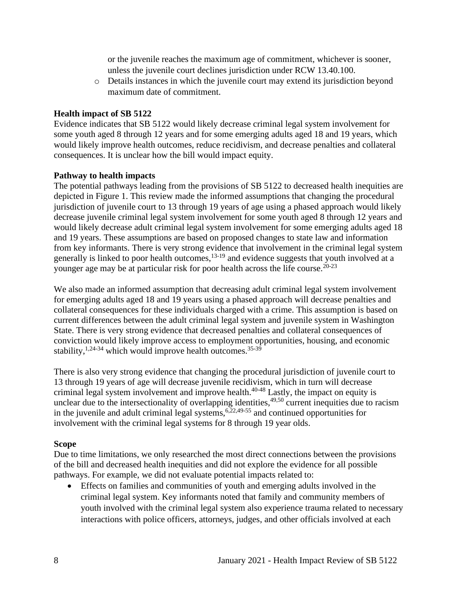or the juvenile reaches the maximum age of commitment, whichever is sooner, unless the juvenile court declines jurisdiction under RCW 13.40.100.

o Details instances in which the juvenile court may extend its jurisdiction beyond maximum date of commitment.

#### **Health impact of SB 5122**

Evidence indicates that SB 5122 would likely decrease criminal legal system involvement for some youth aged 8 through 12 years and for some emerging adults aged 18 and 19 years, which would likely improve health outcomes, reduce recidivism, and decrease penalties and collateral consequences. It is unclear how the bill would impact equity.

#### **Pathway to health impacts**

The potential pathways leading from the provisions of SB 5122 to decreased health inequities are depicted in Figure 1. This review made the informed assumptions that changing the procedural jurisdiction of juvenile court to 13 through 19 years of age using a phased approach would likely decrease juvenile criminal legal system involvement for some youth aged 8 through 12 years and would likely decrease adult criminal legal system involvement for some emerging adults aged 18 and 19 years. These assumptions are based on proposed changes to state law and information from key informants. There is very strong evidence that involvement in the criminal legal system generally is linked to poor health outcomes, $13-19$  and evidence suggests that youth involved at a younger age may be at particular risk for poor health across the life course.<sup>20-23</sup>

We also made an informed assumption that decreasing adult criminal legal system involvement for emerging adults aged 18 and 19 years using a phased approach will decrease penalties and collateral consequences for these individuals charged with a crime. This assumption is based on current differences between the adult criminal legal system and juvenile system in Washington State. There is very strong evidence that decreased penalties and collateral consequences of conviction would likely improve access to employment opportunities, housing, and economic stability, <sup>1,24-34</sup> which would improve health outcomes.<sup>35-39</sup>

There is also very strong evidence that changing the procedural jurisdiction of juvenile court to 13 through 19 years of age will decrease juvenile recidivism, which in turn will decrease criminal legal system involvement and improve health.40-48 Lastly, the impact on equity is unclear due to the intersectionality of overlapping identities,  $49,50$  current inequities due to racism in the juvenile and adult criminal legal systems,  $6,22,49-55$  and continued opportunities for involvement with the criminal legal systems for 8 through 19 year olds.

### **Scope**

Due to time limitations, we only researched the most direct connections between the provisions of the bill and decreased health inequities and did not explore the evidence for all possible pathways. For example, we did not evaluate potential impacts related to:

• Effects on families and communities of youth and emerging adults involved in the criminal legal system. Key informants noted that family and community members of youth involved with the criminal legal system also experience trauma related to necessary interactions with police officers, attorneys, judges, and other officials involved at each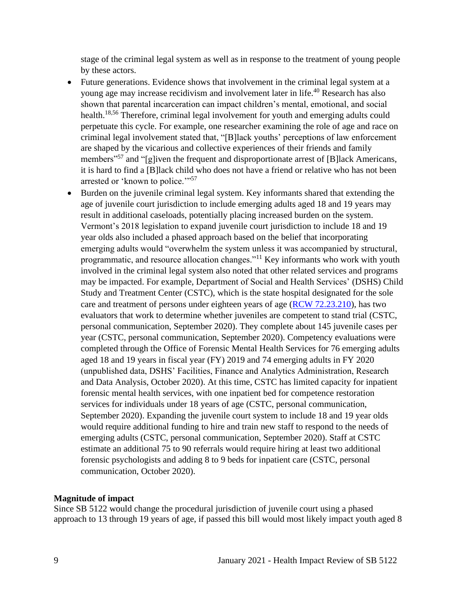stage of the criminal legal system as well as in response to the treatment of young people by these actors.

- Future generations. Evidence shows that involvement in the criminal legal system at a young age may increase recidivism and involvement later in life.<sup>40</sup> Research has also shown that parental incarceration can impact children's mental, emotional, and social health.<sup>18,56</sup> Therefore, criminal legal involvement for youth and emerging adults could perpetuate this cycle. For example, one researcher examining the role of age and race on criminal legal involvement stated that, "[B]lack youths' perceptions of law enforcement are shaped by the vicarious and collective experiences of their friends and family members<sup>"57</sup> and "[g]iven the frequent and disproportionate arrest of [B]lack Americans, it is hard to find a [B]lack child who does not have a friend or relative who has not been arrested or 'known to police."<sup>57</sup>
- Burden on the juvenile criminal legal system. Key informants shared that extending the age of juvenile court jurisdiction to include emerging adults aged 18 and 19 years may result in additional caseloads, potentially placing increased burden on the system. Vermont's 2018 legislation to expand juvenile court jurisdiction to include 18 and 19 year olds also included a phased approach based on the belief that incorporating emerging adults would "overwhelm the system unless it was accompanied by structural, programmatic, and resource allocation changes."<sup>11</sup> Key informants who work with youth involved in the criminal legal system also noted that other related services and programs may be impacted. For example, Department of Social and Health Services' (DSHS) Child Study and Treatment Center (CSTC), which is the state hospital designated for the sole care and treatment of persons under eighteen years of age [\(RCW 72.23.210\)](https://app.leg.wa.gov/rcw/default.aspx?cite=72.23.210), has two evaluators that work to determine whether juveniles are competent to stand trial (CSTC, personal communication, September 2020). They complete about 145 juvenile cases per year (CSTC, personal communication, September 2020). Competency evaluations were completed through the Office of Forensic Mental Health Services for 76 emerging adults aged 18 and 19 years in fiscal year (FY) 2019 and 74 emerging adults in FY 2020 (unpublished data, DSHS' Facilities, Finance and Analytics Administration, Research and Data Analysis, October 2020). At this time, CSTC has limited capacity for inpatient forensic mental health services, with one inpatient bed for competence restoration services for individuals under 18 years of age (CSTC, personal communication, September 2020). Expanding the juvenile court system to include 18 and 19 year olds would require additional funding to hire and train new staff to respond to the needs of emerging adults (CSTC, personal communication, September 2020). Staff at CSTC estimate an additional 75 to 90 referrals would require hiring at least two additional forensic psychologists and adding 8 to 9 beds for inpatient care (CSTC, personal communication, October 2020).

#### **Magnitude of impact**

Since SB 5122 would change the procedural jurisdiction of juvenile court using a phased approach to 13 through 19 years of age, if passed this bill would most likely impact youth aged 8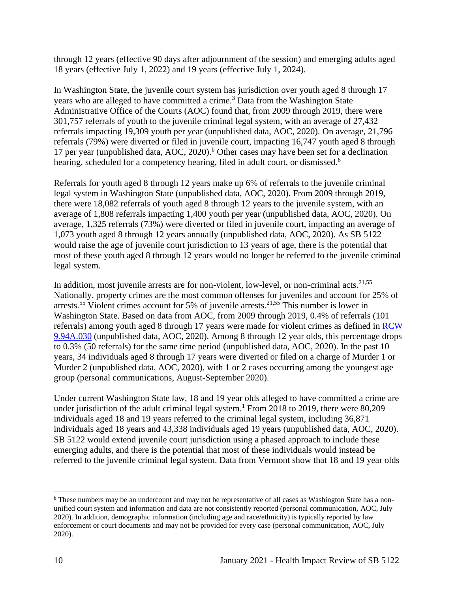through 12 years (effective 90 days after adjournment of the session) and emerging adults aged 18 years (effective July 1, 2022) and 19 years (effective July 1, 2024).

In Washington State, the juvenile court system has jurisdiction over youth aged 8 through 17 years who are alleged to have committed a crime.<sup>3</sup> Data from the Washington State Administrative Office of the Courts (AOC) found that, from 2009 through 2019, there were 301,757 referrals of youth to the juvenile criminal legal system, with an average of 27,432 referrals impacting 19,309 youth per year (unpublished data, AOC, 2020). On average, 21,796 referrals (79%) were diverted or filed in juvenile court, impacting 16,747 youth aged 8 through 17 per year (unpublished data, AOC, 2020).<sup>b</sup> Other cases may have been set for a declination hearing, scheduled for a competency hearing, filed in adult court, or dismissed.<sup>6</sup>

Referrals for youth aged 8 through 12 years make up 6% of referrals to the juvenile criminal legal system in Washington State (unpublished data, AOC, 2020). From 2009 through 2019, there were 18,082 referrals of youth aged 8 through 12 years to the juvenile system, with an average of 1,808 referrals impacting 1,400 youth per year (unpublished data, AOC, 2020). On average, 1,325 referrals (73%) were diverted or filed in juvenile court, impacting an average of 1,073 youth aged 8 through 12 years annually (unpublished data, AOC, 2020). As SB 5122 would raise the age of juvenile court jurisdiction to 13 years of age, there is the potential that most of these youth aged 8 through 12 years would no longer be referred to the juvenile criminal legal system.

In addition, most juvenile arrests are for non-violent, low-level, or non-criminal acts. $21,55$ Nationally, property crimes are the most common offenses for juveniles and account for 25% of arrests.<sup>55</sup> Violent crimes account for 5% of juvenile arrests.<sup>21,55</sup> This number is lower in Washington State. Based on data from AOC, from 2009 through 2019, 0.4% of referrals (101 referrals) among youth aged 8 through 17 years were made for violent crimes as defined in [RCW](https://apps.leg.wa.gov/rcw/default.aspx?cite=9.94A.030)  [9.94A.030](https://apps.leg.wa.gov/rcw/default.aspx?cite=9.94A.030) (unpublished data, AOC, 2020). Among 8 through 12 year olds, this percentage drops to 0.3% (50 referrals) for the same time period (unpublished data, AOC, 2020). In the past 10 years, 34 individuals aged 8 through 17 years were diverted or filed on a charge of Murder 1 or Murder 2 (unpublished data, AOC, 2020), with 1 or 2 cases occurring among the youngest age group (personal communications, August-September 2020).

Under current Washington State law, 18 and 19 year olds alleged to have committed a crime are under jurisdiction of the adult criminal legal system.<sup>1</sup> From 2018 to 2019, there were  $80,209$ individuals aged 18 and 19 years referred to the criminal legal system, including 36,871 individuals aged 18 years and 43,338 individuals aged 19 years (unpublished data, AOC, 2020). SB 5122 would extend juvenile court jurisdiction using a phased approach to include these emerging adults, and there is the potential that most of these individuals would instead be referred to the juvenile criminal legal system. Data from Vermont show that 18 and 19 year olds

b These numbers may be an undercount and may not be representative of all cases as Washington State has a nonunified court system and information and data are not consistently reported (personal communication, AOC, July 2020). In addition, demographic information (including age and race/ethnicity) is typically reported by law enforcement or court documents and may not be provided for every case (personal communication, AOC, July 2020).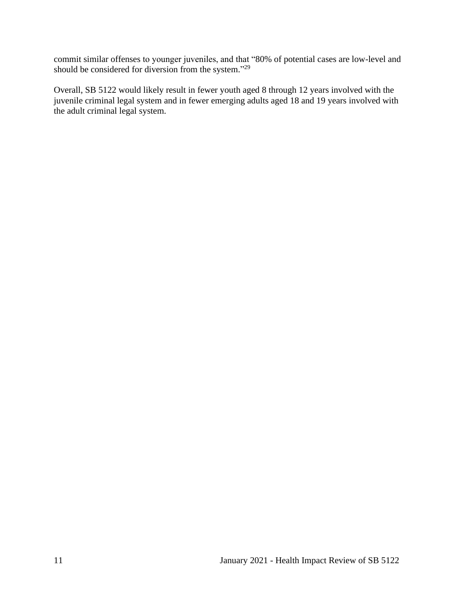commit similar offenses to younger juveniles, and that "80% of potential cases are low-level and should be considered for diversion from the system."<sup>29</sup>

Overall, SB 5122 would likely result in fewer youth aged 8 through 12 years involved with the juvenile criminal legal system and in fewer emerging adults aged 18 and 19 years involved with the adult criminal legal system.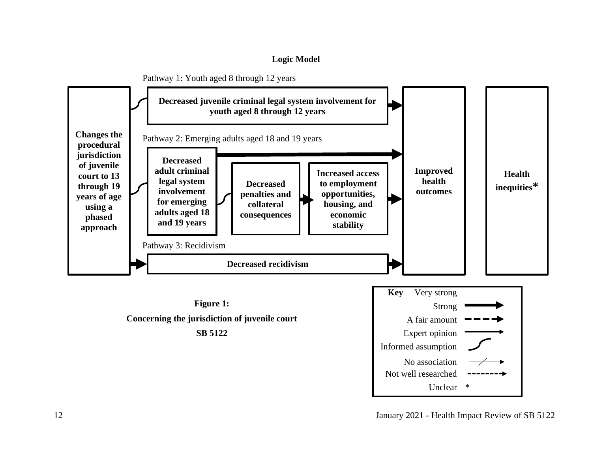### **Logic Model**

<span id="page-13-0"></span>

12 January 2021 - Health Impact Review of SB 5122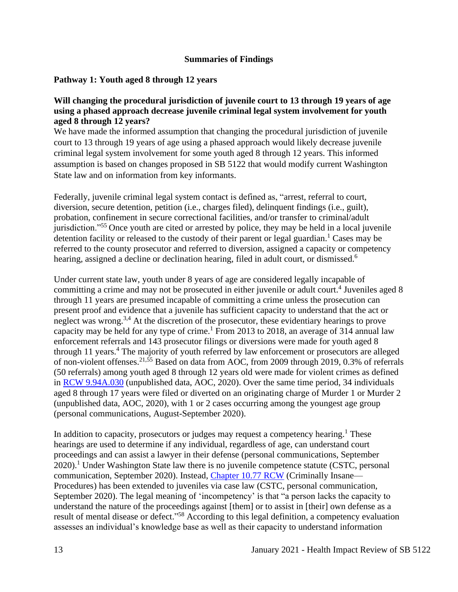#### **Summaries of Findings**

### <span id="page-14-0"></span>**Pathway 1: Youth aged 8 through 12 years**

### **Will changing the procedural jurisdiction of juvenile court to 13 through 19 years of age using a phased approach decrease juvenile criminal legal system involvement for youth aged 8 through 12 years?**

We have made the informed assumption that changing the procedural jurisdiction of juvenile court to 13 through 19 years of age using a phased approach would likely decrease juvenile criminal legal system involvement for some youth aged 8 through 12 years. This informed assumption is based on changes proposed in SB 5122 that would modify current Washington State law and on information from key informants.

Federally, juvenile criminal legal system contact is defined as, "arrest, referral to court, diversion, secure detention, petition (i.e., charges filed), delinquent findings (i.e., guilt), probation, confinement in secure correctional facilities, and/or transfer to criminal/adult jurisdiction."<sup>55</sup> Once youth are cited or arrested by police, they may be held in a local juvenile detention facility or released to the custody of their parent or legal guardian.<sup>1</sup> Cases may be referred to the county prosecutor and referred to diversion, assigned a capacity or competency hearing, assigned a decline or declination hearing, filed in adult court, or dismissed.<sup>6</sup>

Under current state law, youth under 8 years of age are considered legally incapable of committing a crime and may not be prosecuted in either juvenile or adult court.<sup>4</sup> Juveniles aged 8 through 11 years are presumed incapable of committing a crime unless the prosecution can present proof and evidence that a juvenile has sufficient capacity to understand that the act or neglect was wrong.<sup>3,4</sup> At the discretion of the prosecutor, these evidentiary hearings to prove capacity may be held for any type of crime.<sup>1</sup> From 2013 to 2018, an average of 314 annual law enforcement referrals and 143 prosecutor filings or diversions were made for youth aged 8 through 11 years.<sup>4</sup> The majority of youth referred by law enforcement or prosecutors are alleged of non-violent offenses.21,55 Based on data from AOC, from 2009 through 2019, 0.3% of referrals (50 referrals) among youth aged 8 through 12 years old were made for violent crimes as defined in [RCW 9.94A.030](https://apps.leg.wa.gov/rcw/default.aspx?cite=9.94A.030) (unpublished data, AOC, 2020). Over the same time period, 34 individuals aged 8 through 17 years were filed or diverted on an originating charge of Murder 1 or Murder 2 (unpublished data, AOC, 2020), with 1 or 2 cases occurring among the youngest age group (personal communications, August-September 2020).

In addition to capacity, prosecutors or judges may request a competency hearing.<sup>1</sup> These hearings are used to determine if any individual, regardless of age, can understand court proceedings and can assist a lawyer in their defense (personal communications, September  $2020$ <sup>1</sup>. Under Washington State law there is no juvenile competence statute (CSTC, personal communication, September 2020). Instead, [Chapter 10.77 RCW](https://apps.leg.wa.gov/rcw/default.aspx?cite=10.77) (Criminally Insane— Procedures) has been extended to juveniles via case law (CSTC, personal communication, September 2020). The legal meaning of 'incompetency' is that "a person lacks the capacity to understand the nature of the proceedings against [them] or to assist in [their] own defense as a result of mental disease or defect."<sup>58</sup> According to this legal definition, a competency evaluation assesses an individual's knowledge base as well as their capacity to understand information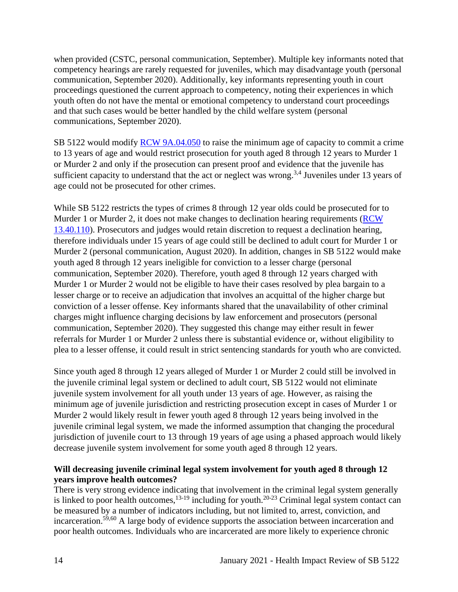when provided (CSTC, personal communication, September). Multiple key informants noted that competency hearings are rarely requested for juveniles, which may disadvantage youth (personal communication, September 2020). Additionally, key informants representing youth in court proceedings questioned the current approach to competency, noting their experiences in which youth often do not have the mental or emotional competency to understand court proceedings and that such cases would be better handled by the child welfare system (personal communications, September 2020).

SB 5122 would modify [RCW 9A.04.050](https://apps.leg.wa.gov/rcw/default.aspx?cite=9a.04.050) to raise the minimum age of capacity to commit a crime to 13 years of age and would restrict prosecution for youth aged 8 through 12 years to Murder 1 or Murder 2 and only if the prosecution can present proof and evidence that the juvenile has sufficient capacity to understand that the act or neglect was wrong.<sup>3,4</sup> Juveniles under 13 years of age could not be prosecuted for other crimes.

While SB 5122 restricts the types of crimes 8 through 12 year olds could be prosecuted for to Murder 1 or Murder 2, it does not make changes to declination hearing requirements [\(RCW](https://app.leg.wa.gov/rcw/default.aspx?cite=13.40.110)  [13.40.110\)](https://app.leg.wa.gov/rcw/default.aspx?cite=13.40.110). Prosecutors and judges would retain discretion to request a declination hearing, therefore individuals under 15 years of age could still be declined to adult court for Murder 1 or Murder 2 (personal communication, August 2020). In addition, changes in SB 5122 would make youth aged 8 through 12 years ineligible for conviction to a lesser charge (personal communication, September 2020). Therefore, youth aged 8 through 12 years charged with Murder 1 or Murder 2 would not be eligible to have their cases resolved by plea bargain to a lesser charge or to receive an adjudication that involves an acquittal of the higher charge but conviction of a lesser offense. Key informants shared that the unavailability of other criminal charges might influence charging decisions by law enforcement and prosecutors (personal communication, September 2020). They suggested this change may either result in fewer referrals for Murder 1 or Murder 2 unless there is substantial evidence or, without eligibility to plea to a lesser offense, it could result in strict sentencing standards for youth who are convicted.

Since youth aged 8 through 12 years alleged of Murder 1 or Murder 2 could still be involved in the juvenile criminal legal system or declined to adult court, SB 5122 would not eliminate juvenile system involvement for all youth under 13 years of age. However, as raising the minimum age of juvenile jurisdiction and restricting prosecution except in cases of Murder 1 or Murder 2 would likely result in fewer youth aged 8 through 12 years being involved in the juvenile criminal legal system, we made the informed assumption that changing the procedural jurisdiction of juvenile court to 13 through 19 years of age using a phased approach would likely decrease juvenile system involvement for some youth aged 8 through 12 years.

### **Will decreasing juvenile criminal legal system involvement for youth aged 8 through 12 years improve health outcomes?**

There is very strong evidence indicating that involvement in the criminal legal system generally is linked to poor health outcomes,  $^{13-19}$  including for youth.<sup>20-23</sup> Criminal legal system contact can be measured by a number of indicators including, but not limited to, arrest, conviction, and incarceration.<sup>59,60</sup> A large body of evidence supports the association between incarceration and poor health outcomes. Individuals who are incarcerated are more likely to experience chronic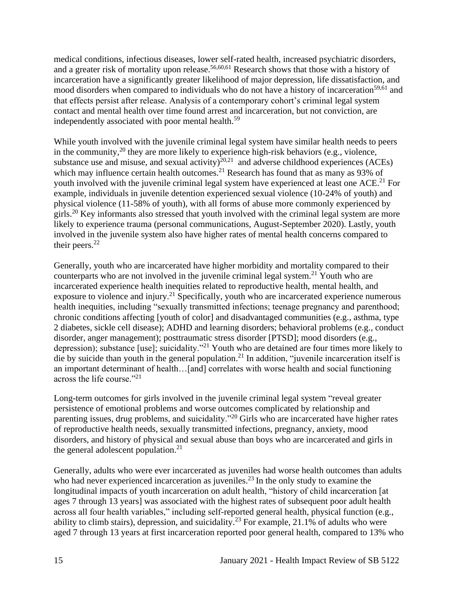medical conditions, infectious diseases, lower self-rated health, increased psychiatric disorders, and a greater risk of mortality upon release.<sup>56,60,61</sup> Research shows that those with a history of incarceration have a significantly greater likelihood of major depression, life dissatisfaction, and mood disorders when compared to individuals who do not have a history of incarceration<sup>59,61</sup> and that effects persist after release. Analysis of a contemporary cohort's criminal legal system contact and mental health over time found arrest and incarceration, but not conviction, are independently associated with poor mental health.<sup>59</sup>

While youth involved with the juvenile criminal legal system have similar health needs to peers in the community,  $20$  they are more likely to experience high-risk behaviors (e.g., violence, substance use and misuse, and sexual activity)<sup>20,21</sup> and adverse childhood experiences (ACEs) which may influence certain health outcomes.<sup>21</sup> Research has found that as many as 93% of youth involved with the juvenile criminal legal system have experienced at least one ACE.<sup>21</sup> For example, individuals in juvenile detention experienced sexual violence (10-24% of youth) and physical violence (11-58% of youth), with all forms of abuse more commonly experienced by girls.<sup>20</sup> Key informants also stressed that youth involved with the criminal legal system are more likely to experience trauma (personal communications, August-September 2020). Lastly, youth involved in the juvenile system also have higher rates of mental health concerns compared to their peers. $22$ 

Generally, youth who are incarcerated have higher morbidity and mortality compared to their counterparts who are not involved in the juvenile criminal legal system.<sup>21</sup> Youth who are incarcerated experience health inequities related to reproductive health, mental health, and exposure to violence and injury.<sup>21</sup> Specifically, youth who are incarcerated experience numerous health inequities, including "sexually transmitted infections; teenage pregnancy and parenthood; chronic conditions affecting [youth of color] and disadvantaged communities (e.g., asthma, type 2 diabetes, sickle cell disease); ADHD and learning disorders; behavioral problems (e.g., conduct disorder, anger management); posttraumatic stress disorder [PTSD]; mood disorders (e.g., depression); substance [use]; suicidality."<sup>21</sup> Youth who are detained are four times more likely to die by suicide than youth in the general population.<sup>21</sup> In addition, "juvenile incarceration itself is an important determinant of health…[and] correlates with worse health and social functioning across the life course."<sup>21</sup>

Long-term outcomes for girls involved in the juvenile criminal legal system "reveal greater persistence of emotional problems and worse outcomes complicated by relationship and parenting issues, drug problems, and suicidality."<sup>20</sup> Girls who are incarcerated have higher rates of reproductive health needs, sexually transmitted infections, pregnancy, anxiety, mood disorders, and history of physical and sexual abuse than boys who are incarcerated and girls in the general adolescent population. $21$ 

Generally, adults who were ever incarcerated as juveniles had worse health outcomes than adults who had never experienced incarceration as juveniles.<sup>23</sup> In the only study to examine the longitudinal impacts of youth incarceration on adult health, "history of child incarceration [at ages 7 through 13 years] was associated with the highest rates of subsequent poor adult health across all four health variables," including self-reported general health, physical function (e.g., ability to climb stairs), depression, and suicidality.<sup>23</sup> For example, 21.1% of adults who were aged 7 through 13 years at first incarceration reported poor general health, compared to 13% who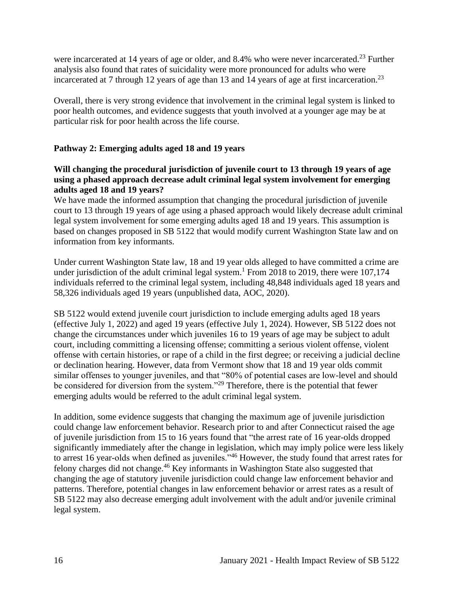were incarcerated at 14 years of age or older, and 8.4% who were never incarcerated.<sup>23</sup> Further analysis also found that rates of suicidality were more pronounced for adults who were incarcerated at 7 through 12 years of age than 13 and 14 years of age at first incarceration.<sup>23</sup>

Overall, there is very strong evidence that involvement in the criminal legal system is linked to poor health outcomes, and evidence suggests that youth involved at a younger age may be at particular risk for poor health across the life course.

## **Pathway 2: Emerging adults aged 18 and 19 years**

### **Will changing the procedural jurisdiction of juvenile court to 13 through 19 years of age using a phased approach decrease adult criminal legal system involvement for emerging adults aged 18 and 19 years?**

We have made the informed assumption that changing the procedural jurisdiction of juvenile court to 13 through 19 years of age using a phased approach would likely decrease adult criminal legal system involvement for some emerging adults aged 18 and 19 years. This assumption is based on changes proposed in SB 5122 that would modify current Washington State law and on information from key informants.

Under current Washington State law, 18 and 19 year olds alleged to have committed a crime are under jurisdiction of the adult criminal legal system.<sup>1</sup> From 2018 to 2019, there were  $107,174$ individuals referred to the criminal legal system, including 48,848 individuals aged 18 years and 58,326 individuals aged 19 years (unpublished data, AOC, 2020).

SB 5122 would extend juvenile court jurisdiction to include emerging adults aged 18 years (effective July 1, 2022) and aged 19 years (effective July 1, 2024). However, SB 5122 does not change the circumstances under which juveniles 16 to 19 years of age may be subject to adult court, including committing a licensing offense; committing a serious violent offense, violent offense with certain histories, or rape of a child in the first degree; or receiving a judicial decline or declination hearing. However, data from Vermont show that 18 and 19 year olds commit similar offenses to younger juveniles, and that "80% of potential cases are low-level and should be considered for diversion from the system."<sup>29</sup> Therefore, there is the potential that fewer emerging adults would be referred to the adult criminal legal system.

In addition, some evidence suggests that changing the maximum age of juvenile jurisdiction could change law enforcement behavior. Research prior to and after Connecticut raised the age of juvenile jurisdiction from 15 to 16 years found that "the arrest rate of 16 year-olds dropped significantly immediately after the change in legislation, which may imply police were less likely to arrest 16 year-olds when defined as juveniles.<sup>746</sup> However, the study found that arrest rates for felony charges did not change.<sup>46</sup> Key informants in Washington State also suggested that changing the age of statutory juvenile jurisdiction could change law enforcement behavior and patterns. Therefore, potential changes in law enforcement behavior or arrest rates as a result of SB 5122 may also decrease emerging adult involvement with the adult and/or juvenile criminal legal system.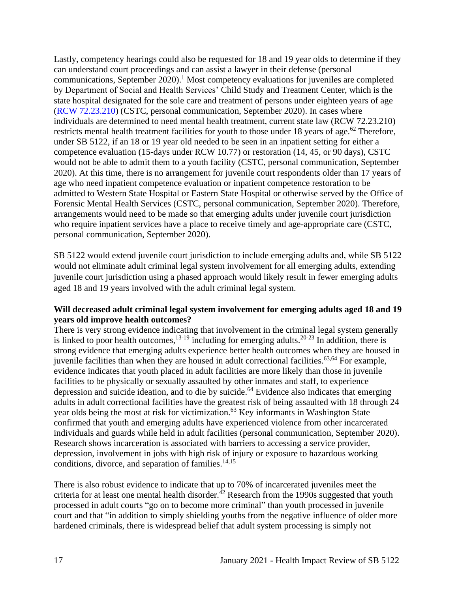Lastly, competency hearings could also be requested for 18 and 19 year olds to determine if they can understand court proceedings and can assist a lawyer in their defense (personal communications, September 2020).<sup>1</sup> Most competency evaluations for juveniles are completed by Department of Social and Health Services' Child Study and Treatment Center, which is the state hospital designated for the sole care and treatment of persons under eighteen years of age [\(RCW 72.23.210\)](https://app.leg.wa.gov/rcw/default.aspx?cite=72.23.210) (CSTC, personal communication, September 2020). In cases where individuals are determined to need mental health treatment, current state law (RCW 72.23.210) restricts mental health treatment facilities for youth to those under 18 years of age.<sup>62</sup> Therefore, under SB 5122, if an 18 or 19 year old needed to be seen in an inpatient setting for either a competence evaluation (15-days under RCW 10.77) or restoration (14, 45, or 90 days), CSTC would not be able to admit them to a youth facility (CSTC, personal communication, September 2020). At this time, there is no arrangement for juvenile court respondents older than 17 years of age who need inpatient competence evaluation or inpatient competence restoration to be admitted to Western State Hospital or Eastern State Hospital or otherwise served by the Office of Forensic Mental Health Services (CSTC, personal communication, September 2020). Therefore, arrangements would need to be made so that emerging adults under juvenile court jurisdiction who require inpatient services have a place to receive timely and age-appropriate care (CSTC, personal communication, September 2020).

SB 5122 would extend juvenile court jurisdiction to include emerging adults and, while SB 5122 would not eliminate adult criminal legal system involvement for all emerging adults, extending juvenile court jurisdiction using a phased approach would likely result in fewer emerging adults aged 18 and 19 years involved with the adult criminal legal system.

### **Will decreased adult criminal legal system involvement for emerging adults aged 18 and 19 years old improve health outcomes?**

There is very strong evidence indicating that involvement in the criminal legal system generally is linked to poor health outcomes,  $13-19$  including for emerging adults.  $20-23$  In addition, there is strong evidence that emerging adults experience better health outcomes when they are housed in juvenile facilities than when they are housed in adult correctional facilities. $63,64$  For example, evidence indicates that youth placed in adult facilities are more likely than those in juvenile facilities to be physically or sexually assaulted by other inmates and staff, to experience depression and suicide ideation, and to die by suicide.<sup>64</sup> Evidence also indicates that emerging adults in adult correctional facilities have the greatest risk of being assaulted with 18 through 24 year olds being the most at risk for victimization.<sup>63</sup> Key informants in Washington State confirmed that youth and emerging adults have experienced violence from other incarcerated individuals and guards while held in adult facilities (personal communication, September 2020). Research shows incarceration is associated with barriers to accessing a service provider, depression, involvement in jobs with high risk of injury or exposure to hazardous working conditions, divorce, and separation of families. $14,15$ 

There is also robust evidence to indicate that up to 70% of incarcerated juveniles meet the criteria for at least one mental health disorder.<sup> $42$ </sup> Research from the 1990s suggested that youth processed in adult courts "go on to become more criminal" than youth processed in juvenile court and that "in addition to simply shielding youths from the negative influence of older more hardened criminals, there is widespread belief that adult system processing is simply not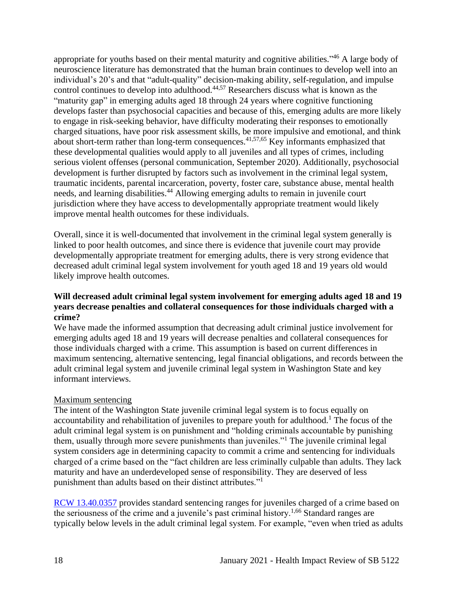appropriate for youths based on their mental maturity and cognitive abilities."<sup>46</sup> A large body of neuroscience literature has demonstrated that the human brain continues to develop well into an individual's 20's and that "adult-quality" decision-making ability, self-regulation, and impulse control continues to develop into adulthood.44,57 Researchers discuss what is known as the "maturity gap" in emerging adults aged 18 through 24 years where cognitive functioning develops faster than psychosocial capacities and because of this, emerging adults are more likely to engage in risk-seeking behavior, have difficulty moderating their responses to emotionally charged situations, have poor risk assessment skills, be more impulsive and emotional, and think about short-term rather than long-term consequences.  $41,57,65$  Key informants emphasized that these developmental qualities would apply to all juveniles and all types of crimes, including serious violent offenses (personal communication, September 2020). Additionally, psychosocial development is further disrupted by factors such as involvement in the criminal legal system, traumatic incidents, parental incarceration, poverty, foster care, substance abuse, mental health needs, and learning disabilities.<sup>44</sup> Allowing emerging adults to remain in juvenile court jurisdiction where they have access to developmentally appropriate treatment would likely improve mental health outcomes for these individuals.

Overall, since it is well-documented that involvement in the criminal legal system generally is linked to poor health outcomes, and since there is evidence that juvenile court may provide developmentally appropriate treatment for emerging adults, there is very strong evidence that decreased adult criminal legal system involvement for youth aged 18 and 19 years old would likely improve health outcomes.

### **Will decreased adult criminal legal system involvement for emerging adults aged 18 and 19 years decrease penalties and collateral consequences for those individuals charged with a crime?**

We have made the informed assumption that decreasing adult criminal justice involvement for emerging adults aged 18 and 19 years will decrease penalties and collateral consequences for those individuals charged with a crime. This assumption is based on current differences in maximum sentencing, alternative sentencing, legal financial obligations, and records between the adult criminal legal system and juvenile criminal legal system in Washington State and key informant interviews.

### Maximum sentencing

The intent of the Washington State juvenile criminal legal system is to focus equally on accountability and rehabilitation of juveniles to prepare youth for adulthood.<sup>1</sup> The focus of the adult criminal legal system is on punishment and "holding criminals accountable by punishing them, usually through more severe punishments than juveniles."<sup>1</sup> The juvenile criminal legal system considers age in determining capacity to commit a crime and sentencing for individuals charged of a crime based on the "fact children are less criminally culpable than adults. They lack maturity and have an underdeveloped sense of responsibility. They are deserved of less punishment than adults based on their distinct attributes."<sup>1</sup>

[RCW 13.40.0357](https://app.leg.wa.gov/rcw/default.aspx?cite=13.40.0357) provides standard sentencing ranges for juveniles charged of a crime based on the seriousness of the crime and a juvenile's past criminal history.<sup>1,66</sup> Standard ranges are typically below levels in the adult criminal legal system. For example, "even when tried as adults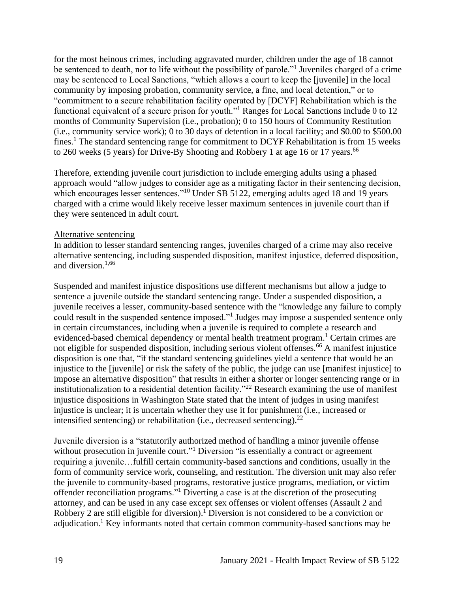for the most heinous crimes, including aggravated murder, children under the age of 18 cannot be sentenced to death, nor to life without the possibility of parole."<sup>1</sup> Juveniles charged of a crime may be sentenced to Local Sanctions, "which allows a court to keep the [juvenile] in the local community by imposing probation, community service, a fine, and local detention," or to "commitment to a secure rehabilitation facility operated by [DCYF] Rehabilitation which is the functional equivalent of a secure prison for youth."<sup>1</sup> Ranges for Local Sanctions include 0 to 12 months of Community Supervision (i.e., probation); 0 to 150 hours of Community Restitution (i.e., community service work); 0 to 30 days of detention in a local facility; and \$0.00 to \$500.00 fines.<sup>1</sup> The standard sentencing range for commitment to DCYF Rehabilitation is from 15 weeks to 260 weeks (5 years) for Drive-By Shooting and Robbery 1 at age 16 or 17 years.<sup>66</sup>

Therefore, extending juvenile court jurisdiction to include emerging adults using a phased approach would "allow judges to consider age as a mitigating factor in their sentencing decision, which encourages lesser sentences."<sup>10</sup> Under SB 5122, emerging adults aged 18 and 19 years charged with a crime would likely receive lesser maximum sentences in juvenile court than if they were sentenced in adult court.

#### Alternative sentencing

In addition to lesser standard sentencing ranges, juveniles charged of a crime may also receive alternative sentencing, including suspended disposition, manifest injustice, deferred disposition, and diversion.1,66

Suspended and manifest injustice dispositions use different mechanisms but allow a judge to sentence a juvenile outside the standard sentencing range. Under a suspended disposition, a juvenile receives a lesser, community-based sentence with the "knowledge any failure to comply could result in the suspended sentence imposed."<sup>1</sup> Judges may impose a suspended sentence only in certain circumstances, including when a juvenile is required to complete a research and evidenced-based chemical dependency or mental health treatment program.<sup>1</sup> Certain crimes are not eligible for suspended disposition, including serious violent offenses.<sup>66</sup> A manifest injustice disposition is one that, "if the standard sentencing guidelines yield a sentence that would be an injustice to the [juvenile] or risk the safety of the public, the judge can use [manifest injustice] to impose an alternative disposition" that results in either a shorter or longer sentencing range or in institutionalization to a residential detention facility."<sup>22</sup> Research examining the use of manifest injustice dispositions in Washington State stated that the intent of judges in using manifest injustice is unclear; it is uncertain whether they use it for punishment (i.e., increased or intensified sentencing) or rehabilitation (i.e., decreased sentencing).<sup>22</sup>

Juvenile diversion is a "statutorily authorized method of handling a minor juvenile offense without prosecution in juvenile court."<sup>1</sup> Diversion "is essentially a contract or agreement requiring a juvenile…fulfill certain community-based sanctions and conditions, usually in the form of community service work, counseling, and restitution. The diversion unit may also refer the juvenile to community-based programs, restorative justice programs, mediation, or victim offender reconciliation programs."<sup>1</sup> Diverting a case is at the discretion of the prosecuting attorney, and can be used in any case except sex offenses or violent offenses (Assault 2 and Robbery 2 are still eligible for diversion).<sup>1</sup> Diversion is not considered to be a conviction or adjudication.<sup>1</sup> Key informants noted that certain common community-based sanctions may be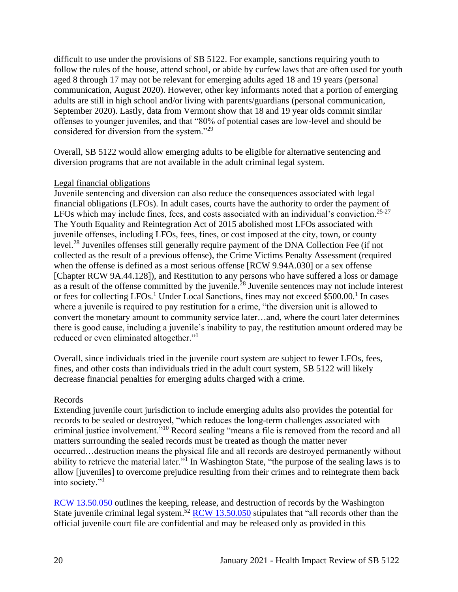difficult to use under the provisions of SB 5122. For example, sanctions requiring youth to follow the rules of the house, attend school, or abide by curfew laws that are often used for youth aged 8 through 17 may not be relevant for emerging adults aged 18 and 19 years (personal communication, August 2020). However, other key informants noted that a portion of emerging adults are still in high school and/or living with parents/guardians (personal communication, September 2020). Lastly, data from Vermont show that 18 and 19 year olds commit similar offenses to younger juveniles, and that "80% of potential cases are low-level and should be considered for diversion from the system."<sup>29</sup>

Overall, SB 5122 would allow emerging adults to be eligible for alternative sentencing and diversion programs that are not available in the adult criminal legal system.

#### Legal financial obligations

Juvenile sentencing and diversion can also reduce the consequences associated with legal financial obligations (LFOs). In adult cases, courts have the authority to order the payment of LFOs which may include fines, fees, and costs associated with an individual's conviction.<sup>25-27</sup> The Youth Equality and Reintegration Act of 2015 abolished most LFOs associated with juvenile offenses, including LFOs, fees, fines, or cost imposed at the city, town, or county level.<sup>28</sup> Juveniles offenses still generally require payment of the DNA Collection Fee (if not collected as the result of a previous offense), the Crime Victims Penalty Assessment (required when the offense is defined as a most serious offense [RCW 9.94A.030] or a sex offense [Chapter RCW 9A.44.128]), and Restitution to any persons who have suffered a loss or damage as a result of the offense committed by the juvenile.<sup>28</sup> Juvenile sentences may not include interest or fees for collecting LFOs.<sup>1</sup> Under Local Sanctions, fines may not exceed \$500.00.<sup>1</sup> In cases where a juvenile is required to pay restitution for a crime, "the diversion unit is allowed to convert the monetary amount to community service later…and, where the court later determines there is good cause, including a juvenile's inability to pay, the restitution amount ordered may be reduced or even eliminated altogether."<sup>1</sup>

Overall, since individuals tried in the juvenile court system are subject to fewer LFOs, fees, fines, and other costs than individuals tried in the adult court system, SB 5122 will likely decrease financial penalties for emerging adults charged with a crime.

#### Records

Extending juvenile court jurisdiction to include emerging adults also provides the potential for records to be sealed or destroyed, "which reduces the long-term challenges associated with criminal justice involvement."<sup>10</sup> Record sealing "means a file is removed from the record and all matters surrounding the sealed records must be treated as though the matter never occurred…destruction means the physical file and all records are destroyed permanently without ability to retrieve the material later."<sup>1</sup> In Washington State, "the purpose of the sealing laws is to allow [juveniles] to overcome prejudice resulting from their crimes and to reintegrate them back into society."<sup>1</sup>

[RCW 13.50.050](https://app.leg.wa.gov/RCW/default.aspx?cite=13.50.050) outlines the keeping, release, and destruction of records by the Washington State juvenile criminal legal system.<sup>52</sup> [RCW 13.50.050](https://app.leg.wa.gov/RCW/default.aspx?cite=13.50.050) stipulates that "all records other than the official juvenile court file are confidential and may be released only as provided in this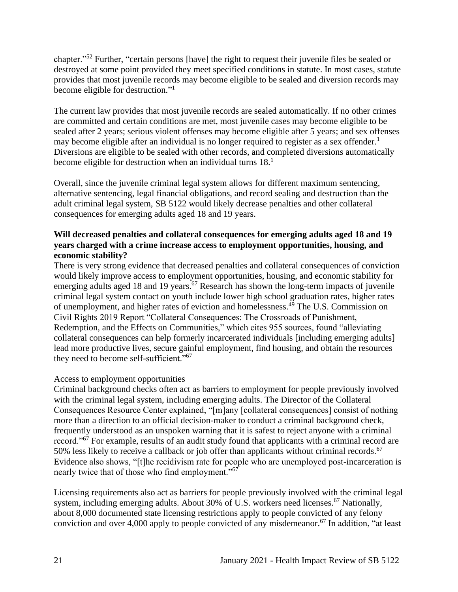chapter."<sup>52</sup> Further, "certain persons [have] the right to request their juvenile files be sealed or destroyed at some point provided they meet specified conditions in statute. In most cases, statute provides that most juvenile records may become eligible to be sealed and diversion records may become eligible for destruction."<sup>1</sup>

The current law provides that most juvenile records are sealed automatically. If no other crimes are committed and certain conditions are met, most juvenile cases may become eligible to be sealed after 2 years; serious violent offenses may become eligible after 5 years; and sex offenses may become eligible after an individual is no longer required to register as a sex offender.<sup>1</sup> Diversions are eligible to be sealed with other records, and completed diversions automatically become eligible for destruction when an individual turns  $18<sup>1</sup>$ 

Overall, since the juvenile criminal legal system allows for different maximum sentencing, alternative sentencing, legal financial obligations, and record sealing and destruction than the adult criminal legal system, SB 5122 would likely decrease penalties and other collateral consequences for emerging adults aged 18 and 19 years.

### **Will decreased penalties and collateral consequences for emerging adults aged 18 and 19 years charged with a crime increase access to employment opportunities, housing, and economic stability?**

There is very strong evidence that decreased penalties and collateral consequences of conviction would likely improve access to employment opportunities, housing, and economic stability for emerging adults aged 18 and 19 years.<sup>67</sup> Research has shown the long-term impacts of juvenile criminal legal system contact on youth include lower high school graduation rates, higher rates of unemployment, and higher rates of eviction and homelessness. <sup>49</sup> The U.S. Commission on Civil Rights 2019 Report "Collateral Consequences: The Crossroads of Punishment, Redemption, and the Effects on Communities," which cites 955 sources, found "alleviating collateral consequences can help formerly incarcerated individuals [including emerging adults] lead more productive lives, secure gainful employment, find housing, and obtain the resources they need to become self-sufficient."<sup>67</sup>

### Access to employment opportunities

Criminal background checks often act as barriers to employment for people previously involved with the criminal legal system, including emerging adults. The Director of the Collateral Consequences Resource Center explained, "[m]any [collateral consequences] consist of nothing more than a direction to an official decision-maker to conduct a criminal background check, frequently understood as an unspoken warning that it is safest to reject anyone with a criminal record."<sup>67</sup> For example, results of an audit study found that applicants with a criminal record are 50% less likely to receive a callback or job offer than applicants without criminal records.<sup>67</sup> Evidence also shows, "[t]he recidivism rate for people who are unemployed post-incarceration is nearly twice that of those who find employment."<sup>67</sup>

Licensing requirements also act as barriers for people previously involved with the criminal legal system, including emerging adults. About 30% of U.S. workers need licenses.<sup>67</sup> Nationally, about 8,000 documented state licensing restrictions apply to people convicted of any felony conviction and over 4,000 apply to people convicted of any misdemeanor.<sup>67</sup> In addition, "at least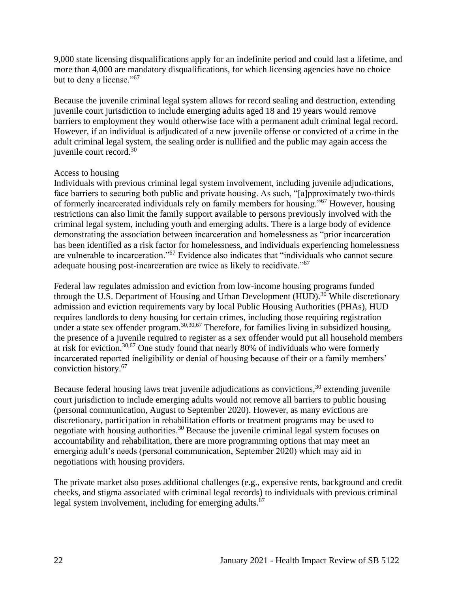9,000 state licensing disqualifications apply for an indefinite period and could last a lifetime, and more than 4,000 are mandatory disqualifications, for which licensing agencies have no choice but to deny a license."<sup>67</sup>

Because the juvenile criminal legal system allows for record sealing and destruction, extending juvenile court jurisdiction to include emerging adults aged 18 and 19 years would remove barriers to employment they would otherwise face with a permanent adult criminal legal record. However, if an individual is adjudicated of a new juvenile offense or convicted of a crime in the adult criminal legal system, the sealing order is nullified and the public may again access the juvenile court record.<sup>30</sup>

#### Access to housing

Individuals with previous criminal legal system involvement, including juvenile adjudications, face barriers to securing both public and private housing. As such, "[a]pproximately two-thirds of formerly incarcerated individuals rely on family members for housing."<sup>67</sup> However, housing restrictions can also limit the family support available to persons previously involved with the criminal legal system, including youth and emerging adults. There is a large body of evidence demonstrating the association between incarceration and homelessness as "prior incarceration has been identified as a risk factor for homelessness, and individuals experiencing homelessness are vulnerable to incarceration."<sup>67</sup> Evidence also indicates that "individuals who cannot secure adequate housing post-incarceration are twice as likely to recidivate."<sup>67</sup>

Federal law regulates admission and eviction from low-income housing programs funded through the U.S. Department of Housing and Urban Development (HUD).<sup>30</sup> While discretionary admission and eviction requirements vary by local Public Housing Authorities (PHAs), HUD requires landlords to deny housing for certain crimes, including those requiring registration under a state sex offender program.<sup>30,30,67</sup> Therefore, for families living in subsidized housing, the presence of a juvenile required to register as a sex offender would put all household members at risk for eviction.30,67 One study found that nearly 80% of individuals who were formerly incarcerated reported ineligibility or denial of housing because of their or a family members' conviction history.<sup>67</sup>

Because federal housing laws treat juvenile adjudications as convictions,  $30$  extending juvenile court jurisdiction to include emerging adults would not remove all barriers to public housing (personal communication, August to September 2020). However, as many evictions are discretionary, participation in rehabilitation efforts or treatment programs may be used to negotiate with housing authorities.<sup>30</sup> Because the juvenile criminal legal system focuses on accountability and rehabilitation, there are more programming options that may meet an emerging adult's needs (personal communication, September 2020) which may aid in negotiations with housing providers.

The private market also poses additional challenges (e.g., expensive rents, background and credit checks, and stigma associated with criminal legal records) to individuals with previous criminal legal system involvement, including for emerging adults.<sup>67</sup>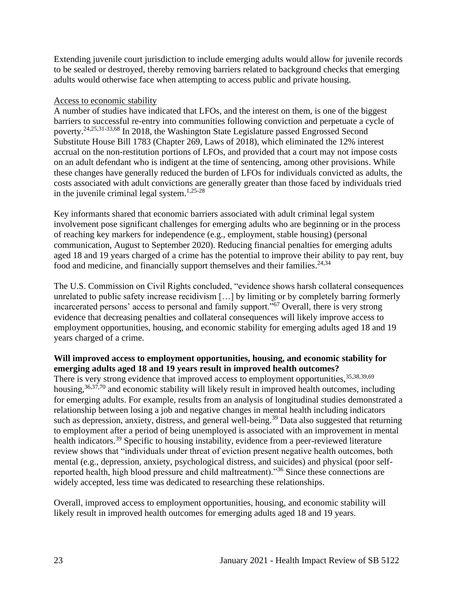Extending juvenile court jurisdiction to include emerging adults would allow for juvenile records to be sealed or destroyed, thereby removing barriers related to background checks that emerging adults would otherwise face when attempting to access public and private housing.

#### Access to economic stability

A number of studies have indicated that LFOs, and the interest on them, is one of the biggest barriers to successful re-entry into communities following conviction and perpetuate a cycle of poverty.24,25,31-33,68 In 2018, the Washington State Legislature passed Engrossed Second Substitute House Bill 1783 (Chapter 269, Laws of 2018), which eliminated the 12% interest accrual on the non-restitution portions of LFOs, and provided that a court may not impose costs on an adult defendant who is indigent at the time of sentencing, among other provisions. While these changes have generally reduced the burden of LFOs for individuals convicted as adults, the costs associated with adult convictions are generally greater than those faced by individuals tried in the juvenile criminal legal system. 1,25-28

Key informants shared that economic barriers associated with adult criminal legal system involvement pose significant challenges for emerging adults who are beginning or in the process of reaching key markers for independence (e.g., employment, stable housing) (personal communication, August to September 2020). Reducing financial penalties for emerging adults aged 18 and 19 years charged of a crime has the potential to improve their ability to pay rent, buy food and medicine, and financially support themselves and their families.<sup>24,34</sup>

The U.S. Commission on Civil Rights concluded, "evidence shows harsh collateral consequences unrelated to public safety increase recidivism […] by limiting or by completely barring formerly incarcerated persons' access to personal and family support."<sup>67</sup> Overall, there is very strong evidence that decreasing penalties and collateral consequences will likely improve access to employment opportunities, housing, and economic stability for emerging adults aged 18 and 19 years charged of a crime.

### **Will improved access to employment opportunities, housing, and economic stability for emerging adults aged 18 and 19 years result in improved health outcomes?**  There is very strong evidence that improved access to employment opportunities, 35,38,39,69 housing,  $36,37,70$  and economic stability will likely result in improved health outcomes, including for emerging adults. For example, results from an analysis of longitudinal studies demonstrated a relationship between losing a job and negative changes in mental health including indicators such as depression, anxiety, distress, and general well-being.<sup>39</sup> Data also suggested that returning to employment after a period of being unemployed is associated with an improvement in mental health indicators.<sup>39</sup> Specific to housing instability, evidence from a peer-reviewed literature review shows that "individuals under threat of eviction present negative health outcomes, both mental (e.g., depression, anxiety, psychological distress, and suicides) and physical (poor selfreported health, high blood pressure and child maltreatment)."<sup>36</sup> Since these connections are widely accepted, less time was dedicated to researching these relationships.

Overall, improved access to employment opportunities, housing, and economic stability will likely result in improved health outcomes for emerging adults aged 18 and 19 years.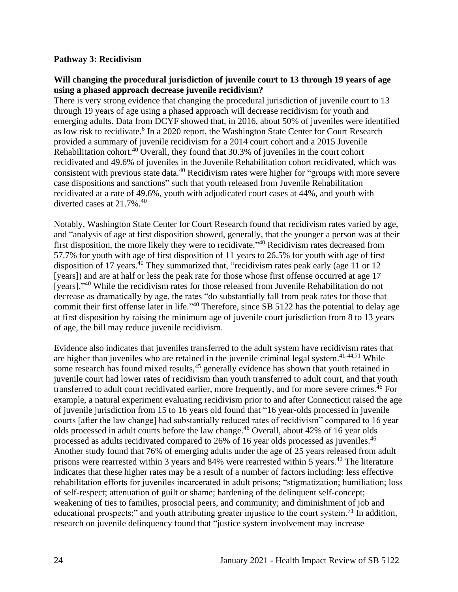#### **Pathway 3: Recidivism**

#### **Will changing the procedural jurisdiction of juvenile court to 13 through 19 years of age using a phased approach decrease juvenile recidivism?**

There is very strong evidence that changing the procedural jurisdiction of juvenile court to 13 through 19 years of age using a phased approach will decrease recidivism for youth and emerging adults. Data from DCYF showed that, in 2016, about 50% of juveniles were identified as low risk to recidivate.<sup>6</sup> In a 2020 report, the Washington State Center for Court Research provided a summary of juvenile recidivism for a 2014 court cohort and a 2015 Juvenile Rehabilitation cohort.<sup>40</sup> Overall, they found that 30.3% of juveniles in the court cohort recidivated and 49.6% of juveniles in the Juvenile Rehabilitation cohort recidivated, which was consistent with previous state data.<sup>40</sup> Recidivism rates were higher for "groups with more severe case dispositions and sanctions" such that youth released from Juvenile Rehabilitation recidivated at a rate of 49.6%, youth with adjudicated court cases at 44%, and youth with diverted cases at 21.7%.<sup>40</sup>

Notably, Washington State Center for Court Research found that recidivism rates varied by age, and "analysis of age at first disposition showed, generally, that the younger a person was at their first disposition, the more likely they were to recidivate."<sup>40</sup> Recidivism rates decreased from 57.7% for youth with age of first disposition of 11 years to 26.5% for youth with age of first disposition of 17 years.<sup>40</sup> They summarized that, "recidivism rates peak early (age 11 or 12) [years]) and are at half or less the peak rate for those whose first offense occurred at age 17 [years]."<sup>40</sup> While the recidivism rates for those released from Juvenile Rehabilitation do not decrease as dramatically by age, the rates "do substantially fall from peak rates for those that commit their first offense later in life."<sup>40</sup> Therefore, since SB 5122 has the potential to delay age at first disposition by raising the minimum age of juvenile court jurisdiction from 8 to 13 years of age, the bill may reduce juvenile recidivism.

Evidence also indicates that juveniles transferred to the adult system have recidivism rates that are higher than juveniles who are retained in the juvenile criminal legal system.<sup>41-44,71</sup> While some research has found mixed results,<sup>45</sup> generally evidence has shown that youth retained in juvenile court had lower rates of recidivism than youth transferred to adult court, and that youth transferred to adult court recidivated earlier, more frequently, and for more severe crimes.<sup>46</sup> For example, a natural experiment evaluating recidivism prior to and after Connecticut raised the age of juvenile jurisdiction from 15 to 16 years old found that "16 year-olds processed in juvenile courts [after the law change] had substantially reduced rates of recidivism" compared to 16 year olds processed in adult courts before the law change. <sup>46</sup> Overall, about 42% of 16 year olds processed as adults recidivated compared to 26% of 16 year olds processed as juveniles.<sup>46</sup> Another study found that 76% of emerging adults under the age of 25 years released from adult prisons were rearrested within 3 years and  $84\%$  were rearrested within 5 years.<sup>42</sup> The literature indicates that these higher rates may be a result of a number of factors including: less effective rehabilitation efforts for juveniles incarcerated in adult prisons; "stigmatization; humiliation; loss of self-respect; attenuation of guilt or shame; hardening of the delinquent self-concept; weakening of ties to families, prosocial peers, and community; and diminishment of job and educational prospects;" and youth attributing greater injustice to the court system.<sup>71</sup> In addition, research on juvenile delinquency found that "justice system involvement may increase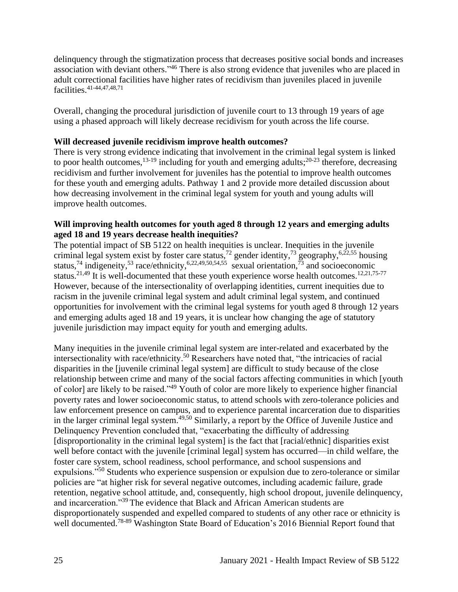delinquency through the stigmatization process that decreases positive social bonds and increases association with deviant others."<sup>46</sup> There is also strong evidence that juveniles who are placed in adult correctional facilities have higher rates of recidivism than juveniles placed in juvenile facilities.41-44,47,48,71

Overall, changing the procedural jurisdiction of juvenile court to 13 through 19 years of age using a phased approach will likely decrease recidivism for youth across the life course.

### **Will decreased juvenile recidivism improve health outcomes?**

There is very strong evidence indicating that involvement in the criminal legal system is linked to poor health outcomes,  $^{13-19}$  including for youth and emerging adults;  $^{20-23}$  therefore, decreasing recidivism and further involvement for juveniles has the potential to improve health outcomes for these youth and emerging adults. Pathway 1 and 2 provide more detailed discussion about how decreasing involvement in the criminal legal system for youth and young adults will improve health outcomes.

#### **Will improving health outcomes for youth aged 8 through 12 years and emerging adults aged 18 and 19 years decrease health inequities?**

The potential impact of SB 5122 on health inequities is unclear. Inequities in the juvenile criminal legal system exist by foster care status,<sup>72</sup> gender identity,<sup>73</sup> geography,<sup>6,22,55</sup> housing status,<sup>74</sup> indigeneity,<sup>53</sup> race/ethnicity,<sup>6,22,49,50,54,55</sup> sexual orientation,<sup>73</sup> and socioeconomic status.<sup>21,49</sup> It is well-documented that these youth experience worse health outcomes.<sup>12,21,75-77</sup> However, because of the intersectionality of overlapping identities, current inequities due to racism in the juvenile criminal legal system and adult criminal legal system, and continued opportunities for involvement with the criminal legal systems for youth aged 8 through 12 years and emerging adults aged 18 and 19 years, it is unclear how changing the age of statutory juvenile jurisdiction may impact equity for youth and emerging adults.

Many inequities in the juvenile criminal legal system are inter-related and exacerbated by the intersectionality with race/ethnicity.<sup>50</sup> Researchers have noted that, "the intricacies of racial disparities in the [juvenile criminal legal system] are difficult to study because of the close relationship between crime and many of the social factors affecting communities in which [youth of color] are likely to be raised."<sup>49</sup> Youth of color are more likely to experience higher financial poverty rates and lower socioeconomic status, to attend schools with zero-tolerance policies and law enforcement presence on campus, and to experience parental incarceration due to disparities in the larger criminal legal system.49,50 Similarly, a report by the Office of Juvenile Justice and Delinquency Prevention concluded that, "exacerbating the difficulty of addressing [disproportionality in the criminal legal system] is the fact that [racial/ethnic] disparities exist well before contact with the juvenile [criminal legal] system has occurred—in child welfare, the foster care system, school readiness, school performance, and school suspensions and expulsions."<sup>50</sup> Students who experience suspension or expulsion due to zero-tolerance or similar policies are "at higher risk for several negative outcomes, including academic failure, grade retention, negative school attitude, and, consequently, high school dropout, juvenile delinquency, and incarceration."<sup>39</sup> The evidence that Black and African American students are disproportionately suspended and expelled compared to students of any other race or ethnicity is well documented.<sup>78-89</sup> Washington State Board of Education's 2016 Biennial Report found that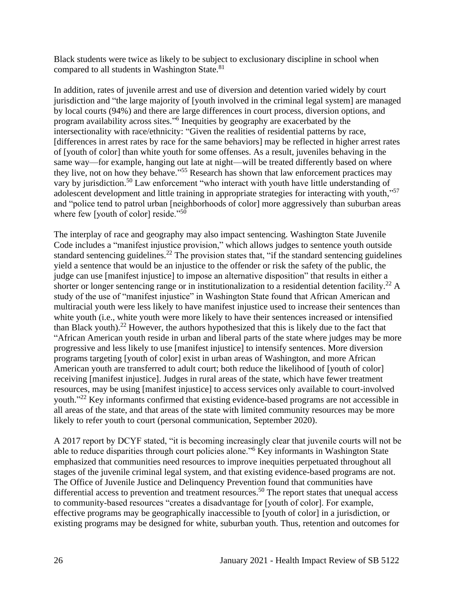Black students were twice as likely to be subject to exclusionary discipline in school when compared to all students in Washington State.<sup>81</sup>

In addition, rates of juvenile arrest and use of diversion and detention varied widely by court jurisdiction and "the large majority of [youth involved in the criminal legal system] are managed by local courts (94%) and there are large differences in court process, diversion options, and program availability across sites."<sup>6</sup> Inequities by geography are exacerbated by the intersectionality with race/ethnicity: "Given the realities of residential patterns by race, [differences in arrest rates by race for the same behaviors] may be reflected in higher arrest rates of [youth of color] than white youth for some offenses. As a result, juveniles behaving in the same way—for example, hanging out late at night—will be treated differently based on where they live, not on how they behave."<sup>55</sup> Research has shown that law enforcement practices may vary by jurisdiction.<sup>50</sup> Law enforcement "who interact with youth have little understanding of adolescent development and little training in appropriate strategies for interacting with youth,"<sup>57</sup> and "police tend to patrol urban [neighborhoods of color] more aggressively than suburban areas where few [youth of color] reside."<sup>50</sup>

The interplay of race and geography may also impact sentencing. Washington State Juvenile Code includes a "manifest injustice provision," which allows judges to sentence youth outside standard sentencing guidelines.<sup>22</sup> The provision states that, "if the standard sentencing guidelines yield a sentence that would be an injustice to the offender or risk the safety of the public, the judge can use [manifest injustice] to impose an alternative disposition" that results in either a shorter or longer sentencing range or in institutionalization to a residential detention facility.<sup>22</sup> A study of the use of "manifest injustice" in Washington State found that African American and multiracial youth were less likely to have manifest injustice used to increase their sentences than white youth (i.e., white youth were more likely to have their sentences increased or intensified than Black youth).<sup>22</sup> However, the authors hypothesized that this is likely due to the fact that "African American youth reside in urban and liberal parts of the state where judges may be more progressive and less likely to use [manifest injustice] to intensify sentences. More diversion programs targeting [youth of color] exist in urban areas of Washington, and more African American youth are transferred to adult court; both reduce the likelihood of [youth of color] receiving [manifest injustice]. Judges in rural areas of the state, which have fewer treatment resources, may be using [manifest injustice] to access services only available to court-involved youth."<sup>22</sup> Key informants confirmed that existing evidence-based programs are not accessible in all areas of the state, and that areas of the state with limited community resources may be more likely to refer youth to court (personal communication, September 2020).

A 2017 report by DCYF stated, "it is becoming increasingly clear that juvenile courts will not be able to reduce disparities through court policies alone."<sup>6</sup> Key informants in Washington State emphasized that communities need resources to improve inequities perpetuated throughout all stages of the juvenile criminal legal system, and that existing evidence-based programs are not. The Office of Juvenile Justice and Delinquency Prevention found that communities have differential access to prevention and treatment resources.<sup>50</sup> The report states that unequal access to community-based resources "creates a disadvantage for [youth of color]. For example, effective programs may be geographically inaccessible to [youth of color] in a jurisdiction, or existing programs may be designed for white, suburban youth. Thus, retention and outcomes for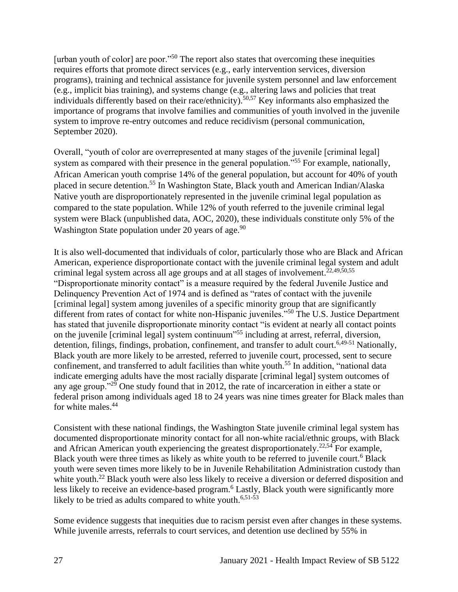[urban youth of color] are poor."<sup>50</sup> The report also states that overcoming these inequities requires efforts that promote direct services (e.g., early intervention services, diversion programs), training and technical assistance for juvenile system personnel and law enforcement (e.g., implicit bias training), and systems change (e.g., altering laws and policies that treat individuals differently based on their race/ethnicity).<sup>50,57</sup> Key informants also emphasized the importance of programs that involve families and communities of youth involved in the juvenile system to improve re-entry outcomes and reduce recidivism (personal communication, September 2020).

Overall, "youth of color are overrepresented at many stages of the juvenile [criminal legal] system as compared with their presence in the general population."<sup>55</sup> For example, nationally, African American youth comprise 14% of the general population, but account for 40% of youth placed in secure detention.<sup>55</sup> In Washington State, Black youth and American Indian/Alaska Native youth are disproportionately represented in the juvenile criminal legal population as compared to the state population. While 12% of youth referred to the juvenile criminal legal system were Black (unpublished data, AOC, 2020), these individuals constitute only 5% of the Washington State population under 20 years of age.<sup>90</sup>

It is also well-documented that individuals of color, particularly those who are Black and African American, experience disproportionate contact with the juvenile criminal legal system and adult criminal legal system across all age groups and at all stages of involvement. 22,49,50,55 "Disproportionate minority contact" is a measure required by the federal Juvenile Justice and Delinquency Prevention Act of 1974 and is defined as "rates of contact with the juvenile [criminal legal] system among juveniles of a specific minority group that are significantly different from rates of contact for white non-Hispanic juveniles."<sup>50</sup> The U.S. Justice Department has stated that juvenile disproportionate minority contact "is evident at nearly all contact points on the juvenile [criminal legal] system continuum"<sup>55</sup> including at arrest, referral, diversion, detention, filings, findings, probation, confinement, and transfer to adult court.<sup>6,49-51</sup> Nationally, Black youth are more likely to be arrested, referred to juvenile court, processed, sent to secure confinement, and transferred to adult facilities than white youth.<sup>55</sup> In addition, "national data indicate emerging adults have the most racially disparate [criminal legal] system outcomes of any age group."<sup>29</sup> One study found that in 2012, the rate of incarceration in either a state or federal prison among individuals aged 18 to 24 years was nine times greater for Black males than for white males.<sup>44</sup>

Consistent with these national findings, the Washington State juvenile criminal legal system has documented disproportionate minority contact for all non-white racial/ethnic groups, with Black and African American youth experiencing the greatest disproportionately.<sup>22,54</sup> For example, Black youth were three times as likely as white youth to be referred to juvenile court.<sup>6</sup> Black youth were seven times more likely to be in Juvenile Rehabilitation Administration custody than white youth.<sup>22</sup> Black youth were also less likely to receive a diversion or deferred disposition and less likely to receive an evidence-based program.<sup>6</sup> Lastly, Black youth were significantly more likely to be tried as adults compared to white youth.<sup>6,51-53</sup>

Some evidence suggests that inequities due to racism persist even after changes in these systems. While juvenile arrests, referrals to court services, and detention use declined by 55% in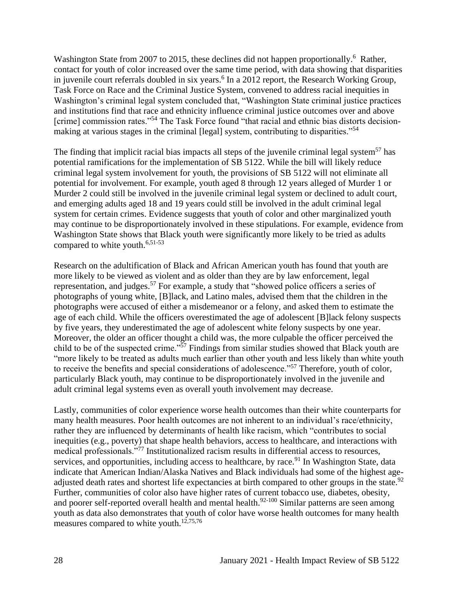Washington State from 2007 to 2015, these declines did not happen proportionally.<sup>6</sup> Rather, contact for youth of color increased over the same time period, with data showing that disparities in juvenile court referrals doubled in six years. 6 In a 2012 report, the Research Working Group, Task Force on Race and the Criminal Justice System, convened to address racial inequities in Washington's criminal legal system concluded that, "Washington State criminal justice practices and institutions find that race and ethnicity influence criminal justice outcomes over and above [crime] commission rates."<sup>54</sup> The Task Force found "that racial and ethnic bias distorts decisionmaking at various stages in the criminal [legal] system, contributing to disparities."<sup>54</sup>

The finding that implicit racial bias impacts all steps of the juvenile criminal legal system<sup>57</sup> has potential ramifications for the implementation of SB 5122. While the bill will likely reduce criminal legal system involvement for youth, the provisions of SB 5122 will not eliminate all potential for involvement. For example, youth aged 8 through 12 years alleged of Murder 1 or Murder 2 could still be involved in the juvenile criminal legal system or declined to adult court, and emerging adults aged 18 and 19 years could still be involved in the adult criminal legal system for certain crimes. Evidence suggests that youth of color and other marginalized youth may continue to be disproportionately involved in these stipulations. For example, evidence from Washington State shows that Black youth were significantly more likely to be tried as adults compared to white youth.<sup>6,51-53</sup>

Research on the adultification of Black and African American youth has found that youth are more likely to be viewed as violent and as older than they are by law enforcement, legal representation, and judges.<sup>57</sup> For example, a study that "showed police officers a series of photographs of young white, [B]lack, and Latino males, advised them that the children in the photographs were accused of either a misdemeanor or a felony, and asked them to estimate the age of each child. While the officers overestimated the age of adolescent [B]lack felony suspects by five years, they underestimated the age of adolescent white felony suspects by one year. Moreover, the older an officer thought a child was, the more culpable the officer perceived the child to be of the suspected crime."<sup>57</sup> Findings from similar studies showed that Black youth are "more likely to be treated as adults much earlier than other youth and less likely than white youth to receive the benefits and special considerations of adolescence."<sup>57</sup> Therefore, youth of color, particularly Black youth, may continue to be disproportionately involved in the juvenile and adult criminal legal systems even as overall youth involvement may decrease.

Lastly, communities of color experience worse health outcomes than their white counterparts for many health measures. Poor health outcomes are not inherent to an individual's race/ethnicity, rather they are influenced by determinants of health like racism, which "contributes to social inequities (e.g., poverty) that shape health behaviors, access to healthcare, and interactions with medical professionals."<sup>77</sup> Institutionalized racism results in differential access to resources, services, and opportunities, including access to healthcare, by race.<sup>91</sup> In Washington State, data indicate that American Indian/Alaska Natives and Black individuals had some of the highest ageadjusted death rates and shortest life expectancies at birth compared to other groups in the state.<sup>92</sup> Further, communities of color also have higher rates of current tobacco use, diabetes, obesity, and poorer self-reported overall health and mental health.<sup>92-100</sup> Similar patterns are seen among youth as data also demonstrates that youth of color have worse health outcomes for many health measures compared to white youth.<sup>12,75,76</sup>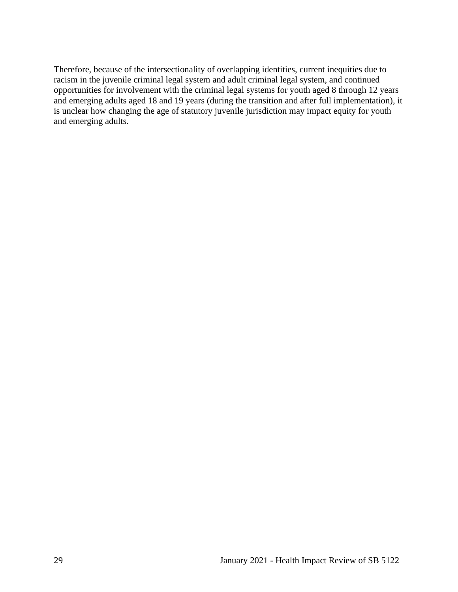<span id="page-30-0"></span>Therefore, because of the intersectionality of overlapping identities, current inequities due to racism in the juvenile criminal legal system and adult criminal legal system, and continued opportunities for involvement with the criminal legal systems for youth aged 8 through 12 years and emerging adults aged 18 and 19 years (during the transition and after full implementation), it is unclear how changing the age of statutory juvenile jurisdiction may impact equity for youth and emerging adults.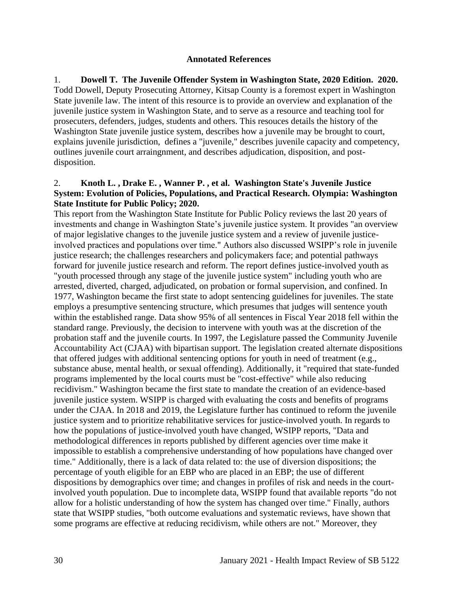#### **Annotated References**

1. **Dowell T. The Juvenile Offender System in Washington State, 2020 Edition. 2020.** Todd Dowell, Deputy Prosecuting Attorney, Kitsap County is a foremost expert in Washington State juvenile law. The intent of this resource is to provide an overview and explanation of the juvenile justice system in Washington State, and to serve as a resource and teaching tool for prosecuters, defenders, judges, students and others. This resouces details the history of the Washington State juvenile justice system, describes how a juvenile may be brought to court, explains juvenile jurisdiction, defines a "juvenile," describes juvenile capacity and competency, outlines juvenile court arraingnment, and describes adjudication, disposition, and postdisposition.

#### 2. **Knoth L. , Drake E. , Wanner P. , et al. Washington State's Juvenile Justice System: Evolution of Policies, Populations, and Practical Research. Olympia: Washington State Institute for Public Policy; 2020.**

This report from the Washington State Institute for Public Policy reviews the last 20 years of investments and change in Washington State's juvenile justice system. It provides "an overview of major legislative changes to the juvenile justice system and a review of juvenile justiceinvolved practices and populations over time." Authors also discussed WSIPP's role in juvenile justice research; the challenges researchers and policymakers face; and potential pathways forward for juvenile justice research and reform. The report defines justice-involved youth as "youth processed through any stage of the juvenile justice system" including youth who are arrested, diverted, charged, adjudicated, on probation or formal supervision, and confined. In 1977, Washington became the first state to adopt sentencing guidelines for juveniles. The state employs a presumptive sentencing structure, which presumes that judges will sentence youth within the established range. Data show 95% of all sentences in Fiscal Year 2018 fell within the standard range. Previously, the decision to intervene with youth was at the discretion of the probation staff and the juvenile courts. In 1997, the Legislature passed the Community Juvenile Accountability Act (CJAA) with bipartisan support. The legislation created alternate dispositions that offered judges with additional sentencing options for youth in need of treatment (e.g., substance abuse, mental health, or sexual offending). Additionally, it "required that state-funded programs implemented by the local courts must be "cost-effective" while also reducing recidivism." Washington became the first state to mandate the creation of an evidence-based juvenile justice system. WSIPP is charged with evaluating the costs and benefits of programs under the CJAA. In 2018 and 2019, the Legislature further has continued to reform the juvenile justice system and to prioritize rehabilitative services for justice-involved youth. In regards to how the populations of justice-involved youth have changed, WSIPP reports, "Data and methodological differences in reports published by different agencies over time make it impossible to establish a comprehensive understanding of how populations have changed over time." Additionally, there is a lack of data related to: the use of diversion dispositions; the percentage of youth eligible for an EBP who are placed in an EBP; the use of different dispositions by demographics over time; and changes in profiles of risk and needs in the courtinvolved youth population. Due to incomplete data, WSIPP found that available reports "do not allow for a holistic understanding of how the system has changed over time." Finally, authors state that WSIPP studies, "both outcome evaluations and systematic reviews, have shown that some programs are effective at reducing recidivism, while others are not." Moreover, they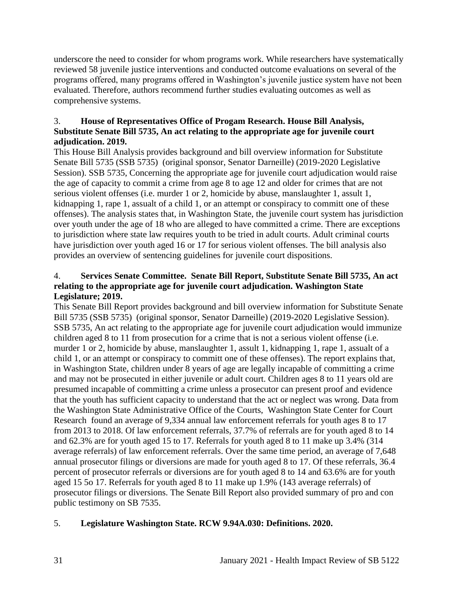underscore the need to consider for whom programs work. While researchers have systematically reviewed 58 juvenile justice interventions and conducted outcome evaluations on several of the programs offered, many programs offered in Washington's juvenile justice system have not been evaluated. Therefore, authors recommend further studies evaluating outcomes as well as comprehensive systems.

## 3. **House of Representatives Office of Progam Research. House Bill Analysis, Substitute Senate Bill 5735, An act relating to the appropriate age for juvenile court adjudication. 2019.**

This House Bill Analysis provides background and bill overview information for Substitute Senate Bill 5735 (SSB 5735) (original sponsor, Senator Darneille) (2019-2020 Legislative Session). SSB 5735, Concerning the appropriate age for juvenile court adjudication would raise the age of capacity to commit a crime from age 8 to age 12 and older for crimes that are not serious violent offenses (i.e. murder 1 or 2, homicide by abuse, manslaughter 1, assult 1, kidnapping 1, rape 1, assualt of a child 1, or an attempt or conspiracy to committ one of these offenses). The analysis states that, in Washington State, the juvenile court system has jurisdiction over youth under the age of 18 who are alleged to have committed a crime. There are exceptions to jurisdiction where state law requires youth to be tried in adult courts. Adult criminal courts have jurisdiction over youth aged 16 or 17 for serious violent offenses. The bill analysis also provides an overview of sentencing guidelines for juvenile court dispositions.

## 4. **Services Senate Committee. Senate Bill Report, Substitute Senate Bill 5735, An act relating to the appropriate age for juvenile court adjudication. Washington State Legislature; 2019.**

This Senate Bill Report provides background and bill overview information for Substitute Senate Bill 5735 (SSB 5735) (original sponsor, Senator Darneille) (2019-2020 Legislative Session). SSB 5735, An act relating to the appropriate age for juvenile court adjudication would immunize children aged 8 to 11 from prosecution for a crime that is not a serious violent offense (i.e. murder 1 or 2, homicide by abuse, manslaughter 1, assult 1, kidnapping 1, rape 1, assualt of a child 1, or an attempt or conspiracy to committ one of these offenses). The report explains that, in Washington State, children under 8 years of age are legally incapable of committing a crime and may not be prosecuted in either juvenile or adult court. Children ages 8 to 11 years old are presumed incapable of committing a crime unless a prosecutor can present proof and evidence that the youth has sufficient capacity to understand that the act or neglect was wrong. Data from the Washington State Administrative Office of the Courts, Washington State Center for Court Research found an average of 9,334 annual law enforcement referrals for youth ages 8 to 17 from 2013 to 2018. Of law enforcement referrals, 37.7% of referrals are for youth aged 8 to 14 and 62.3% are for youth aged 15 to 17. Referrals for youth aged 8 to 11 make up 3.4% (314 average referrals) of law enforcement referrals. Over the same time period, an average of 7,648 annual prosecutor filings or diversions are made for youth aged 8 to 17. Of these referrals, 36.4 percent of prosecutor referrals or diversions are for youth aged 8 to 14 and 63.6% are for youth aged 15 5o 17. Referrals for youth aged 8 to 11 make up 1.9% (143 average referrals) of prosecutor filings or diversions. The Senate Bill Report also provided summary of pro and con public testimony on SB 7535.

# 5. **Legislature Washington State. RCW 9.94A.030: Definitions. 2020.**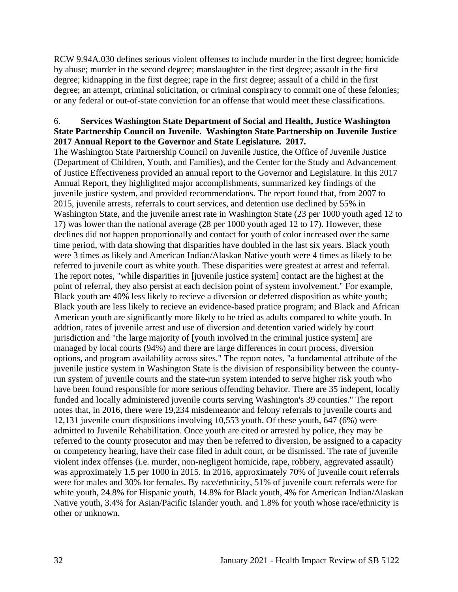RCW 9.94A.030 defines serious violent offenses to include murder in the first degree; homicide by abuse; murder in the second degree; manslaughter in the first degree; assault in the first degree; kidnapping in the first degree; rape in the first degree; assault of a child in the first degree; an attempt, criminal solicitation, or criminal conspiracy to commit one of these felonies; or any federal or out-of-state conviction for an offense that would meet these classifications.

### 6. **Services Washington State Department of Social and Health, Justice Washington State Partnership Council on Juvenile. Washington State Partnership on Juvenile Justice 2017 Annual Report to the Governor and State Legislature. 2017.**

The Washington State Partnership Council on Juvenile Justice, the Office of Juvenile Justice (Department of Children, Youth, and Families), and the Center for the Study and Advancement of Justice Effectiveness provided an annual report to the Governor and Legislature. In this 2017 Annual Report, they highlighted major accomplishments, summarized key findings of the juvenile justice system, and provided recommendations. The report found that, from 2007 to 2015, juvenile arrests, referrals to court services, and detention use declined by 55% in Washington State, and the juvenile arrest rate in Washington State (23 per 1000 youth aged 12 to 17) was lower than the national average (28 per 1000 youth aged 12 to 17). However, these declines did not happen proportionally and contact for youth of color increased over the same time period, with data showing that disparities have doubled in the last six years. Black youth were 3 times as likely and American Indian/Alaskan Native youth were 4 times as likely to be referred to juvenile court as white youth. These disparities were greatest at arrest and referral. The report notes, "while disparities in [juvenile justice system] contact are the highest at the point of referral, they also persist at each decision point of system involvement." For example, Black youth are 40% less likely to recieve a diversion or deferred disposition as white youth; Black youth are less likely to recieve an evidence-based pratice program; and Black and African American youth are significantly more likely to be tried as adults compared to white youth. In addtion, rates of juvenile arrest and use of diversion and detention varied widely by court jurisdiction and "the large majority of [youth involved in the criminal justice system] are managed by local courts (94%) and there are large differences in court process, diversion options, and program availability across sites." The report notes, "a fundamental attribute of the juvenile justice system in Washington State is the division of responsibility between the countyrun system of juvenile courts and the state-run system intended to serve higher risk youth who have been found responsible for more serious offending behavior. There are 35 indepent, locally funded and locally administered juvenile courts serving Washington's 39 counties." The report notes that, in 2016, there were 19,234 misdemeanor and felony referrals to juvenile courts and 12,131 juvenile court dispositions involving 10,553 youth. Of these youth, 647 (6%) were admitted to Juvenile Rehabilitation. Once youth are cited or arrested by police, they may be referred to the county prosecutor and may then be referred to diversion, be assigned to a capacity or competency hearing, have their case filed in adult court, or be dismissed. The rate of juvenile violent index offenses (i.e. murder, non-negligent homicide, rape, robbery, aggrevated assault) was approximately 1.5 per 1000 in 2015. In 2016, approximately 70% of juvenile court referrals were for males and 30% for females. By race/ethnicity, 51% of juvenile court referrals were for white youth, 24.8% for Hispanic youth, 14.8% for Black youth, 4% for American Indian/Alaskan Native youth, 3.4% for Asian/Pacific Islander youth. and 1.8% for youth whose race/ethnicity is other or unknown.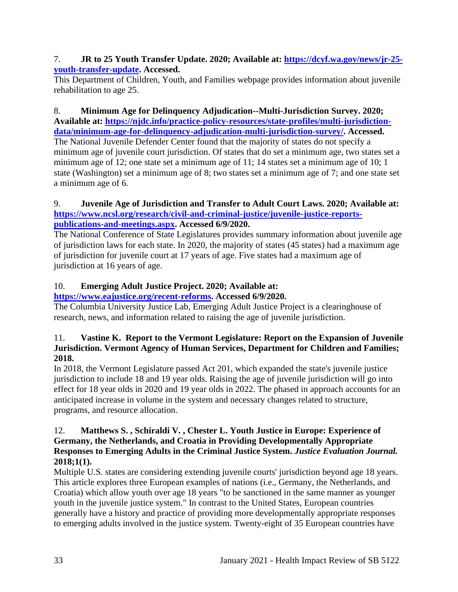### 7. **JR to 25 Youth Transfer Update. 2020; Available at: [https://dcyf.wa.gov/news/jr-25](https://dcyf.wa.gov/news/jr-25-youth-transfer-update) [youth-transfer-update.](https://dcyf.wa.gov/news/jr-25-youth-transfer-update) Accessed.**

This Department of Children, Youth, and Families webpage provides information about juvenile rehabilitation to age 25.

8. **Minimum Age for Delinquency Adjudication--Multi-Jurisdiction Survey. 2020; Available at: [https://njdc.info/practice-policy-resources/state-profiles/multi-jurisdiction](https://njdc.info/practice-policy-resources/state-profiles/multi-jurisdiction-data/minimum-age-for-delinquency-adjudication-multi-jurisdiction-survey/)[data/minimum-age-for-delinquency-adjudication-multi-jurisdiction-survey/.](https://njdc.info/practice-policy-resources/state-profiles/multi-jurisdiction-data/minimum-age-for-delinquency-adjudication-multi-jurisdiction-survey/) Accessed.**

The National Juvenile Defender Center found that the majority of states do not specify a minimum age of juvenile court jurisdiction. Of states that do set a minimum age, two states set a minimum age of 12; one state set a minimum age of 11; 14 states set a minimum age of 10; 1 state (Washington) set a minimum age of 8; two states set a minimum age of 7; and one state set a minimum age of 6.

### 9. **Juvenile Age of Jurisdiction and Transfer to Adult Court Laws. 2020; Available at: [https://www.ncsl.org/research/civil-and-criminal-justice/juvenile-justice-reports](https://www.ncsl.org/research/civil-and-criminal-justice/juvenile-justice-reports-publications-and-meetings.aspx)[publications-and-meetings.aspx.](https://www.ncsl.org/research/civil-and-criminal-justice/juvenile-justice-reports-publications-and-meetings.aspx) Accessed 6/9/2020.**

The National Conference of State Legislatures provides summary information about juvenile age of jurisdiction laws for each state. In 2020, the majority of states (45 states) had a maximum age of jurisdiction for juvenile court at 17 years of age. Five states had a maximum age of jurisdiction at 16 years of age.

# 10. **Emerging Adult Justice Project. 2020; Available at:**

# **[https://www.eajustice.org/recent-reforms.](https://www.eajustice.org/recent-reforms) Accessed 6/9/2020.**

The Columbia University Justice Lab, Emerging Adult Justice Project is a clearinghouse of research, news, and information related to raising the age of juvenile jurisdiction.

### 11. **Vastine K. Report to the Vermont Legislature: Report on the Expansion of Juvenile Jurisdiction. Vermont Agency of Human Services, Department for Children and Families; 2018.**

In 2018, the Vermont Legislature passed Act 201, which expanded the state's juvenile justice jurisdiction to include 18 and 19 year olds. Raising the age of juvenile jurisdiction will go into effect for 18 year olds in 2020 and 19 year olds in 2022. The phased in approach accounts for an anticipated increase in volume in the system and necessary changes related to structure, programs, and resource allocation.

### 12. **Matthews S. , Schiraldi V. , Chester L. Youth Justice in Europe: Experience of Germany, the Netherlands, and Croatia in Providing Developmentally Appropriate Responses to Emerging Adults in the Criminal Justice System.** *Justice Evaluation Journal.*  **2018;1(1).**

Multiple U.S. states are considering extending juvenile courts' jurisdiction beyond age 18 years. This article explores three European examples of nations (i.e., Germany, the Netherlands, and Croatia) which allow youth over age 18 years "to be sanctioned in the same manner as younger youth in the juvenile justice system." In contrast to the United States, European countries generally have a history and practice of providing more developmentally appropriate responses to emerging adults involved in the justice system. Twenty-eight of 35 European countries have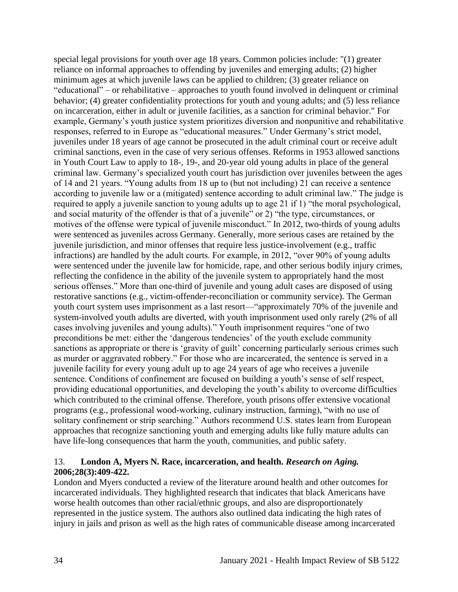special legal provisions for youth over age 18 years. Common policies include: "(1) greater reliance on informal approaches to offending by juveniles and emerging adults; (2) higher minimum ages at which juvenile laws can be applied to children; (3) greater reliance on "educational" – or rehabilitative – approaches to youth found involved in delinquent or criminal behavior; (4) greater confidentiality protections for youth and young adults; and (5) less reliance on incarceration, either in adult or juvenile facilities, as a sanction for criminal behavior." For example, Germany's youth justice system prioritizes diversion and nonpunitive and rehabilitative responses, referred to in Europe as "educational measures." Under Germany's strict model, juveniles under 18 years of age cannot be prosecuted in the adult criminal court or receive adult criminal sanctions, even in the case of very serious offenses. Reforms in 1953 allowed sanctions in Youth Court Law to apply to 18-, 19-, and 20-year old young adults in place of the general criminal law. Germany's specialized youth court has jurisdiction over juveniles between the ages of 14 and 21 years. "Young adults from 18 up to (but not including) 21 can receive a sentence according to juvenile law or a (mitigated) sentence according to adult criminal law." The judge is required to apply a juvenile sanction to young adults up to age 21 if 1) "the moral psychological, and social maturity of the offender is that of a juvenile" or 2) "the type, circumstances, or motives of the offense were typical of juvenile misconduct." In 2012, two-thirds of young adults were sentenced as juveniles across Germany. Generally, more serious cases are retained by the juvenile jurisdiction, and minor offenses that require less justice-involvement (e.g., traffic infractions) are handled by the adult courts. For example, in 2012, "over 90% of young adults were sentenced under the juvenile law for homicide, rape, and other serious bodily injury crimes, reflecting the confidence in the ability of the juvenile system to appropriately hand the most serious offenses." More than one-third of juvenile and young adult cases are disposed of using restorative sanctions (e.g., victim-offender-reconciliation or community service). The German youth court system uses imprisonment as a last resort—"approximately 70% of the juvenile and system-involved youth adults are diverted, with youth imprisonment used only rarely (2% of all cases involving juveniles and young adults)." Youth imprisonment requires "one of two preconditions be met: either the 'dangerous tendencies' of the youth exclude community sanctions as appropriate or there is 'gravity of guilt' concerning particularly serious crimes such as murder or aggravated robbery." For those who are incarcerated, the sentence is served in a juvenile facility for every young adult up to age 24 years of age who receives a juvenile sentence. Conditions of confinement are focused on building a youth's sense of self respect, providing educational opportunities, and developing the youth's ability to overcome difficulties which contributed to the criminal offense. Therefore, youth prisons offer extensive vocational programs (e.g., professional wood-working, culinary instruction, farming), "with no use of solitary confinement or strip searching." Authors recommend U.S. states learn from European approaches that recognize sanctioning youth and emerging adults like fully mature adults can have life-long consequences that harm the youth, communities, and public safety.

#### 13. **London A, Myers N. Race, incarceration, and health.** *Research on Aging.*  **2006;28(3):409-422.**

London and Myers conducted a review of the literature around health and other outcomes for incarcerated individuals. They highlighted research that indicates that black Americans have worse health outcomes than other racial/ethnic groups, and also are disproportionately represented in the justice system. The authors also outlined data indicating the high rates of injury in jails and prison as well as the high rates of communicable disease among incarcerated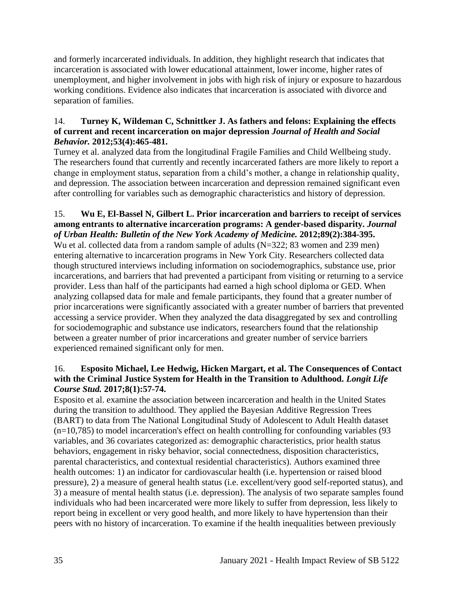and formerly incarcerated individuals. In addition, they highlight research that indicates that incarceration is associated with lower educational attainment, lower income, higher rates of unemployment, and higher involvement in jobs with high risk of injury or exposure to hazardous working conditions. Evidence also indicates that incarceration is associated with divorce and separation of families.

# 14. **Turney K, Wildeman C, Schnittker J. As fathers and felons: Explaining the effects of current and recent incarceration on major depression** *Journal of Health and Social Behavior.* **2012;53(4):465-481.**

Turney et al. analyzed data from the longitudinal Fragile Families and Child Wellbeing study. The researchers found that currently and recently incarcerated fathers are more likely to report a change in employment status, separation from a child's mother, a change in relationship quality, and depression. The association between incarceration and depression remained significant even after controlling for variables such as demographic characteristics and history of depression.

#### 15. **Wu E, El-Bassel N, Gilbert L. Prior incarceration and barriers to receipt of services among entrants to alternative incarceration programs: A gender-based disparity.** *Journal of Urban Health: Bulletin of the New York Academy of Medicine.* **2012;89(2):384-395.**

Wu et al. collected data from a random sample of adults (N=322; 83 women and 239 men) entering alternative to incarceration programs in New York City. Researchers collected data though structured interviews including information on sociodemographics, substance use, prior incarcerations, and barriers that had prevented a participant from visiting or returning to a service provider. Less than half of the participants had earned a high school diploma or GED. When analyzing collapsed data for male and female participants, they found that a greater number of prior incarcerations were significantly associated with a greater number of barriers that prevented accessing a service provider. When they analyzed the data disaggregated by sex and controlling for sociodemographic and substance use indicators, researchers found that the relationship between a greater number of prior incarcerations and greater number of service barriers experienced remained significant only for men.

### 16. **Esposito Michael, Lee Hedwig, Hicken Margart, et al. The Consequences of Contact with the Criminal Justice System for Health in the Transition to Adulthood.** *Longit Life Course Stud.* **2017;8(1):57-74.**

Esposito et al. examine the association between incarceration and health in the United States during the transition to adulthood. They applied the Bayesian Additive Regression Trees (BART) to data from The National Longitudinal Study of Adolescent to Adult Health dataset  $(n=10,785)$  to model incarceration's effect on health controlling for confounding variables (93) variables, and 36 covariates categorized as: demographic characteristics, prior health status behaviors, engagement in risky behavior, social connectedness, disposition characteristics, parental characteristics, and contextual residential characteristics). Authors examined three health outcomes: 1) an indicator for cardiovascular health (i.e. hypertension or raised blood pressure), 2) a measure of general health status (i.e. excellent/very good self-reported status), and 3) a measure of mental health status (i.e. depression). The analysis of two separate samples found individuals who had been incarcerated were more likely to suffer from depression, less likely to report being in excellent or very good health, and more likely to have hypertension than their peers with no history of incarceration. To examine if the health inequalities between previously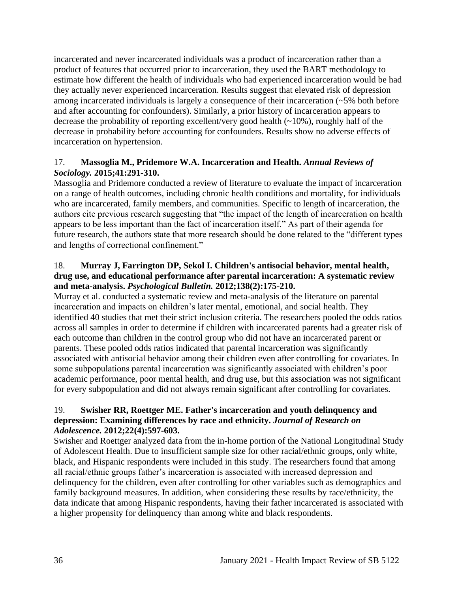incarcerated and never incarcerated individuals was a product of incarceration rather than a product of features that occurred prior to incarceration, they used the BART methodology to estimate how different the health of individuals who had experienced incarceration would be had they actually never experienced incarceration. Results suggest that elevated risk of depression among incarcerated individuals is largely a consequence of their incarceration (~5% both before and after accounting for confounders). Similarly, a prior history of incarceration appears to decrease the probability of reporting excellent/very good health (~10%), roughly half of the decrease in probability before accounting for confounders. Results show no adverse effects of incarceration on hypertension.

# 17. **Massoglia M., Pridemore W.A. Incarceration and Health.** *Annual Reviews of Sociology.* **2015;41:291-310.**

Massoglia and Pridemore conducted a review of literature to evaluate the impact of incarceration on a range of health outcomes, including chronic health conditions and mortality, for individuals who are incarcerated, family members, and communities. Specific to length of incarceration, the authors cite previous research suggesting that "the impact of the length of incarceration on health appears to be less important than the fact of incarceration itself." As part of their agenda for future research, the authors state that more research should be done related to the "different types and lengths of correctional confinement."

#### 18. **Murray J, Farrington DP, Sekol I. Children's antisocial behavior, mental health, drug use, and educational performance after parental incarceration: A systematic review and meta-analysis.** *Psychological Bulletin.* **2012;138(2):175-210.**

Murray et al. conducted a systematic review and meta-analysis of the literature on parental incarceration and impacts on children's later mental, emotional, and social health. They identified 40 studies that met their strict inclusion criteria. The researchers pooled the odds ratios across all samples in order to determine if children with incarcerated parents had a greater risk of each outcome than children in the control group who did not have an incarcerated parent or parents. These pooled odds ratios indicated that parental incarceration was significantly associated with antisocial behavior among their children even after controlling for covariates. In some subpopulations parental incarceration was significantly associated with children's poor academic performance, poor mental health, and drug use, but this association was not significant for every subpopulation and did not always remain significant after controlling for covariates.

# 19. **Swisher RR, Roettger ME. Father's incarceration and youth delinquency and depression: Examining differences by race and ethnicity.** *Journal of Research on Adolescence.* **2012;22(4):597-603.**

Swisher and Roettger analyzed data from the in-home portion of the National Longitudinal Study of Adolescent Health. Due to insufficient sample size for other racial/ethnic groups, only white, black, and Hispanic respondents were included in this study. The researchers found that among all racial/ethnic groups father's incarceration is associated with increased depression and delinquency for the children, even after controlling for other variables such as demographics and family background measures. In addition, when considering these results by race/ethnicity, the data indicate that among Hispanic respondents, having their father incarcerated is associated with a higher propensity for delinquency than among white and black respondents.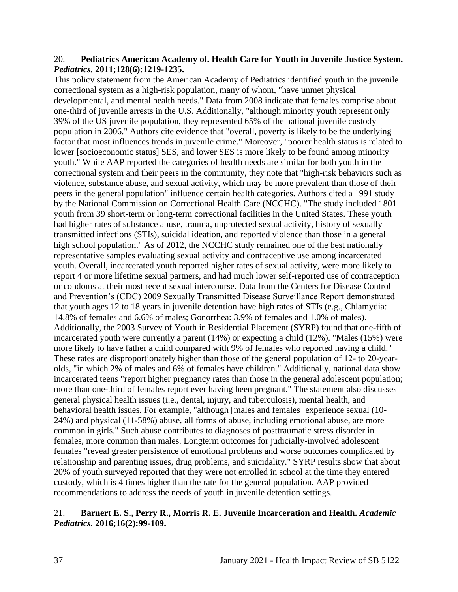#### 20. **Pediatrics American Academy of. Health Care for Youth in Juvenile Justice System.**  *Pediatrics.* **2011;128(6):1219-1235.**

This policy statement from the American Academy of Pediatrics identified youth in the juvenile correctional system as a high-risk population, many of whom, "have unmet physical developmental, and mental health needs." Data from 2008 indicate that females comprise about one-third of juvenile arrests in the U.S. Additionally, "although minority youth represent only 39% of the US juvenile population, they represented 65% of the national juvenile custody population in 2006." Authors cite evidence that "overall, poverty is likely to be the underlying factor that most influences trends in juvenile crime." Moreover, "poorer health status is related to lower [socioeconomic status] SES, and lower SES is more likely to be found among minority youth." While AAP reported the categories of health needs are similar for both youth in the correctional system and their peers in the community, they note that "high-risk behaviors such as violence, substance abuse, and sexual activity, which may be more prevalent than those of their peers in the general population" influence certain health categories. Authors cited a 1991 study by the National Commission on Correctional Health Care (NCCHC). "The study included 1801 youth from 39 short-term or long-term correctional facilities in the United States. These youth had higher rates of substance abuse, trauma, unprotected sexual activity, history of sexually transmitted infections (STIs), suicidal ideation, and reported violence than those in a general high school population." As of 2012, the NCCHC study remained one of the best nationally representative samples evaluating sexual activity and contraceptive use among incarcerated youth. Overall, incarcerated youth reported higher rates of sexual activity, were more likely to report 4 or more lifetime sexual partners, and had much lower self-reported use of contraception or condoms at their most recent sexual intercourse. Data from the Centers for Disease Control and Prevention's (CDC) 2009 Sexually Transmitted Disease Surveillance Report demonstrated that youth ages 12 to 18 years in juvenile detention have high rates of STIs (e.g., Chlamydia: 14.8% of females and 6.6% of males; Gonorrhea: 3.9% of females and 1.0% of males). Additionally, the 2003 Survey of Youth in Residential Placement (SYRP) found that one-fifth of incarcerated youth were currently a parent (14%) or expecting a child (12%). "Males (15%) were more likely to have father a child compared with 9% of females who reported having a child." These rates are disproportionately higher than those of the general population of 12- to 20-yearolds, "in which 2% of males and 6% of females have children." Additionally, national data show incarcerated teens "report higher pregnancy rates than those in the general adolescent population; more than one-third of females report ever having been pregnant." The statement also discusses general physical health issues (i.e., dental, injury, and tuberculosis), mental health, and behavioral health issues. For example, "although [males and females] experience sexual (10- 24%) and physical (11-58%) abuse, all forms of abuse, including emotional abuse, are more common in girls." Such abuse contributes to diagnoses of posttraumatic stress disorder in females, more common than males. Longterm outcomes for judicially-involved adolescent females "reveal greater persistence of emotional problems and worse outcomes complicated by relationship and parenting issues, drug problems, and suicidality." SYRP results show that about 20% of youth surveyed reported that they were not enrolled in school at the time they entered custody, which is 4 times higher than the rate for the general population. AAP provided recommendations to address the needs of youth in juvenile detention settings.

#### 21. **Barnert E. S., Perry R., Morris R. E. Juvenile Incarceration and Health.** *Academic Pediatrics.* **2016;16(2):99-109.**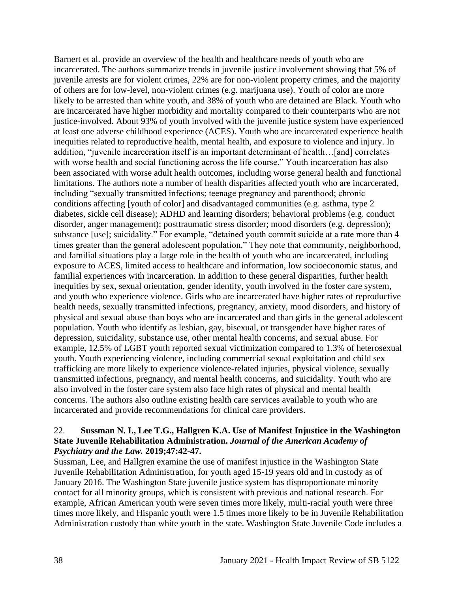Barnert et al. provide an overview of the health and healthcare needs of youth who are incarcerated. The authors summarize trends in juvenile justice involvement showing that 5% of juvenile arrests are for violent crimes, 22% are for non-violent property crimes, and the majority of others are for low-level, non-violent crimes (e.g. marijuana use). Youth of color are more likely to be arrested than white youth, and 38% of youth who are detained are Black. Youth who are incarcerated have higher morbidity and mortality compared to their counterparts who are not justice-involved. About 93% of youth involved with the juvenile justice system have experienced at least one adverse childhood experience (ACES). Youth who are incarcerated experience health inequities related to reproductive health, mental health, and exposure to violence and injury. In addition, "juvenile incarceration itself is an important determinant of health…[and] correlates with worse health and social functioning across the life course." Youth incarceration has also been associated with worse adult health outcomes, including worse general health and functional limitations. The authors note a number of health disparities affected youth who are incarcerated, including "sexually transmitted infections; teenage pregnancy and parenthood; chronic conditions affecting [youth of color] and disadvantaged communities (e.g. asthma, type 2 diabetes, sickle cell disease); ADHD and learning disorders; behavioral problems (e.g. conduct disorder, anger management); posttraumatic stress disorder; mood disorders (e.g. depression); substance [use]; suicidality." For example, "detained youth commit suicide at a rate more than 4 times greater than the general adolescent population." They note that community, neighborhood, and familial situations play a large role in the health of youth who are incarcerated, including exposure to ACES, limited access to healthcare and information, low socioeconomic status, and familial experiences with incarceration. In addition to these general disparities, further health inequities by sex, sexual orientation, gender identity, youth involved in the foster care system, and youth who experience violence. Girls who are incarcerated have higher rates of reproductive health needs, sexually transmitted infections, pregnancy, anxiety, mood disorders, and history of physical and sexual abuse than boys who are incarcerated and than girls in the general adolescent population. Youth who identify as lesbian, gay, bisexual, or transgender have higher rates of depression, suicidality, substance use, other mental health concerns, and sexual abuse. For example, 12.5% of LGBT youth reported sexual victimization compared to 1.3% of heterosexual youth. Youth experiencing violence, including commercial sexual exploitation and child sex trafficking are more likely to experience violence-related injuries, physical violence, sexually transmitted infections, pregnancy, and mental health concerns, and suicidality. Youth who are also involved in the foster care system also face high rates of physical and mental health concerns. The authors also outline existing health care services available to youth who are incarcerated and provide recommendations for clinical care providers.

#### 22. **Sussman N. I., Lee T.G., Hallgren K.A. Use of Manifest Injustice in the Washington State Juvenile Rehabilitation Administration.** *Journal of the American Academy of Psychiatry and the Law.* **2019;47:42-47.**

Sussman, Lee, and Hallgren examine the use of manifest injustice in the Washington State Juvenile Rehabilitation Administration, for youth aged 15-19 years old and in custody as of January 2016. The Washington State juvenile justice system has disproportionate minority contact for all minority groups, which is consistent with previous and national research. For example, African American youth were seven times more likely, multi-racial youth were three times more likely, and Hispanic youth were 1.5 times more likely to be in Juvenile Rehabilitation Administration custody than white youth in the state. Washington State Juvenile Code includes a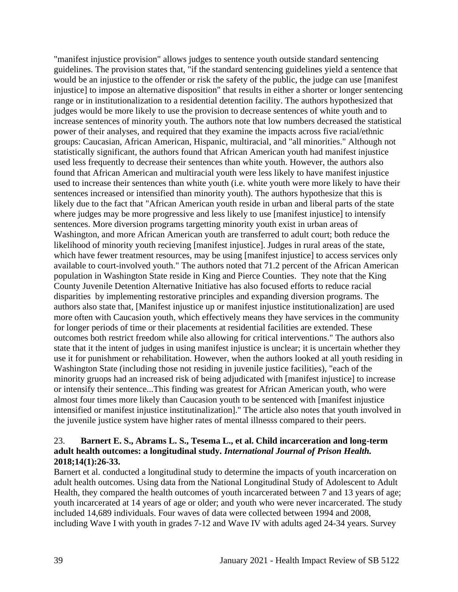"manifest injustice provision" allows judges to sentence youth outside standard sentencing guidelines. The provision states that, "if the standard sentencing guidelines yield a sentence that would be an injustice to the offender or risk the safety of the public, the judge can use [manifest injustice] to impose an alternative disposition" that results in either a shorter or longer sentencing range or in institutionalization to a residential detention facility. The authors hypothesized that judges would be more likely to use the provision to decrease sentences of white youth and to increase sentences of minority youth. The authors note that low numbers decreased the statistical power of their analyses, and required that they examine the impacts across five racial/ethnic groups: Caucasian, African American, Hispanic, multiracial, and "all minorities." Although not statistically significant, the authors found that African American youth had manifest injustice used less frequently to decrease their sentences than white youth. However, the authors also found that African American and multiracial youth were less likely to have manifest injustice used to increase their sentences than white youth (i.e. white youth were more likely to have their sentences increased or intensified than minority youth). The authors hypothesize that this is likely due to the fact that "African American youth reside in urban and liberal parts of the state where judges may be more progressive and less likely to use [manifest injustice] to intensify sentences. More diversion programs targetting minority youth exist in urban areas of Washington, and more African American youth are transferred to adult court; both reduce the likelihood of minority youth recieving [manifest injustice]. Judges in rural areas of the state, which have fewer treatment resources, may be using [manifest injustice] to access services only available to court-involved youth." The authors noted that 71.2 percent of the African American population in Washington State reside in King and Pierce Counties. They note that the King County Juvenile Detention Alternative Initiative has also focused efforts to reduce racial disparities by implementing restorative principles and expanding diversion programs. The authors also state that, [Manifest injustice up or manifest injustice institutionalization] are used more often with Caucasion youth, which effectively means they have services in the community for longer periods of time or their placements at residential facilities are extended. These outcomes both restrict freedom while also allowing for critical interventions." The authors also state that it the intent of judges in using manifest injustice is unclear; it is uncertain whether they use it for punishment or rehabilitation. However, when the authors looked at all youth residing in Washington State (including those not residing in juvenile justice facilities), "each of the minority gruops had an increased risk of being adjudicated with [manifest injustice] to increase or intensify their sentence...This finding was greatest for African American youth, who were almost four times more likely than Caucasion youth to be sentenced with [manifest injustice intensified or manifest injustice institutinalization]." The article also notes that youth involved in the juvenile justice system have higher rates of mental illnesss compared to their peers.

#### 23. **Barnert E. S., Abrams L. S., Tesema L., et al. Child incarceration and long-term adult health outcomes: a longitudinal study.** *International Journal of Prison Health.*  **2018;14(1):26-33.**

Barnert et al. conducted a longitudinal study to determine the impacts of youth incarceration on adult health outcomes. Using data from the National Longitudinal Study of Adolescent to Adult Health, they compared the health outcomes of youth incarcerated between 7 and 13 years of age; youth incarcerated at 14 years of age or older; and youth who were never incarcerated. The study included 14,689 individuals. Four waves of data were collected between 1994 and 2008, including Wave I with youth in grades 7-12 and Wave IV with adults aged 24-34 years. Survey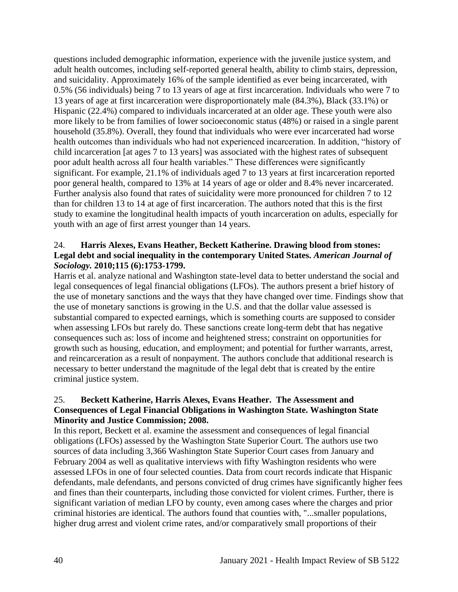questions included demographic information, experience with the juvenile justice system, and adult health outcomes, including self-reported general health, ability to climb stairs, depression, and suicidality. Approximately 16% of the sample identified as ever being incarcerated, with 0.5% (56 individuals) being 7 to 13 years of age at first incarceration. Individuals who were 7 to 13 years of age at first incarceration were disproportionately male (84.3%), Black (33.1%) or Hispanic (22.4%) compared to individuals incarcerated at an older age. These youth were also more likely to be from families of lower socioeconomic status (48%) or raised in a single parent household (35.8%). Overall, they found that individuals who were ever incarcerated had worse health outcomes than individuals who had not experienced incarceration. In addition, "history of child incarceration [at ages 7 to 13 years] was associated with the highest rates of subsequent poor adult health across all four health variables." These differences were significantly significant. For example, 21.1% of individuals aged 7 to 13 years at first incarceration reported poor general health, compared to 13% at 14 years of age or older and 8.4% never incarcerated. Further analysis also found that rates of suicidality were more pronounced for children 7 to 12 than for children 13 to 14 at age of first incarceration. The authors noted that this is the first study to examine the longitudinal health impacts of youth incarceration on adults, especially for youth with an age of first arrest younger than 14 years.

#### 24. **Harris Alexes, Evans Heather, Beckett Katherine. Drawing blood from stones: Legal debt and social inequality in the contemporary United States.** *American Journal of Sociology.* **2010;115 (6):1753-1799.**

Harris et al. analyze national and Washington state-level data to better understand the social and legal consequences of legal financial obligations (LFOs). The authors present a brief history of the use of monetary sanctions and the ways that they have changed over time. Findings show that the use of monetary sanctions is growing in the U.S. and that the dollar value assessed is substantial compared to expected earnings, which is something courts are supposed to consider when assessing LFOs but rarely do. These sanctions create long-term debt that has negative consequences such as: loss of income and heightened stress; constraint on opportunities for growth such as housing, education, and employment; and potential for further warrants, arrest, and reincarceration as a result of nonpayment. The authors conclude that additional research is necessary to better understand the magnitude of the legal debt that is created by the entire criminal justice system.

### 25. **Beckett Katherine, Harris Alexes, Evans Heather. The Assessment and Consequences of Legal Financial Obligations in Washington State. Washington State Minority and Justice Commission; 2008.**

In this report, Beckett et al. examine the assessment and consequences of legal financial obligations (LFOs) assessed by the Washington State Superior Court. The authors use two sources of data including 3,366 Washington State Superior Court cases from January and February 2004 as well as qualitative interviews with fifty Washington residents who were assessed LFOs in one of four selected counties. Data from court records indicate that Hispanic defendants, male defendants, and persons convicted of drug crimes have significantly higher fees and fines than their counterparts, including those convicted for violent crimes. Further, there is significant variation of median LFO by county, even among cases where the charges and prior criminal histories are identical. The authors found that counties with, "...smaller populations, higher drug arrest and violent crime rates, and/or comparatively small proportions of their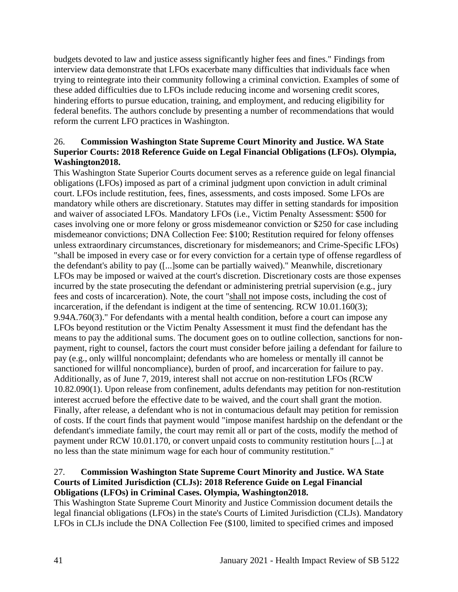budgets devoted to law and justice assess significantly higher fees and fines." Findings from interview data demonstrate that LFOs exacerbate many difficulties that individuals face when trying to reintegrate into their community following a criminal conviction. Examples of some of these added difficulties due to LFOs include reducing income and worsening credit scores, hindering efforts to pursue education, training, and employment, and reducing eligibility for federal benefits. The authors conclude by presenting a number of recommendations that would reform the current LFO practices in Washington.

### 26. **Commission Washington State Supreme Court Minority and Justice. WA State Superior Courts: 2018 Reference Guide on Legal Financial Obligations (LFOs). Olympia, Washington2018.**

This Washington State Superior Courts document serves as a reference guide on legal financial obligations (LFOs) imposed as part of a criminal judgment upon conviction in adult criminal court. LFOs include restitution, fees, fines, assessments, and costs imposed. Some LFOs are mandatory while others are discretionary. Statutes may differ in setting standards for imposition and waiver of associated LFOs. Mandatory LFOs (i.e., Victim Penalty Assessment: \$500 for cases involving one or more felony or gross misdemeanor conviction or \$250 for case including misdemeanor convictions; DNA Collection Fee: \$100; Restitution required for felony offenses unless extraordinary circumstances, discretionary for misdemeanors; and Crime-Specific LFOs) "shall be imposed in every case or for every conviction for a certain type of offense regardless of the defendant's ability to pay ([...]some can be partially waived)." Meanwhile, discretionary LFOs may be imposed or waived at the court's discretion. Discretionary costs are those expenses incurred by the state prosecuting the defendant or administering pretrial supervision (e.g., jury fees and costs of incarceration). Note, the court "shall not impose costs, including the cost of incarceration, if the defendant is indigent at the time of sentencing. RCW 10.01.160(3); 9.94A.760(3)." For defendants with a mental health condition, before a court can impose any LFOs beyond restitution or the Victim Penalty Assessment it must find the defendant has the means to pay the additional sums. The document goes on to outline collection, sanctions for nonpayment, right to counsel, factors the court must consider before jailing a defendant for failure to pay (e.g., only willful noncomplaint; defendants who are homeless or mentally ill cannot be sanctioned for willful noncompliance), burden of proof, and incarceration for failure to pay. Additionally, as of June 7, 2019, interest shall not accrue on non-restitution LFOs (RCW 10.82.090(1). Upon release from confinement, adults defendants may petition for non-restitution interest accrued before the effective date to be waived, and the court shall grant the motion. Finally, after release, a defendant who is not in contumacious default may petition for remission of costs. If the court finds that payment would "impose manifest hardship on the defendant or the defendant's immediate family, the court may remit all or part of the costs, modify the method of payment under RCW 10.01.170, or convert unpaid costs to community restitution hours [...] at no less than the state minimum wage for each hour of community restitution."

### 27. **Commission Washington State Supreme Court Minority and Justice. WA State Courts of Limited Jurisdiction (CLJs): 2018 Reference Guide on Legal Financial Obligations (LFOs) in Criminal Cases. Olympia, Washington2018.**

This Washington State Supreme Court Minority and Justice Commission document details the legal financial obligations (LFOs) in the state's Courts of Limited Jurisdiction (CLJs). Mandatory LFOs in CLJs include the DNA Collection Fee (\$100, limited to specified crimes and imposed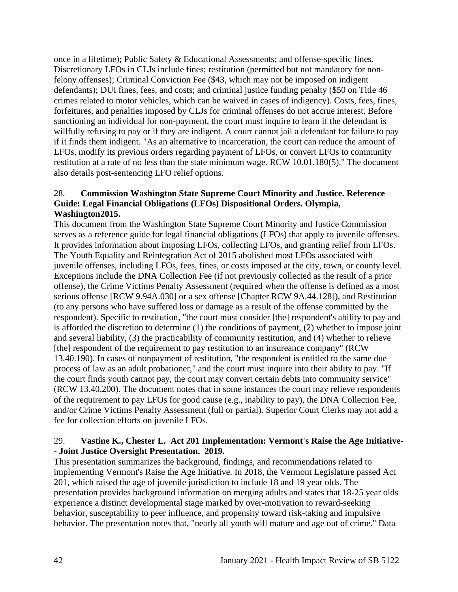once in a lifetime); Public Safety & Educational Assessments; and offense-specific fines. Discretionary LFOs in CLJs include fines; restitution (permitted but not mandatory for nonfelony offenses); Criminal Conviction Fee (\$43, which may not be imposed on indigent defendants); DUI fines, fees, and costs; and criminal justice funding penalty (\$50 on Title 46 crimes related to motor vehicles, which can be waived in cases of indigency). Costs, fees, fines, forfeitures, and penalties imposed by CLJs for criminal offenses do not accrue interest. Before sanctioning an individual for non-payment, the court must inquire to learn if the defendant is willfully refusing to pay or if they are indigent. A court cannot jail a defendant for failure to pay if it finds them indigent. "As an alternative to incarceration, the court can reduce the amount of LFOs, modify its previous orders regarding payment of LFOs, or convert LFOs to community restitution at a rate of no less than the state minimum wage. RCW 10.01.180(5)." The document also details post-sentencing LFO relief options.

#### 28. **Commission Washington State Supreme Court Minority and Justice. Reference Guide: Legal Financial Obligations (LFOs) Dispositional Orders. Olympia, Washington2015.**

This document from the Washington State Supreme Court Minority and Justice Commission serves as a reference guide for legal financial obligations (LFOs) that apply to juvenile offenses. It provides information about imposing LFOs, collecting LFOs, and granting relief from LFOs. The Youth Equality and Reintegration Act of 2015 abolished most LFOs associated with juvenile offenses, including LFOs, fees, fines, or costs imposed at the city, town, or county level. Exceptions include the DNA Collection Fee (if not previously collected as the result of a prior offense), the Crime Victims Penalty Assessment (required when the offense is defined as a most serious offense [RCW 9.94A.030] or a sex offense [Chapter RCW 9A.44.128]), and Restitution (to any persons who have suffered loss or damage as a result of the offense committed by the respondent). Specific to restitution, "the court must consider [the] respondent's ability to pay and is afforded the discretion to determine (1) the conditions of payment, (2) whether to impose joint and several liability, (3) the practicability of community restitution, and (4) whether to relieve [the] respondent of the requirement to pay restitution to an insureance company" (RCW 13.40.190). In cases of nonpayment of restitution, "the respondent is entitled to the same due process of law as an adult probationer," and the court must inquire into their ability to pay. "If the court finds youth cannot pay, the court may convert certain debts into community service" (RCW 13.40.200). The document notes that in some instances the court may relieve respondents of the requirement to pay LFOs for good cause (e.g., inability to pay), the DNA Collection Fee, and/or Crime Victims Penalty Assessment (full or partial). Superior Court Clerks may not add a fee for collection efforts on juvenile LFOs.

### 29. **Vastine K., Chester L. Act 201 Implementation: Vermont's Raise the Age Initiative- - Joint Justice Oversight Presentation. 2019.**

This presentation summarizes the background, findings, and recommendations related to implementing Vermont's Raise the Age Initiative. In 2018, the Vermont Legislature passed Act 201, which raised the age of juvenile jurisdiction to include 18 and 19 year olds. The presentation provides background information on merging adults and states that 18-25 year olds experience a distinct developmental stage marked by over-motivation to reward-seeking behavior, susceptability to peer influence, and propensity toward risk-taking and impulsive behavior. The presentation notes that, "nearly all youth will mature and age out of crime." Data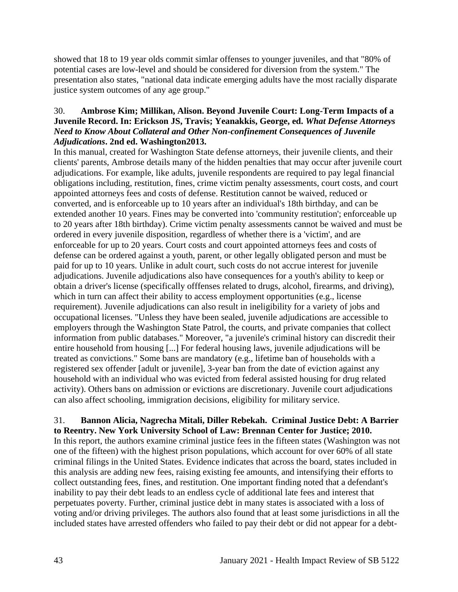showed that 18 to 19 year olds commit simlar offenses to younger juveniles, and that "80% of potential cases are low-level and should be considered for diversion from the system." The presentation also states, "national data indicate emerging adults have the most racially disparate justice system outcomes of any age group."

### 30. **Ambrose Kim; Millikan, Alison. Beyond Juvenile Court: Long-Term Impacts of a Juvenile Record. In: Erickson JS, Travis; Yeanakkis, George, ed.** *What Defense Attorneys Need to Know About Collateral and Other Non-confinement Consequences of Juvenile Adjudications***. 2nd ed. Washington2013.**

In this manual, created for Washington State defense attorneys, their juvenile clients, and their clients' parents, Ambrose details many of the hidden penalties that may occur after juvenile court adjudications. For example, like adults, juvenile respondents are required to pay legal financial obligations including, restitution, fines, crime victim penalty assessments, court costs, and court appointed attorneys fees and costs of defense. Restitution cannot be waived, reduced or converted, and is enforceable up to 10 years after an individual's 18th birthday, and can be extended another 10 years. Fines may be converted into 'community restitution'; enforceable up to 20 years after 18th birthday). Crime victim penalty assessments cannot be waived and must be ordered in every juvenile disposition, regardless of whether there is a 'victim', and are enforceable for up to 20 years. Court costs and court appointed attorneys fees and costs of defense can be ordered against a youth, parent, or other legally obligated person and must be paid for up to 10 years. Unlike in adult court, such costs do not accrue interest for juvenile adjudications. Juvenile adjudications also have consequences for a youth's ability to keep or obtain a driver's license (specifically offfenses related to drugs, alcohol, firearms, and driving), which in turn can affect their ability to access employment opportunities (e.g., license requirement). Juvenile adjudications can also result in ineligibility for a variety of jobs and occupational licenses. "Unless they have been sealed, juvenile adjudications are accessible to employers through the Washington State Patrol, the courts, and private companies that collect information from public databases." Moreover, "a juvenile's criminal history can discredit their entire household from housing [...] For federal housing laws, juvenile adjudications will be treated as convictions." Some bans are mandatory (e.g., lifetime ban of households with a registered sex offender [adult or juvenile], 3-year ban from the date of eviction against any household with an individual who was evicted from federal assisted housing for drug related activity). Others bans on admission or evictions are discretionary. Juvenile court adjudications can also affect schooling, immigration decisions, eligibility for military service.

#### 31. **Bannon Alicia, Nagrecha Mitali, Diller Rebekah. Criminal Justice Debt: A Barrier to Reentry. New York University School of Law: Brennan Center for Justice; 2010.**

In this report, the authors examine criminal justice fees in the fifteen states (Washington was not one of the fifteen) with the highest prison populations, which account for over 60% of all state criminal filings in the United States. Evidence indicates that across the board, states included in this analysis are adding new fees, raising existing fee amounts, and intensifying their efforts to collect outstanding fees, fines, and restitution. One important finding noted that a defendant's inability to pay their debt leads to an endless cycle of additional late fees and interest that perpetuates poverty. Further, criminal justice debt in many states is associated with a loss of voting and/or driving privileges. The authors also found that at least some jurisdictions in all the included states have arrested offenders who failed to pay their debt or did not appear for a debt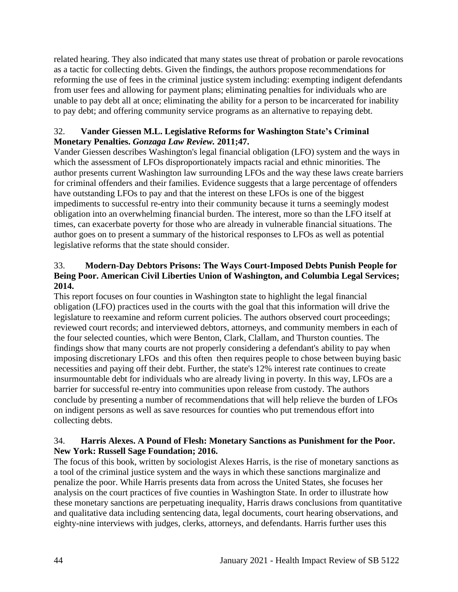related hearing. They also indicated that many states use threat of probation or parole revocations as a tactic for collecting debts. Given the findings, the authors propose recommendations for reforming the use of fees in the criminal justice system including: exempting indigent defendants from user fees and allowing for payment plans; eliminating penalties for individuals who are unable to pay debt all at once; eliminating the ability for a person to be incarcerated for inability to pay debt; and offering community service programs as an alternative to repaying debt.

#### 32. **Vander Giessen M.L. Legislative Reforms for Washington State's Criminal Monetary Penalties.** *Gonzaga Law Review.* **2011;47.**

Vander Giessen describes Washington's legal financial obligation (LFO) system and the ways in which the assessment of LFOs disproportionately impacts racial and ethnic minorities. The author presents current Washington law surrounding LFOs and the way these laws create barriers for criminal offenders and their families. Evidence suggests that a large percentage of offenders have outstanding LFOs to pay and that the interest on these LFOs is one of the biggest impediments to successful re-entry into their community because it turns a seemingly modest obligation into an overwhelming financial burden. The interest, more so than the LFO itself at times, can exacerbate poverty for those who are already in vulnerable financial situations. The author goes on to present a summary of the historical responses to LFOs as well as potential legislative reforms that the state should consider.

# 33. **Modern-Day Debtors Prisons: The Ways Court-Imposed Debts Punish People for Being Poor. American Civil Liberties Union of Washington, and Columbia Legal Services; 2014.**

This report focuses on four counties in Washington state to highlight the legal financial obligation (LFO) practices used in the courts with the goal that this information will drive the legislature to reexamine and reform current policies. The authors observed court proceedings; reviewed court records; and interviewed debtors, attorneys, and community members in each of the four selected counties, which were Benton, Clark, Clallam, and Thurston counties. The findings show that many courts are not properly considering a defendant's ability to pay when imposing discretionary LFOs and this often then requires people to chose between buying basic necessities and paying off their debt. Further, the state's 12% interest rate continues to create insurmountable debt for individuals who are already living in poverty. In this way, LFOs are a barrier for successful re-entry into communities upon release from custody. The authors conclude by presenting a number of recommendations that will help relieve the burden of LFOs on indigent persons as well as save resources for counties who put tremendous effort into collecting debts.

### 34. **Harris Alexes. A Pound of Flesh: Monetary Sanctions as Punishment for the Poor. New York: Russell Sage Foundation; 2016.**

The focus of this book, written by sociologist Alexes Harris, is the rise of monetary sanctions as a tool of the criminal justice system and the ways in which these sanctions marginalize and penalize the poor. While Harris presents data from across the United States, she focuses her analysis on the court practices of five counties in Washington State. In order to illustrate how these monetary sanctions are perpetuating inequality, Harris draws conclusions from quantitative and qualitative data including sentencing data, legal documents, court hearing observations, and eighty-nine interviews with judges, clerks, attorneys, and defendants. Harris further uses this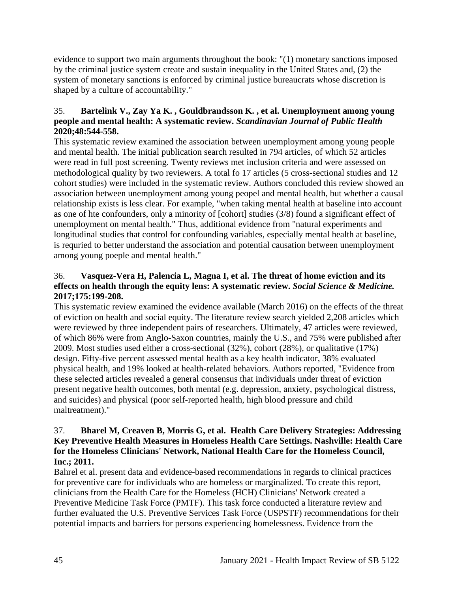evidence to support two main arguments throughout the book: "(1) monetary sanctions imposed by the criminal justice system create and sustain inequality in the United States and, (2) the system of monetary sanctions is enforced by criminal justice bureaucrats whose discretion is shaped by a culture of accountability."

# 35. **Bartelink V., Zay Ya K. , Gouldbrandsson K. , et al. Unemployment among young people and mental health: A systematic review.** *Scandinavian Journal of Public Health*  **2020;48:544-558.**

This systematic review examined the association between unemployment among young people and mental health. The initial publication search resulted in 794 articles, of which 52 articles were read in full post screening. Twenty reviews met inclusion criteria and were assessed on methodological quality by two reviewers. A total fo 17 articles (5 cross-sectional studies and 12 cohort studies) were included in the systematic review. Authors concluded this review showed an association between unemployment among young peopel and mental health, but whether a causal relationship exists is less clear. For example, "when taking mental health at baseline into account as one of hte confounders, only a minority of [cohort] studies (3/8) found a significant effect of unemployment on mental health." Thus, additional evidence from "natural experiments and longitudinal studies that control for confounding variables, especially mental health at baseline, is requried to better understand the association and potential causation between unemployment among young poeple and mental health."

# 36. **Vasquez-Vera H, Palencia L, Magna I, et al. The threat of home eviction and its effects on health through the equity lens: A systematic review.** *Social Science & Medicine.*  **2017;175:199-208.**

This systematic review examined the evidence available (March 2016) on the effects of the threat of eviction on health and social equity. The literature review search yielded 2,208 articles which were reviewed by three independent pairs of researchers. Ultimately, 47 articles were reviewed, of which 86% were from Anglo-Saxon countries, mainly the U.S., and 75% were published after 2009. Most studies used either a cross-sectional (32%), cohort (28%), or qualitative (17%) design. Fifty-five percent assessed mental health as a key health indicator, 38% evaluated physical health, and 19% looked at health-related behaviors. Authors reported, "Evidence from these selected articles revealed a general consensus that individuals under threat of eviction present negative health outcomes, both mental (e.g. depression, anxiety, psychological distress, and suicides) and physical (poor self-reported health, high blood pressure and child maltreatment)."

### 37. **Bharel M, Creaven B, Morris G, et al. Health Care Delivery Strategies: Addressing Key Preventive Health Measures in Homeless Health Care Settings. Nashville: Health Care for the Homeless Clinicians' Network, National Health Care for the Homeless Council, Inc.; 2011.**

Bahrel et al. present data and evidence-based recommendations in regards to clinical practices for preventive care for individuals who are homeless or marginalized. To create this report, clinicians from the Health Care for the Homeless (HCH) Clinicians' Network created a Preventive Medicine Task Force (PMTF). This task force conducted a literature review and further evaluated the U.S. Preventive Services Task Force (USPSTF) recommendations for their potential impacts and barriers for persons experiencing homelessness. Evidence from the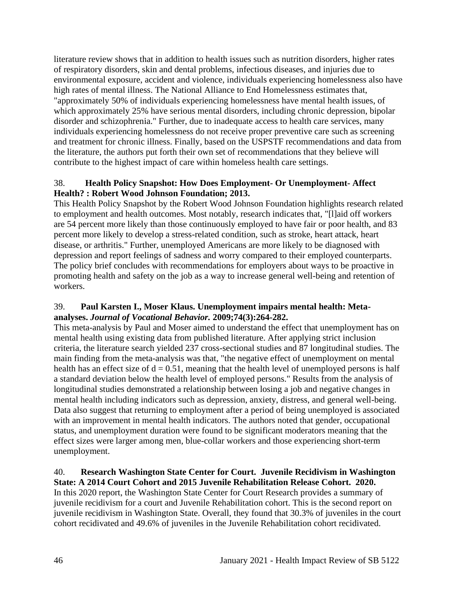literature review shows that in addition to health issues such as nutrition disorders, higher rates of respiratory disorders, skin and dental problems, infectious diseases, and injuries due to environmental exposure, accident and violence, individuals experiencing homelessness also have high rates of mental illness. The National Alliance to End Homelessness estimates that, "approximately 50% of individuals experiencing homelessness have mental health issues, of which approximately 25% have serious mental disorders, including chronic depression, bipolar disorder and schizophrenia." Further, due to inadequate access to health care services, many individuals experiencing homelessness do not receive proper preventive care such as screening and treatment for chronic illness. Finally, based on the USPSTF recommendations and data from the literature, the authors put forth their own set of recommendations that they believe will contribute to the highest impact of care within homeless health care settings.

### 38. **Health Policy Snapshot: How Does Employment- Or Unemployment- Affect Health? : Robert Wood Johnson Foundation; 2013.**

This Health Policy Snapshot by the Robert Wood Johnson Foundation highlights research related to employment and health outcomes. Most notably, research indicates that, "[l]aid off workers are 54 percent more likely than those continuously employed to have fair or poor health, and 83 percent more likely to develop a stress-related condition, such as stroke, heart attack, heart disease, or arthritis." Further, unemployed Americans are more likely to be diagnosed with depression and report feelings of sadness and worry compared to their employed counterparts. The policy brief concludes with recommendations for employers about ways to be proactive in promoting health and safety on the job as a way to increase general well-being and retention of workers.

### 39. **Paul Karsten I., Moser Klaus. Unemployment impairs mental health: Metaanalyses.** *Journal of Vocational Behavior.* **2009;74(3):264-282.**

This meta-analysis by Paul and Moser aimed to understand the effect that unemployment has on mental health using existing data from published literature. After applying strict inclusion criteria, the literature search yielded 237 cross-sectional studies and 87 longitudinal studies. The main finding from the meta-analysis was that, "the negative effect of unemployment on mental health has an effect size of  $d = 0.51$ , meaning that the health level of unemployed persons is half a standard deviation below the health level of employed persons." Results from the analysis of longitudinal studies demonstrated a relationship between losing a job and negative changes in mental health including indicators such as depression, anxiety, distress, and general well-being. Data also suggest that returning to employment after a period of being unemployed is associated with an improvement in mental health indicators. The authors noted that gender, occupational status, and unemployment duration were found to be significant moderators meaning that the effect sizes were larger among men, blue-collar workers and those experiencing short-term unemployment.

#### 40. **Research Washington State Center for Court. Juvenile Recidivism in Washington State: A 2014 Court Cohort and 2015 Juvenile Rehabilitation Release Cohort. 2020.**

In this 2020 report, the Washington State Center for Court Research provides a summary of juvenile recidivism for a court and Juvenile Rehabilitation cohort. This is the second report on juvenile recidivism in Washington State. Overall, they found that 30.3% of juveniles in the court cohort recidivated and 49.6% of juveniles in the Juvenile Rehabilitation cohort recidivated.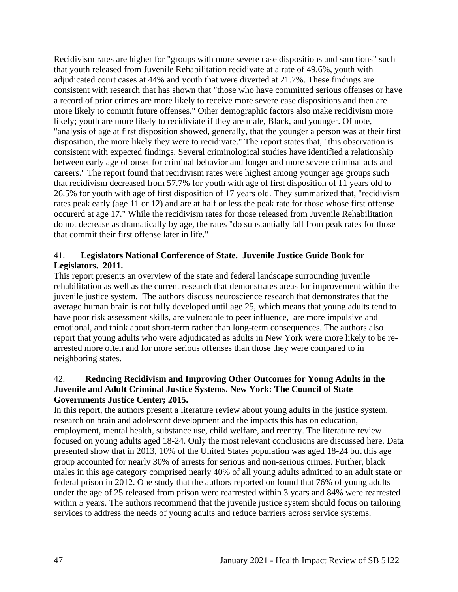Recidivism rates are higher for "groups with more severe case dispositions and sanctions" such that youth released from Juvenile Rehabilitation recidivate at a rate of 49.6%, youth with adjudicated court cases at 44% and youth that were diverted at 21.7%. These findings are consistent with research that has shown that "those who have committed serious offenses or have a record of prior crimes are more likely to receive more severe case dispositions and then are more likely to commit future offenses." Other demographic factors also make recidivism more likely; youth are more likely to recidiviate if they are male, Black, and younger. Of note, "analysis of age at first disposition showed, generally, that the younger a person was at their first disposition, the more likely they were to recidivate." The report states that, "this observation is consistent with expected findings. Several criminological studies have identified a relationship between early age of onset for criminal behavior and longer and more severe criminal acts and careers." The report found that recidivism rates were highest among younger age groups such that recidivism decreased from 57.7% for youth with age of first disposition of 11 years old to 26.5% for youth with age of first disposition of 17 years old. They summarized that, "recidivism rates peak early (age 11 or 12) and are at half or less the peak rate for those whose first offense occurerd at age 17." While the recidivism rates for those released from Juvenile Rehabilitation do not decrease as dramatically by age, the rates "do substantially fall from peak rates for those that commit their first offense later in life."

#### 41. **Legislators National Conference of State. Juvenile Justice Guide Book for Legislators. 2011.**

This report presents an overview of the state and federal landscape surrounding juvenile rehabilitation as well as the current research that demonstrates areas for improvement within the juvenile justice system. The authors discuss neuroscience research that demonstrates that the average human brain is not fully developed until age 25, which means that young adults tend to have poor risk assessment skills, are vulnerable to peer influence, are more impulsive and emotional, and think about short-term rather than long-term consequences. The authors also report that young adults who were adjudicated as adults in New York were more likely to be rearrested more often and for more serious offenses than those they were compared to in neighboring states.

### 42. **Reducing Recidivism and Improving Other Outcomes for Young Adults in the Juvenile and Adult Criminal Justice Systems. New York: The Council of State Governments Justice Center; 2015.**

In this report, the authors present a literature review about young adults in the justice system, research on brain and adolescent development and the impacts this has on education, employment, mental health, substance use, child welfare, and reentry. The literature review focused on young adults aged 18-24. Only the most relevant conclusions are discussed here. Data presented show that in 2013, 10% of the United States population was aged 18-24 but this age group accounted for nearly 30% of arrests for serious and non-serious crimes. Further, black males in this age category comprised nearly 40% of all young adults admitted to an adult state or federal prison in 2012. One study that the authors reported on found that 76% of young adults under the age of 25 released from prison were rearrested within 3 years and 84% were rearrested within 5 years. The authors recommend that the juvenile justice system should focus on tailoring services to address the needs of young adults and reduce barriers across service systems.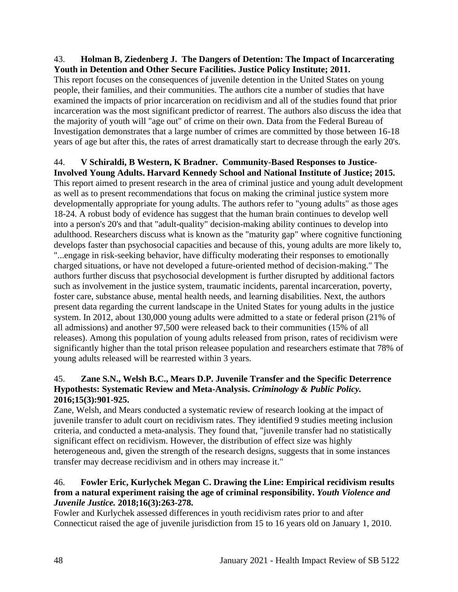#### 43. **Holman B, Ziedenberg J. The Dangers of Detention: The Impact of Incarcerating Youth in Detention and Other Secure Facilities. Justice Policy Institute; 2011.**

This report focuses on the consequences of juvenile detention in the United States on young people, their families, and their communities. The authors cite a number of studies that have examined the impacts of prior incarceration on recidivism and all of the studies found that prior incarceration was the most significant predictor of rearrest. The authors also discuss the idea that the majority of youth will "age out" of crime on their own. Data from the Federal Bureau of Investigation demonstrates that a large number of crimes are committed by those between 16-18 years of age but after this, the rates of arrest dramatically start to decrease through the early 20's.

# 44. **V Schiraldi, B Western, K Bradner. Community-Based Responses to Justice-**

**Involved Young Adults. Harvard Kennedy School and National Institute of Justice; 2015.** This report aimed to present research in the area of criminal justice and young adult development as well as to present recommendations that focus on making the criminal justice system more developmentally appropriate for young adults. The authors refer to "young adults" as those ages 18-24. A robust body of evidence has suggest that the human brain continues to develop well into a person's 20's and that "adult-quality" decision-making ability continues to develop into adulthood. Researchers discuss what is known as the "maturity gap" where cognitive functioning develops faster than psychosocial capacities and because of this, young adults are more likely to, "...engage in risk-seeking behavior, have difficulty moderating their responses to emotionally charged situations, or have not developed a future-oriented method of decision-making." The authors further discuss that psychosocial development is further disrupted by additional factors such as involvement in the justice system, traumatic incidents, parental incarceration, poverty, foster care, substance abuse, mental health needs, and learning disabilities. Next, the authors present data regarding the current landscape in the United States for young adults in the justice system. In 2012, about 130,000 young adults were admitted to a state or federal prison (21% of all admissions) and another 97,500 were released back to their communities (15% of all releases). Among this population of young adults released from prison, rates of recidivism were significantly higher than the total prison releasee population and researchers estimate that 78% of young adults released will be rearrested within 3 years.

#### 45. **Zane S.N., Welsh B.C., Mears D.P. Juvenile Transfer and the Specific Deterrence Hypothests: Systematic Review and Meta-Analysis.** *Criminology & Public Policy.*  **2016;15(3):901-925.**

Zane, Welsh, and Mears conducted a systematic review of research looking at the impact of juvenile transfer to adult court on recidivism rates. They identified 9 studies meeting inclusion criteria, and conducted a meta-analysis. They found that, "juvenile transfer had no statistically significant effect on recidivism. However, the distribution of effect size was highly heterogeneous and, given the strength of the research designs, suggests that in some instances transfer may decrease recidivism and in others may increase it."

### 46. **Fowler Eric, Kurlychek Megan C. Drawing the Line: Empirical recidivism results from a natural experiment raising the age of criminal responsibility.** *Youth Violence and Juvenile Justice.* **2018;16(3):263-278.**

Fowler and Kurlychek assessed differences in youth recidivism rates prior to and after Connecticut raised the age of juvenile jurisdiction from 15 to 16 years old on January 1, 2010.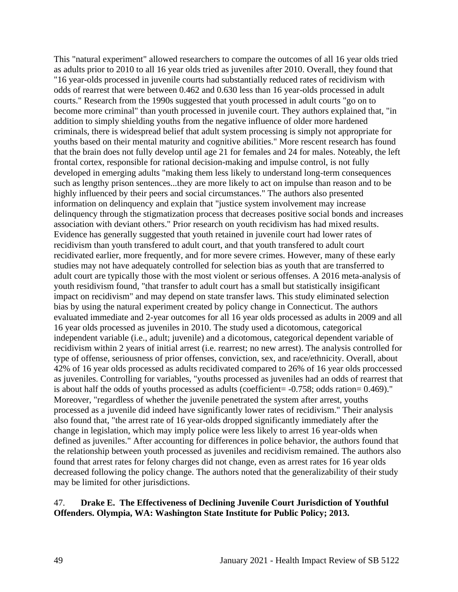This "natural experiment" allowed researchers to compare the outcomes of all 16 year olds tried as adults prior to 2010 to all 16 year olds tried as juveniles after 2010. Overall, they found that "16 year-olds processed in juvenile courts had substantially reduced rates of recidivism with odds of rearrest that were between 0.462 and 0.630 less than 16 year-olds processed in adult courts." Research from the 1990s suggested that youth processed in adult courts "go on to become more criminal" than youth processed in juvenile court. They authors explained that, "in addition to simply shielding youths from the negative influence of older more hardened criminals, there is widespread belief that adult system processing is simply not appropriate for youths based on their mental maturity and cognitive abilities." More rescent research has found that the brain does not fully develop until age 21 for females and 24 for males. Noteably, the left frontal cortex, responsible for rational decision-making and impulse control, is not fully developed in emerging adults "making them less likely to understand long-term consequences such as lengthy prison sentences...they are more likely to act on impulse than reason and to be highly influenced by their peers and social circumstances." The authors also presented information on delinquency and explain that "justice system involvement may increase delinquency through the stigmatization process that decreases positive social bonds and increases association with deviant others." Prior research on youth recidivism has had mixed results. Evidence has generally suggested that youth retained in juvenile court had lower rates of recidivism than youth transfered to adult court, and that youth transfered to adult court recidivated earlier, more frequently, and for more severe crimes. However, many of these early studies may not have adequately controlled for selection bias as youth that are transferred to adult court are typically those with the most violent or serious offenses. A 2016 meta-analysis of youth residivism found, "that transfer to adult court has a small but statistically insigificant impact on recidivism" and may depend on state transfer laws. This study eliminated selection bias by using the natural experiment created by policy change in Connecticut. The authors evaluated immediate and 2-year outcomes for all 16 year olds processed as adults in 2009 and all 16 year olds processed as juveniles in 2010. The study used a dicotomous, categorical independent variable (i.e., adult; juvenile) and a dicotomous, categorical dependent variable of recidivism within 2 years of initial arrest (i.e. rearrest; no new arrest). The analysis controlled for type of offense, seriousness of prior offenses, conviction, sex, and race/ethnicity. Overall, about 42% of 16 year olds processed as adults recidivated compared to 26% of 16 year olds proccessed as juveniles. Controlling for variables, "youths processed as juveniles had an odds of rearrest that is about half the odds of youths processed as adults (coefficient =  $-0.758$ ; odds ration = 0.469)." Moreover, "regardless of whether the juvenile penetrated the system after arrest, youths processed as a juvenile did indeed have significantly lower rates of recidivism." Their analysis also found that, "the arrest rate of 16 year-olds dropped significantly immediately after the change in legislation, which may imply police were less likely to arrest 16 year-olds when defined as juveniles." After accounting for differences in police behavior, the authors found that the relationship between youth processed as juveniles and recidivism remained. The authors also found that arrest rates for felony charges did not change, even as arrest rates for 16 year olds decreased following the policy change. The authors noted that the generalizability of their study may be limited for other jurisdictions.

#### 47. **Drake E. The Effectiveness of Declining Juvenile Court Jurisdiction of Youthful Offenders. Olympia, WA: Washington State Institute for Public Policy; 2013.**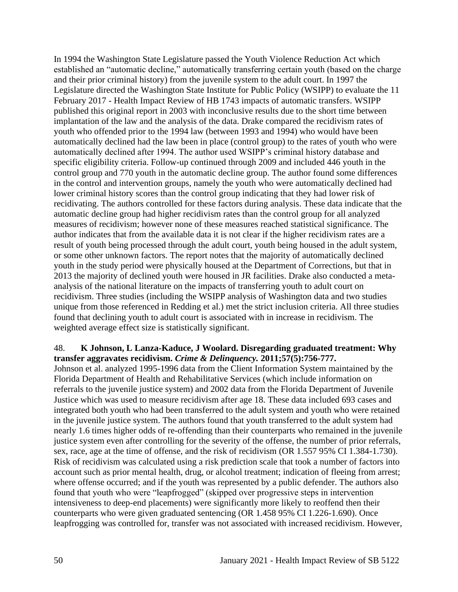In 1994 the Washington State Legislature passed the Youth Violence Reduction Act which established an "automatic decline," automatically transferring certain youth (based on the charge and their prior criminal history) from the juvenile system to the adult court. In 1997 the Legislature directed the Washington State Institute for Public Policy (WSIPP) to evaluate the 11 February 2017 - Health Impact Review of HB 1743 impacts of automatic transfers. WSIPP published this original report in 2003 with inconclusive results due to the short time between implantation of the law and the analysis of the data. Drake compared the recidivism rates of youth who offended prior to the 1994 law (between 1993 and 1994) who would have been automatically declined had the law been in place (control group) to the rates of youth who were automatically declined after 1994. The author used WSIPP's criminal history database and specific eligibility criteria. Follow-up continued through 2009 and included 446 youth in the control group and 770 youth in the automatic decline group. The author found some differences in the control and intervention groups, namely the youth who were automatically declined had lower criminal history scores than the control group indicating that they had lower risk of recidivating. The authors controlled for these factors during analysis. These data indicate that the automatic decline group had higher recidivism rates than the control group for all analyzed measures of recidivism; however none of these measures reached statistical significance. The author indicates that from the available data it is not clear if the higher recidivism rates are a result of youth being processed through the adult court, youth being housed in the adult system, or some other unknown factors. The report notes that the majority of automatically declined youth in the study period were physically housed at the Department of Corrections, but that in 2013 the majority of declined youth were housed in JR facilities. Drake also conducted a metaanalysis of the national literature on the impacts of transferring youth to adult court on recidivism. Three studies (including the WSIPP analysis of Washington data and two studies unique from those referenced in Redding et al.) met the strict inclusion criteria. All three studies found that declining youth to adult court is associated with in increase in recidivism. The weighted average effect size is statistically significant.

#### 48. **K Johnson, L Lanza-Kaduce, J Woolard. Disregarding graduated treatment: Why transfer aggravates recidivism.** *Crime & Delinquency.* **2011;57(5):756-777.**

Johnson et al. analyzed 1995-1996 data from the Client Information System maintained by the Florida Department of Health and Rehabilitative Services (which include information on referrals to the juvenile justice system) and 2002 data from the Florida Department of Juvenile Justice which was used to measure recidivism after age 18. These data included 693 cases and integrated both youth who had been transferred to the adult system and youth who were retained in the juvenile justice system. The authors found that youth transferred to the adult system had nearly 1.6 times higher odds of re-offending than their counterparts who remained in the juvenile justice system even after controlling for the severity of the offense, the number of prior referrals, sex, race, age at the time of offense, and the risk of recidivism (OR 1.557 95% CI 1.384-1.730). Risk of recidivism was calculated using a risk prediction scale that took a number of factors into account such as prior mental health, drug, or alcohol treatment; indication of fleeing from arrest; where offense occurred; and if the youth was represented by a public defender. The authors also found that youth who were "leapfrogged" (skipped over progressive steps in intervention intensiveness to deep-end placements) were significantly more likely to reoffend then their counterparts who were given graduated sentencing (OR 1.458 95% CI 1.226-1.690). Once leapfrogging was controlled for, transfer was not associated with increased recidivism. However,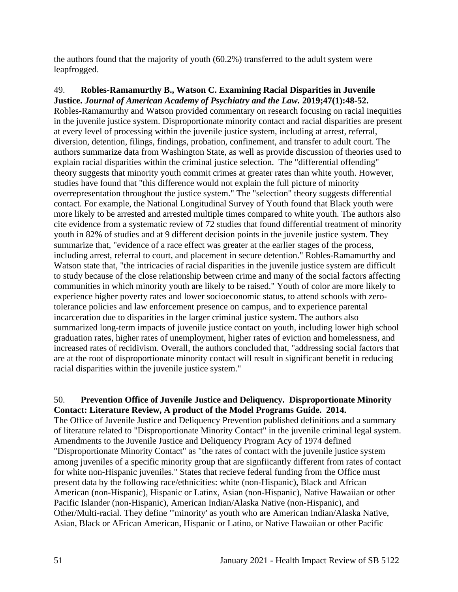the authors found that the majority of youth (60.2%) transferred to the adult system were leapfrogged.

49. **Robles-Ramamurthy B., Watson C. Examining Racial Disparities in Juvenile Justice.** *Journal of American Academy of Psychiatry and the Law.* **2019;47(1):48-52.** Robles-Ramamurthy and Watson provided commentary on research focusing on racial inequities in the juvenile justice system. Disproportionate minority contact and racial disparities are present at every level of processing within the juvenile justice system, including at arrest, referral, diversion, detention, filings, findings, probation, confinement, and transfer to adult court. The authors summarize data from Washington State, as well as provide discussion of theories used to explain racial disparities within the criminal justice selection. The "differential offending" theory suggests that minority youth commit crimes at greater rates than white youth. However, studies have found that "this difference would not explain the full picture of minority overrepresentation throughout the justice system." The "selection" theory suggests differential contact. For example, the National Longitudinal Survey of Youth found that Black youth were more likely to be arrested and arrested multiple times compared to white youth. The authors also cite evidence from a systematic review of 72 studies that found differential treatment of minority youth in 82% of studies and at 9 different decision points in the juvenile justice system. They summarize that, "evidence of a race effect was greater at the earlier stages of the process, including arrest, referral to court, and placement in secure detention." Robles-Ramamurthy and Watson state that, "the intricacies of racial disparities in the juvenile justice system are difficult to study because of the close relationship between crime and many of the social factors affecting communities in which minority youth are likely to be raised." Youth of color are more likely to experience higher poverty rates and lower socioeconomic status, to attend schools with zerotolerance policies and law enforcement presence on campus, and to experience parental incarceration due to disparities in the larger criminal justice system. The authors also summarized long-term impacts of juvenile justice contact on youth, including lower high school graduation rates, higher rates of unemployment, higher rates of eviction and homelessness, and increased rates of recidivism. Overall, the authors concluded that, "addressing social factors that are at the root of disproportionate minority contact will result in significant benefit in reducing racial disparities within the juvenile justice system."

### 50. **Prevention Office of Juvenile Justice and Deliquency. Disproportionate Minority Contact: Literature Review, A product of the Model Programs Guide. 2014.**

The Office of Juvenile Justice and Deliquency Prevention published definitions and a summary of literature related to "Disproportionate Minority Contact" in the juvenile criminal legal system. Amendments to the Juvenile Justice and Deliquency Program Acy of 1974 defined "Disproportionate Minority Contact" as "the rates of contact with the juvenile justice system among juveniles of a specific minority group that are signfiicantly different from rates of contact for white non-Hispanic juveniles." States that recieve federal funding from the Office must present data by the following race/ethnicities: white (non-Hispanic), Black and African American (non-Hispanic), Hispanic or Latinx, Asian (non-Hispanic), Native Hawaiian or other Pacific Islander (non-Hispanic), American Indian/Alaska Native (non-Hispanic), and Other/Multi-racial. They define "'minority' as youth who are American Indian/Alaska Native, Asian, Black or AFrican American, Hispanic or Latino, or Native Hawaiian or other Pacific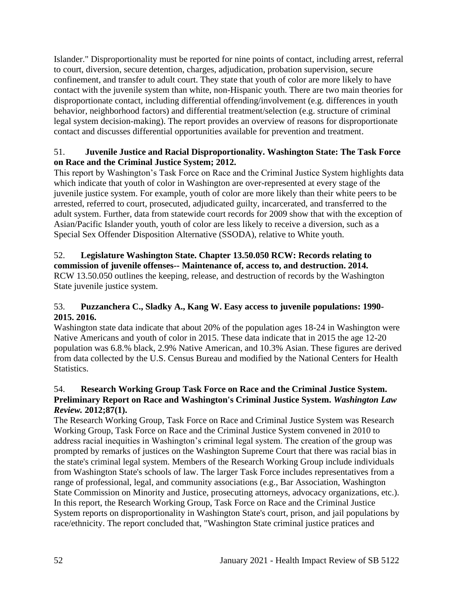Islander." Disproportionality must be reported for nine points of contact, including arrest, referral to court, diversion, secure detention, charges, adjudication, probation supervision, secure confinement, and transfer to adult court. They state that youth of color are more likely to have contact with the juvenile system than white, non-Hispanic youth. There are two main theories for disproportionate contact, including differential offending/involvement (e.g. differences in youth behavior, neighborhood factors) and differential treatment/selection (e.g. structure of criminal legal system decision-making). The report provides an overview of reasons for disproportionate contact and discusses differential opportunities available for prevention and treatment.

### 51. **Juvenile Justice and Racial Disproportionality. Washington State: The Task Force on Race and the Criminal Justice System; 2012.**

This report by Washington's Task Force on Race and the Criminal Justice System highlights data which indicate that youth of color in Washington are over-represented at every stage of the juvenile justice system. For example, youth of color are more likely than their white peers to be arrested, referred to court, prosecuted, adjudicated guilty, incarcerated, and transferred to the adult system. Further, data from statewide court records for 2009 show that with the exception of Asian/Pacific Islander youth, youth of color are less likely to receive a diversion, such as a Special Sex Offender Disposition Alternative (SSODA), relative to White youth.

### 52. **Legislature Washington State. Chapter 13.50.050 RCW: Records relating to commission of juvenile offenses-- Maintenance of, access to, and destruction. 2014.** RCW 13.50.050 outlines the keeping, release, and destruction of records by the Washington State juvenile justice system.

# 53. **Puzzanchera C., Sladky A., Kang W. Easy access to juvenile populations: 1990- 2015. 2016.**

Washington state data indicate that about 20% of the population ages 18-24 in Washington were Native Americans and youth of color in 2015. These data indicate that in 2015 the age 12-20 population was 6.8.% black, 2.9% Native American, and 10.3% Asian. These figures are derived from data collected by the U.S. Census Bureau and modified by the National Centers for Health Statistics.

# 54. **Research Working Group Task Force on Race and the Criminal Justice System. Preliminary Report on Race and Washington's Criminal Justice System.** *Washington Law Review.* **2012;87(1).**

The Research Working Group, Task Force on Race and Criminal Justice System was Research Working Group, Task Force on Race and the Criminal Justice System convened in 2010 to address racial inequities in Washington's criminal legal system. The creation of the group was prompted by remarks of justices on the Washington Supreme Court that there was racial bias in the state's criminal legal system. Members of the Research Working Group include individuals from Washington State's schools of law. The larger Task Force includes representatives from a range of professional, legal, and community associations (e.g., Bar Association, Washington State Commission on Minority and Justice, prosecuting attorneys, advocacy organizations, etc.). In this report, the Research Working Group, Task Force on Race and the Criminal Justice System reports on disproportionality in Washington State's court, prison, and jail populations by race/ethnicity. The report concluded that, "Washington State criminal justice pratices and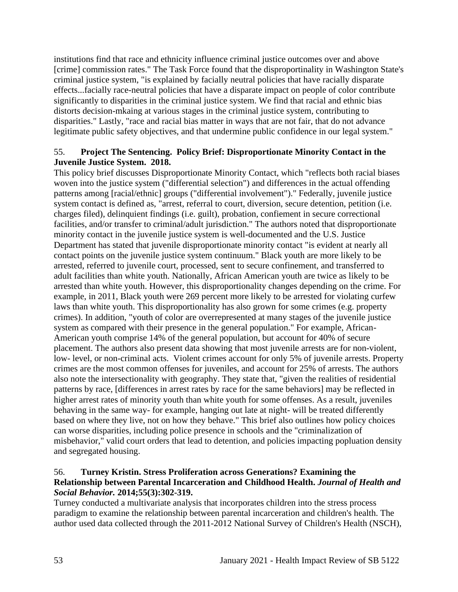institutions find that race and ethnicity influence criminal justice outcomes over and above [crime] commission rates." The Task Force found that the disproportinality in Washington State's criminal justice system, "is explained by facially neutral policies that have racially disparate effects...facially race-neutral policies that have a disparate impact on people of color contribute significantly to disparities in the criminal justice system. We find that racial and ethnic bias distorts decision-mkaing at various stages in the criminal justice system, contributing to disparities." Lastly, "race and racial bias matter in ways that are not fair, that do not advance legitimate public safety objectives, and that undermine public confidence in our legal system."

#### 55. **Project The Sentencing. Policy Brief: Disproportionate Minority Contact in the Juvenile Justice System. 2018.**

This policy brief discusses Disproportionate Minority Contact, which "reflects both racial biases woven into the justice system ("differential selection") and differences in the actual offending patterns among [racial/ethnic] groups ("differential involvement")." Federally, juvenile justice system contact is defined as, "arrest, referral to court, diversion, secure detention, petition (i.e. charges filed), delinquient findings (i.e. guilt), probation, confiement in secure correctional facilities, and/or transfer to criminal/adult jurisdiction." The authors noted that disproportionate minority contact in the juvenile justice system is well-documented and the U.S. Justice Department has stated that juvenile disproportionate minority contact "is evident at nearly all contact points on the juvenile justice system continuum." Black youth are more likely to be arrested, referred to juvenile court, processed, sent to secure confinement, and transferred to adult facilities than white youth. Nationally, African American youth are twice as likely to be arrested than white youth. However, this disproportionality changes depending on the crime. For example, in 2011, Black youth were 269 percent more likely to be arrested for violating curfew laws than white youth. This disproportionality has also grown for some crimes (e.g. property crimes). In addition, "youth of color are overrepresented at many stages of the juvenile justice system as compared with their presence in the general population." For example, African-American youth comprise 14% of the general population, but account for 40% of secure placement. The authors also present data showing that most juvenile arrests are for non-violent, low- level, or non-criminal acts. Violent crimes account for only 5% of juvenile arrests. Property crimes are the most common offenses for juveniles, and account for 25% of arrests. The authors also note the intersectionality with geography. They state that, "given the realities of residential patterns by race, [differences in arrest rates by race for the same behaviors] may be reflected in higher arrest rates of minority youth than white youth for some offenses. As a result, juveniles behaving in the same way- for example, hanging out late at night- will be treated differently based on where they live, not on how they behave." This brief also outlines how policy choices can worse disparities, including police presence in schools and the "criminalization of misbehavior," valid court orders that lead to detention, and policies impacting popluation density and segregated housing.

# 56. **Turney Kristin. Stress Proliferation across Generations? Examining the Relationship between Parental Incarceration and Childhood Health.** *Journal of Health and Social Behavior.* **2014;55(3):302-319.**

Turney conducted a multivariate analysis that incorporates children into the stress process paradigm to examine the relationship between parental incarceration and children's health. The author used data collected through the 2011-2012 National Survey of Children's Health (NSCH),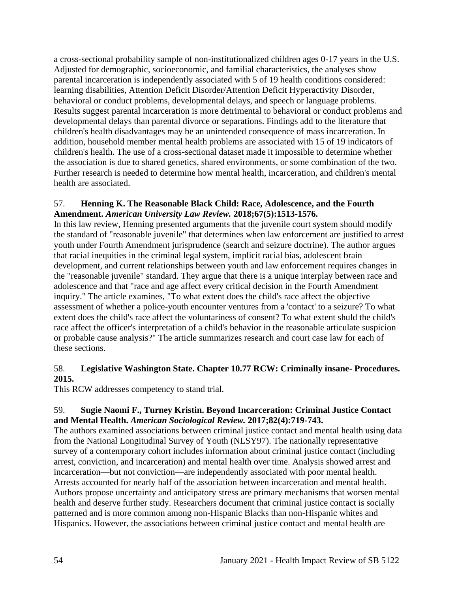a cross-sectional probability sample of non-institutionalized children ages 0-17 years in the U.S. Adjusted for demographic, socioeconomic, and familial characteristics, the analyses show parental incarceration is independently associated with 5 of 19 health conditions considered: learning disabilities, Attention Deficit Disorder/Attention Deficit Hyperactivity Disorder, behavioral or conduct problems, developmental delays, and speech or language problems. Results suggest parental incarceration is more detrimental to behavioral or conduct problems and developmental delays than parental divorce or separations. Findings add to the literature that children's health disadvantages may be an unintended consequence of mass incarceration. In addition, household member mental health problems are associated with 15 of 19 indicators of children's health. The use of a cross-sectional dataset made it impossible to determine whether the association is due to shared genetics, shared environments, or some combination of the two. Further research is needed to determine how mental health, incarceration, and children's mental health are associated.

#### 57. **Henning K. The Reasonable Black Child: Race, Adolescence, and the Fourth Amendment.** *American University Law Review.* **2018;67(5):1513-1576.**

In this law review, Henning presented arguments that the juvenile court system should modify the standard of "reasonable juvenile" that determines when law enforcement are justified to arrest youth under Fourth Amendment jurisprudence (search and seizure doctrine). The author argues that racial inequities in the criminal legal system, implicit racial bias, adolescent brain development, and current relationships between youth and law enforcement requires changes in the "reasonable juvenile" standard. They argue that there is a unique interplay between race and adolescence and that "race and age affect every critical decision in the Fourth Amendment inquiry." The article examines, "To what extent does the child's race affect the objective assessment of whether a police-youth encounter ventures from a 'contact' to a seizure? To what extent does the child's race affect the voluntariness of consent? To what extent shuld the child's race affect the officer's interpretation of a child's behavior in the reasonable articulate suspicion or probable cause analysis?" The article summarizes research and court case law for each of these sections.

### 58. **Legislative Washington State. Chapter 10.77 RCW: Criminally insane- Procedures. 2015.**

This RCW addresses competency to stand trial.

### 59. **Sugie Naomi F., Turney Kristin. Beyond Incarceration: Criminal Justice Contact and Mental Health.** *American Sociological Review.* **2017;82(4):719-743.**

The authors examined associations between criminal justice contact and mental health using data from the National Longitudinal Survey of Youth (NLSY97). The nationally representative survey of a contemporary cohort includes information about criminal justice contact (including arrest, conviction, and incarceration) and mental health over time. Analysis showed arrest and incarceration—but not conviction—are independently associated with poor mental health. Arrests accounted for nearly half of the association between incarceration and mental health. Authors propose uncertainty and anticipatory stress are primary mechanisms that worsen mental health and deserve further study. Researchers document that criminal justice contact is socially patterned and is more common among non-Hispanic Blacks than non-Hispanic whites and Hispanics. However, the associations between criminal justice contact and mental health are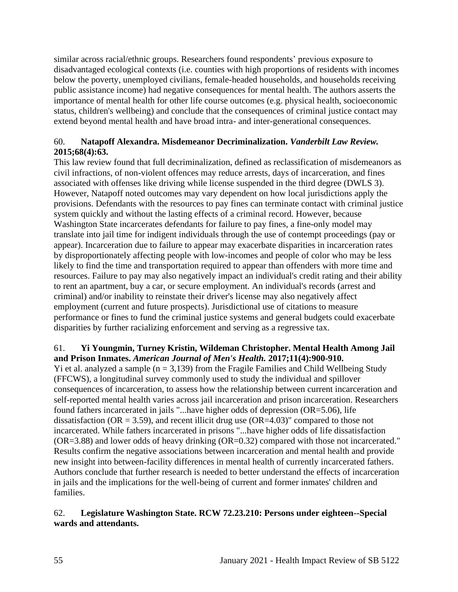similar across racial/ethnic groups. Researchers found respondents' previous exposure to disadvantaged ecological contexts (i.e. counties with high proportions of residents with incomes below the poverty, unemployed civilians, female-headed households, and households receiving public assistance income) had negative consequences for mental health. The authors asserts the importance of mental health for other life course outcomes (e.g. physical health, socioeconomic status, children's wellbeing) and conclude that the consequences of criminal justice contact may extend beyond mental health and have broad intra- and inter-generational consequences.

# 60. **Natapoff Alexandra. Misdemeanor Decriminalization.** *Vanderbilt Law Review.*  **2015;68(4):63.**

This law review found that full decriminalization, defined as reclassification of misdemeanors as civil infractions, of non-violent offences may reduce arrests, days of incarceration, and fines associated with offenses like driving while license suspended in the third degree (DWLS 3). However, Natapoff noted outcomes may vary dependent on how local jurisdictions apply the provisions. Defendants with the resources to pay fines can terminate contact with criminal justice system quickly and without the lasting effects of a criminal record. However, because Washington State incarcerates defendants for failure to pay fines, a fine-only model may translate into jail time for indigent individuals through the use of contempt proceedings (pay or appear). Incarceration due to failure to appear may exacerbate disparities in incarceration rates by disproportionately affecting people with low-incomes and people of color who may be less likely to find the time and transportation required to appear than offenders with more time and resources. Failure to pay may also negatively impact an individual's credit rating and their ability to rent an apartment, buy a car, or secure employment. An individual's records (arrest and criminal) and/or inability to reinstate their driver's license may also negatively affect employment (current and future prospects). Jurisdictional use of citations to measure performance or fines to fund the criminal justice systems and general budgets could exacerbate disparities by further racializing enforcement and serving as a regressive tax.

# 61. **Yi Youngmin, Turney Kristin, Wildeman Christopher. Mental Health Among Jail and Prison Inmates.** *American Journal of Men's Health.* **2017;11(4):900-910.**

Yi et al. analyzed a sample  $(n = 3,139)$  from the Fragile Families and Child Wellbeing Study (FFCWS), a longitudinal survey commonly used to study the individual and spillover consequences of incarceration, to assess how the relationship between current incarceration and self-reported mental health varies across jail incarceration and prison incarceration. Researchers found fathers incarcerated in jails "...have higher odds of depression (OR=5.06), life dissatisfaction ( $OR = 3.59$ ), and recent illicit drug use ( $OR = 4.03$ )" compared to those not incarcerated. While fathers incarcerated in prisons "...have higher odds of life dissatisfaction (OR=3.88) and lower odds of heavy drinking (OR=0.32) compared with those not incarcerated." Results confirm the negative associations between incarceration and mental health and provide new insight into between-facility differences in mental health of currently incarcerated fathers. Authors conclude that further research is needed to better understand the effects of incarceration in jails and the implications for the well-being of current and former inmates' children and families.

### 62. **Legislature Washington State. RCW 72.23.210: Persons under eighteen--Special wards and attendants.**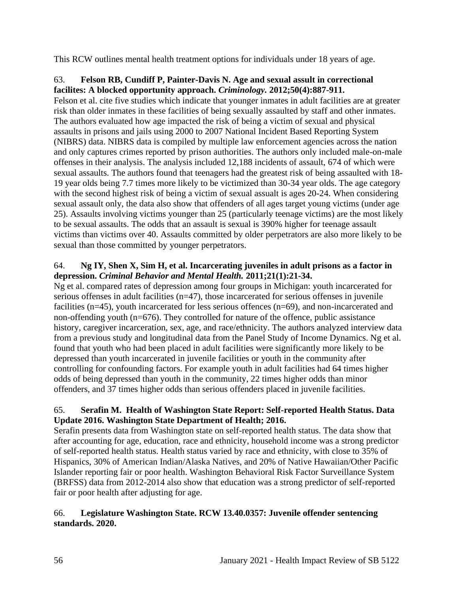This RCW outlines mental health treatment options for individuals under 18 years of age.

### 63. **Felson RB, Cundiff P, Painter-Davis N. Age and sexual assult in correctional facilites: A blocked opportunity approach.** *Criminology.* **2012;50(4):887-911.**

Felson et al. cite five studies which indicate that younger inmates in adult facilities are at greater risk than older inmates in these facilities of being sexually assaulted by staff and other inmates. The authors evaluated how age impacted the risk of being a victim of sexual and physical assaults in prisons and jails using 2000 to 2007 National Incident Based Reporting System (NIBRS) data. NIBRS data is compiled by multiple law enforcement agencies across the nation and only captures crimes reported by prison authorities. The authors only included male-on-male offenses in their analysis. The analysis included 12,188 incidents of assault, 674 of which were sexual assaults. The authors found that teenagers had the greatest risk of being assaulted with 18- 19 year olds being 7.7 times more likely to be victimized than 30-34 year olds. The age category with the second highest risk of being a victim of sexual assualt is ages 20-24. When considering sexual assault only, the data also show that offenders of all ages target young victims (under age 25). Assaults involving victims younger than 25 (particularly teenage victims) are the most likely to be sexual assaults. The odds that an assault is sexual is 390% higher for teenage assault victims than victims over 40. Assaults committed by older perpetrators are also more likely to be sexual than those committed by younger perpetrators.

# 64. **Ng IY, Shen X, Sim H, et al. Incarcerating juveniles in adult prisons as a factor in depression.** *Criminal Behavior and Mental Health.* **2011;21(1):21-34.**

Ng et al. compared rates of depression among four groups in Michigan: youth incarcerated for serious offenses in adult facilities (n=47), those incarcerated for serious offenses in juvenile facilities (n=45), youth incarcerated for less serious offences (n=69), and non-incarcerated and non-offending youth (n=676). They controlled for nature of the offence, public assistance history, caregiver incarceration, sex, age, and race/ethnicity. The authors analyzed interview data from a previous study and longitudinal data from the Panel Study of Income Dynamics. Ng et al. found that youth who had been placed in adult facilities were significantly more likely to be depressed than youth incarcerated in juvenile facilities or youth in the community after controlling for confounding factors. For example youth in adult facilities had 64 times higher odds of being depressed than youth in the community, 22 times higher odds than minor offenders, and 37 times higher odds than serious offenders placed in juvenile facilities.

# 65. **Serafin M. Health of Washington State Report: Self-reported Health Status. Data Update 2016. Washington State Department of Health; 2016.**

Serafin presents data from Washington state on self-reported health status. The data show that after accounting for age, education, race and ethnicity, household income was a strong predictor of self-reported health status. Health status varied by race and ethnicity, with close to 35% of Hispanics, 30% of American Indian/Alaska Natives, and 20% of Native Hawaiian/Other Pacific Islander reporting fair or poor health. Washington Behavioral Risk Factor Surveillance System (BRFSS) data from 2012-2014 also show that education was a strong predictor of self-reported fair or poor health after adjusting for age.

# 66. **Legislature Washington State. RCW 13.40.0357: Juvenile offender sentencing standards. 2020.**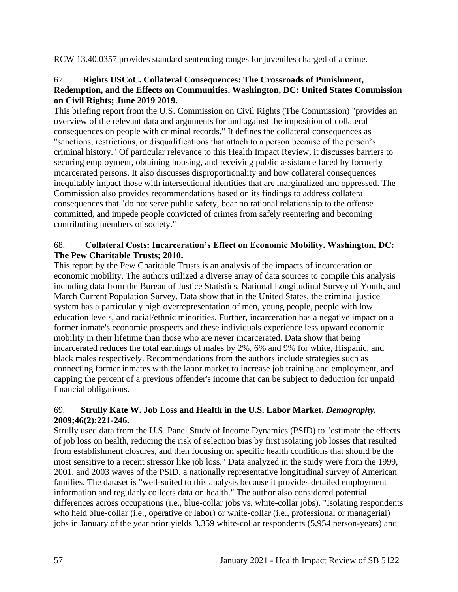RCW 13.40.0357 provides standard sentencing ranges for juveniles charged of a crime.

#### 67. **Rights USCoC. Collateral Consequences: The Crossroads of Punishment, Redemption, and the Effects on Communities. Washington, DC: United States Commission on Civil Rights; June 2019 2019.**

This briefing report from the U.S. Commission on Civil Rights (The Commission) "provides an overview of the relevant data and arguments for and against the imposition of collateral consequences on people with criminal records." It defines the collateral consequences as "sanctions, restrictions, or disqualifications that attach to a person because of the person's criminal history." Of particular relevance to this Health Impact Review, it discusses barriers to securing employment, obtaining housing, and receiving public assistance faced by formerly incarcerated persons. It also discusses disproportionality and how collateral consequences inequitably impact those with intersectional identities that are marginalized and oppressed. The Commission also provides recommendations based on its findings to address collateral consequences that "do not serve public safety, bear no rational relationship to the offense committed, and impede people convicted of crimes from safely reentering and becoming contributing members of society."

# 68. **Collateral Costs: Incarceration's Effect on Economic Mobility. Washington, DC: The Pew Charitable Trusts; 2010.**

This report by the Pew Charitable Trusts is an analysis of the impacts of incarceration on economic mobility. The authors utilized a diverse array of data sources to compile this analysis including data from the Bureau of Justice Statistics, National Longitudinal Survey of Youth, and March Current Population Survey. Data show that in the United States, the criminal justice system has a particularly high overrepresentation of men, young people, people with low education levels, and racial/ethnic minorities. Further, incarceration has a negative impact on a former inmate's economic prospects and these individuals experience less upward economic mobility in their lifetime than those who are never incarcerated. Data show that being incarcerated reduces the total earnings of males by 2%, 6% and 9% for white, Hispanic, and black males respectively. Recommendations from the authors include strategies such as connecting former inmates with the labor market to increase job training and employment, and capping the percent of a previous offender's income that can be subject to deduction for unpaid financial obligations.

# 69. **Strully Kate W. Job Loss and Health in the U.S. Labor Market.** *Demography.*  **2009;46(2):221-246.**

Strully used data from the U.S. Panel Study of Income Dynamics (PSID) to "estimate the effects of job loss on health, reducing the risk of selection bias by first isolating job losses that resulted from establishment closures, and then focusing on specific health conditions that should be the most sensitive to a recent stressor like job loss." Data analyzed in the study were from the 1999, 2001, and 2003 waves of the PSID, a nationally representative longitudinal survey of American families. The dataset is "well-suited to this analysis because it provides detailed employment information and regularly collects data on health." The author also considered potential differences across occupations (i.e., blue-collar jobs vs. white-collar jobs). "Isolating respondents who held blue-collar (i.e., operative or labor) or white-collar (i.e., professional or managerial) jobs in January of the year prior yields 3,359 white-collar respondents (5,954 person-years) and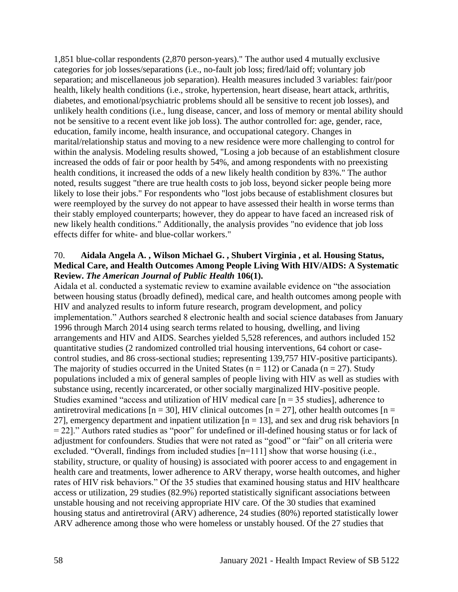1,851 blue-collar respondents (2,870 person-years)." The author used 4 mutually exclusive categories for job losses/separations (i.e., no-fault job loss; fired/laid off; voluntary job separation; and miscellaneous job separation). Health measures included 3 variables: fair/poor health, likely health conditions (i.e., stroke, hypertension, heart disease, heart attack, arthritis, diabetes, and emotional/psychiatric problems should all be sensitive to recent job losses), and unlikely health conditions (i.e., lung disease, cancer, and loss of memory or mental ability should not be sensitive to a recent event like job loss). The author controlled for: age, gender, race, education, family income, health insurance, and occupational category. Changes in marital/relationship status and moving to a new residence were more challenging to control for within the analysis. Modeling results showed, "Losing a job because of an establishment closure increased the odds of fair or poor health by 54%, and among respondents with no preexisting health conditions, it increased the odds of a new likely health condition by 83%." The author noted, results suggest "there are true health costs to job loss, beyond sicker people being more likely to lose their jobs." For respondents who "lost jobs because of establishment closures but were reemployed by the survey do not appear to have assessed their health in worse terms than their stably employed counterparts; however, they do appear to have faced an increased risk of new likely health conditions." Additionally, the analysis provides "no evidence that job loss effects differ for white- and blue-collar workers."

#### 70. **Aidala Angela A. , Wilson Michael G. , Shubert Virginia , et al. Housing Status, Medical Care, and Health Outcomes Among People Living With HIV/AIDS: A Systematic Review.** *The American Journal of Public Health* **106(1).**

Aidala et al. conducted a systematic review to examine available evidence on "the association between housing status (broadly defined), medical care, and health outcomes among people with HIV and analyzed results to inform future research, program development, and policy implementation." Authors searched 8 electronic health and social science databases from January 1996 through March 2014 using search terms related to housing, dwelling, and living arrangements and HIV and AIDS. Searches yielded 5,528 references, and authors included 152 quantitative studies (2 randomized controlled trial housing interventions, 64 cohort or casecontrol studies, and 86 cross-sectional studies; representing 139,757 HIV-positive participants). The majority of studies occurred in the United States ( $n = 112$ ) or Canada ( $n = 27$ ). Study populations included a mix of general samples of people living with HIV as well as studies with substance using, recently incarcerated, or other socially marginalized HIV-positive people. Studies examined "access and utilization of HIV medical care  $[n = 35$  studies], adherence to antiretroviral medications  $[n = 30]$ , HIV clinical outcomes  $[n = 27]$ , other health outcomes  $[n = 10]$ 27], emergency department and inpatient utilization  $[n = 13]$ , and sex and drug risk behaviors  $[n]$ = 22]." Authors rated studies as "poor" for undefined or ill-defined housing status or for lack of adjustment for confounders. Studies that were not rated as "good" or "fair" on all criteria were excluded. "Overall, findings from included studies [n=111] show that worse housing (i.e., stability, structure, or quality of housing) is associated with poorer access to and engagement in health care and treatments, lower adherence to ARV therapy, worse health outcomes, and higher rates of HIV risk behaviors." Of the 35 studies that examined housing status and HIV healthcare access or utilization, 29 studies (82.9%) reported statistically significant associations between unstable housing and not receiving appropriate HIV care. Of the 30 studies that examined housing status and antiretroviral (ARV) adherence, 24 studies (80%) reported statistically lower ARV adherence among those who were homeless or unstably housed. Of the 27 studies that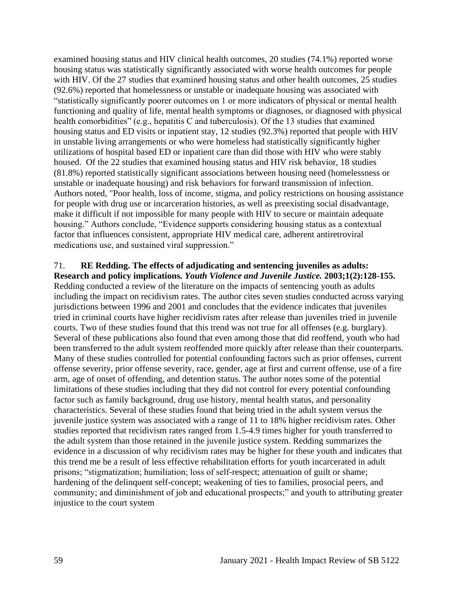examined housing status and HIV clinical health outcomes, 20 studies (74.1%) reported worse housing status was statistically significantly associated with worse health outcomes for people with HIV. Of the 27 studies that examined housing status and other health outcomes, 25 studies (92.6%) reported that homelessness or unstable or inadequate housing was associated with "statistically significantly poorer outcomes on 1 or more indicators of physical or mental health functioning and quality of life, mental health symptoms or diagnoses, or diagnosed with physical health comorbidities" (e.g., hepatitis C and tuberculosis). Of the 13 studies that examined housing status and ED visits or inpatient stay, 12 studies (92.3%) reported that people with HIV in unstable living arrangements or who were homeless had statistically significantly higher utilizations of hospital based ED or inpatient care than did those with HIV who were stably housed. Of the 22 studies that examined housing status and HIV risk behavior, 18 studies (81.8%) reported statistically significant associations between housing need (homelessness or unstable or inadequate housing) and risk behaviors for forward transmission of infection. Authors noted, "Poor health, loss of income, stigma, and policy restrictions on housing assistance for people with drug use or incarceration histories, as well as preexisting social disadvantage, make it difficult if not impossible for many people with HIV to secure or maintain adequate housing." Authors conclude, "Evidence supports considering housing status as a contextual factor that influences consistent, appropriate HIV medical care, adherent antiretroviral medications use, and sustained viral suppression."

#### 71. **RE Redding. The effects of adjudicating and sentencing juveniles as adults: Research and policy implications.** *Youth Violence and Juvenile Justice.* **2003;1(2):128-155.**

Redding conducted a review of the literature on the impacts of sentencing youth as adults including the impact on recidivism rates. The author cites seven studies conducted across varying jurisdictions between 1996 and 2001 and concludes that the evidence indicates that juveniles tried in criminal courts have higher recidivism rates after release than juveniles tried in juvenile courts. Two of these studies found that this trend was not true for all offenses (e.g. burglary). Several of these publications also found that even among those that did reoffend, youth who had been transferred to the adult system reoffended more quickly after release than their counterparts. Many of these studies controlled for potential confounding factors such as prior offenses, current offense severity, prior offense severity, race, gender, age at first and current offense, use of a fire arm, age of onset of offending, and detention status. The author notes some of the potential limitations of these studies including that they did not control for every potential confounding factor such as family background, drug use history, mental health status, and personality characteristics. Several of these studies found that being tried in the adult system versus the juvenile justice system was associated with a range of 11 to 18% higher recidivism rates. Other studies reported that recidivism rates ranged from 1.5-4.9 times higher for youth transferred to the adult system than those retained in the juvenile justice system. Redding summarizes the evidence in a discussion of why recidivism rates may be higher for these youth and indicates that this trend me be a result of less effective rehabilitation efforts for youth incarcerated in adult prisons; "stigmatization; humiliation; loss of self-respect; attenuation of guilt or shame; hardening of the delinquent self-concept; weakening of ties to families, prosocial peers, and community; and diminishment of job and educational prospects;" and youth to attributing greater injustice to the court system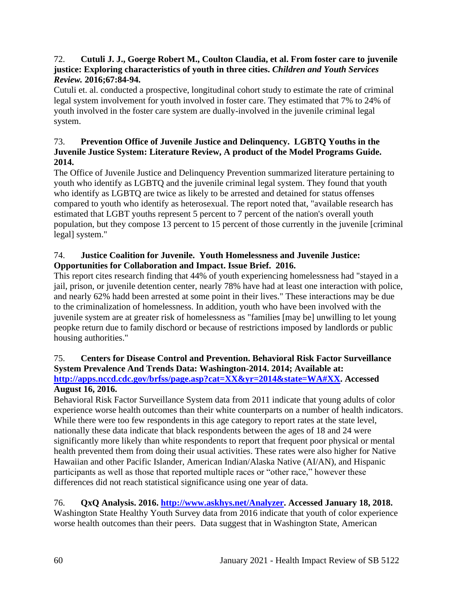#### 72. **Cutuli J. J., Goerge Robert M., Coulton Claudia, et al. From foster care to juvenile justice: Exploring characteristics of youth in three cities.** *Children and Youth Services Review.* **2016;67:84-94.**

Cutuli et. al. conducted a prospective, longitudinal cohort study to estimate the rate of criminal legal system involvement for youth involved in foster care. They estimated that 7% to 24% of youth involved in the foster care system are dually-involved in the juvenile criminal legal system.

# 73. **Prevention Office of Juvenile Justice and Delinquency. LGBTQ Youths in the Juvenile Justice System: Literature Review, A product of the Model Programs Guide. 2014.**

The Office of Juvenile Justice and Delinquency Prevention summarized literature pertaining to youth who identify as LGBTQ and the juvenile criminal legal system. They found that youth who identify as LGBTQ are twice as likely to be arrested and detained for status offenses compared to youth who identify as heterosexual. The report noted that, "available research has estimated that LGBT youths represent 5 percent to 7 percent of the nation's overall youth population, but they compose 13 percent to 15 percent of those currently in the juvenile [criminal legal] system."

# 74. **Justice Coalition for Juvenile. Youth Homelessness and Juvenile Justice: Opportunities for Collaboration and Impact. Issue Brief. 2016.**

This report cites research finding that 44% of youth experiencing homelessness had "stayed in a jail, prison, or juvenile detention center, nearly 78% have had at least one interaction with police, and nearly 62% hadd been arrested at some point in their lives." These interactions may be due to the criminalization of homelessness. In addition, youth who have been involved with the juvenile system are at greater risk of homelessness as "families [may be] unwilling to let young peopke return due to family dischord or because of restrictions imposed by landlords or public housing authorities."

#### 75. **Centers for Disease Control and Prevention. Behavioral Risk Factor Surveillance System Prevalence And Trends Data: Washington-2014. 2014; Available at: [http://apps.nccd.cdc.gov/brfss/page.asp?cat=XX&yr=2014&state=WA#XX.](http://apps.nccd.cdc.gov/brfss/page.asp?cat=XX&yr=2014&state=WA#XX) Accessed**

# **August 16, 2016.**

Behavioral Risk Factor Surveillance System data from 2011 indicate that young adults of color experience worse health outcomes than their white counterparts on a number of health indicators. While there were too few respondents in this age category to report rates at the state level, nationally these data indicate that black respondents between the ages of 18 and 24 were significantly more likely than white respondents to report that frequent poor physical or mental health prevented them from doing their usual activities. These rates were also higher for Native Hawaiian and other Pacific Islander, American Indian/Alaska Native (AI/AN), and Hispanic participants as well as those that reported multiple races or "other race," however these differences did not reach statistical significance using one year of data.

# 76. **QxQ Analysis. 2016. [http://www.askhys.net/Analyzer.](http://www.askhys.net/Analyzer) Accessed January 18, 2018.**

Washington State Healthy Youth Survey data from 2016 indicate that youth of color experience worse health outcomes than their peers. Data suggest that in Washington State, American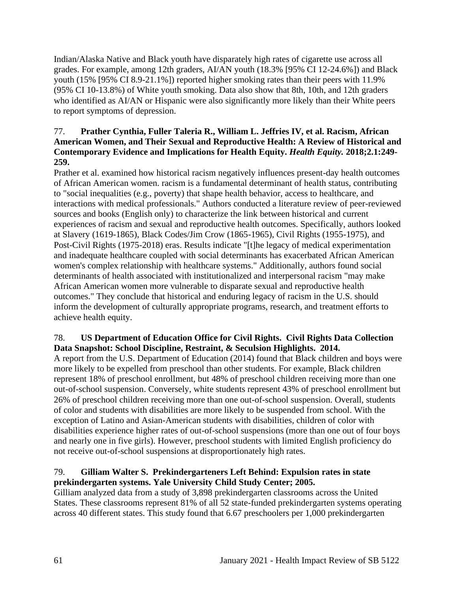Indian/Alaska Native and Black youth have disparately high rates of cigarette use across all grades. For example, among 12th graders, AI/AN youth (18.3% [95% CI 12-24.6%]) and Black youth (15% [95% CI 8.9-21.1%]) reported higher smoking rates than their peers with 11.9% (95% CI 10-13.8%) of White youth smoking. Data also show that 8th, 10th, and 12th graders who identified as AI/AN or Hispanic were also significantly more likely than their White peers to report symptoms of depression.

### 77. **Prather Cynthia, Fuller Taleria R., William L. Jeffries IV, et al. Racism, African American Women, and Their Sexual and Reproductive Health: A Review of Historical and Contemporary Evidence and Implications for Health Equity.** *Health Equity.* **2018;2.1:249- 259.**

Prather et al. examined how historical racism negatively influences present-day health outcomes of African American women. racism is a fundamental determinant of health status, contributing to "social inequalities (e.g., poverty) that shape health behavior, access to healthcare, and interactions with medical professionals." Authors conducted a literature review of peer-reviewed sources and books (English only) to characterize the link between historical and current experiences of racism and sexual and reproductive health outcomes. Specifically, authors looked at Slavery (1619-1865), Black Codes/Jim Crow (1865-1965), Civil Rights (1955-1975), and Post-Civil Rights (1975-2018) eras. Results indicate "[t]he legacy of medical experimentation and inadequate healthcare coupled with social determinants has exacerbated African American women's complex relationship with healthcare systems." Additionally, authors found social determinants of health associated with institutionalized and interpersonal racism "may make African American women more vulnerable to disparate sexual and reproductive health outcomes." They conclude that historical and enduring legacy of racism in the U.S. should inform the development of culturally appropriate programs, research, and treatment efforts to achieve health equity.

# 78. **US Department of Education Office for Civil Rights. Civil Rights Data Collection Data Snapshot: School Discipline, Restraint, & Seculsion Highlights. 2014.**

A report from the U.S. Department of Education (2014) found that Black children and boys were more likely to be expelled from preschool than other students. For example, Black children represent 18% of preschool enrollment, but 48% of preschool children receiving more than one out-of-school suspension. Conversely, white students represent 43% of preschool enrollment but 26% of preschool children receiving more than one out-of-school suspension. Overall, students of color and students with disabilities are more likely to be suspended from school. With the exception of Latino and Asian-American students with disabilities, children of color with disabilities experience higher rates of out-of-school suspensions (more than one out of four boys and nearly one in five girls). However, preschool students with limited English proficiency do not receive out-of-school suspensions at disproportionately high rates.

# 79. **Gilliam Walter S. Prekindergarteners Left Behind: Expulsion rates in state prekindergarten systems. Yale University Child Study Center; 2005.**

Gilliam analyzed data from a study of 3,898 prekindergarten classrooms across the United States. These classrooms represent 81% of all 52 state-funded prekindergarten systems operating across 40 different states. This study found that 6.67 preschoolers per 1,000 prekindergarten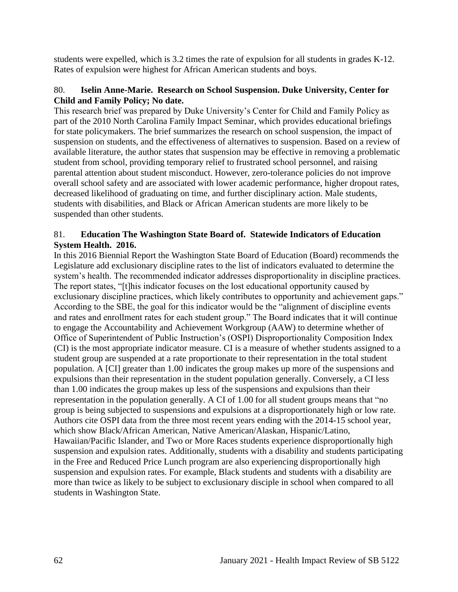students were expelled, which is 3.2 times the rate of expulsion for all students in grades K-12. Rates of expulsion were highest for African American students and boys.

#### 80. **Iselin Anne-Marie. Research on School Suspension. Duke University, Center for Child and Family Policy; No date.**

This research brief was prepared by Duke University's Center for Child and Family Policy as part of the 2010 North Carolina Family Impact Seminar, which provides educational briefings for state policymakers. The brief summarizes the research on school suspension, the impact of suspension on students, and the effectiveness of alternatives to suspension. Based on a review of available literature, the author states that suspension may be effective in removing a problematic student from school, providing temporary relief to frustrated school personnel, and raising parental attention about student misconduct. However, zero-tolerance policies do not improve overall school safety and are associated with lower academic performance, higher dropout rates, decreased likelihood of graduating on time, and further disciplinary action. Male students, students with disabilities, and Black or African American students are more likely to be suspended than other students.

### 81. **Education The Washington State Board of. Statewide Indicators of Education System Health. 2016.**

In this 2016 Biennial Report the Washington State Board of Education (Board) recommends the Legislature add exclusionary discipline rates to the list of indicators evaluated to determine the system's health. The recommended indicator addresses disproportionality in discipline practices. The report states, "[t]his indicator focuses on the lost educational opportunity caused by exclusionary discipline practices, which likely contributes to opportunity and achievement gaps." According to the SBE, the goal for this indicator would be the "alignment of discipline events and rates and enrollment rates for each student group." The Board indicates that it will continue to engage the Accountability and Achievement Workgroup (AAW) to determine whether of Office of Superintendent of Public Instruction's (OSPI) Disproportionality Composition Index (CI) is the most appropriate indicator measure. CI is a measure of whether students assigned to a student group are suspended at a rate proportionate to their representation in the total student population. A [CI] greater than 1.00 indicates the group makes up more of the suspensions and expulsions than their representation in the student population generally. Conversely, a CI less than 1.00 indicates the group makes up less of the suspensions and expulsions than their representation in the population generally. A CI of 1.00 for all student groups means that "no group is being subjected to suspensions and expulsions at a disproportionately high or low rate. Authors cite OSPI data from the three most recent years ending with the 2014-15 school year, which show Black/African American, Native American/Alaskan, Hispanic/Latino, Hawaiian/Pacific Islander, and Two or More Races students experience disproportionally high suspension and expulsion rates. Additionally, students with a disability and students participating in the Free and Reduced Price Lunch program are also experiencing disproportionally high suspension and expulsion rates. For example, Black students and students with a disability are more than twice as likely to be subject to exclusionary disciple in school when compared to all students in Washington State.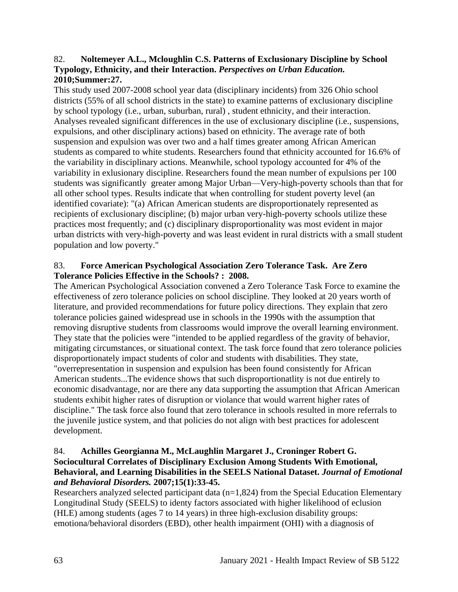#### 82. **Noltemeyer A.L., Mcloughlin C.S. Patterns of Exclusionary Discipline by School Typology, Ethnicity, and their Interaction.** *Perspectives on Urban Education.*  **2010;Summer:27.**

This study used 2007-2008 school year data (disciplinary incidents) from 326 Ohio school districts (55% of all school districts in the state) to examine patterns of exclusionary discipline by school typology (i.e., urban, suburban, rural) , student ethnicity, and their interaction. Analyses revealed significant differences in the use of exclusionary discipline (i.e., suspensions, expulsions, and other disciplinary actions) based on ethnicity. The average rate of both suspension and expulsion was over two and a half times greater among African American students as compared to white students. Researchers found that ethnicity accounted for 16.6% of the variability in disciplinary actions. Meanwhile, school typology accounted for 4% of the variability in exlusionary discipline. Researchers found the mean number of expulsions per 100 students was significantly greater among Major Urban—Very-high-poverty schools than that for all other school types. Results indicate that when controlling for student poverty level (an identified covariate): "(a) African American students are disproportionately represented as recipients of exclusionary discipline; (b) major urban very-high-poverty schools utilize these practices most frequently; and (c) disciplinary disproportionality was most evident in major urban districts with very-high-poverty and was least evident in rural districts with a small student population and low poverty."

#### 83. **Force American Psychological Association Zero Tolerance Task. Are Zero Tolerance Policies Effective in the Schools? : 2008.**

The American Psychological Association convened a Zero Tolerance Task Force to examine the effectiveness of zero tolerance policies on school discipline. They looked at 20 years worth of literature, and provided recommendations for future policy directions. They explain that zero tolerance policies gained widespread use in schools in the 1990s with the assumption that removing disruptive students from classrooms would improve the overall learning environment. They state that the policies were "intended to be applied regardless of the gravity of behavior, mitigating circumstances, or situational context. The task force found that zero tolerance policies disproportionately impact students of color and students with disabilities. They state, "overrepresentation in suspension and expulsion has been found consistently for African American students...The evidence shows that such disproportionatlity is not due entirely to economic disadvantage, nor are there any data supporting the assumption that African American students exhibit higher rates of disruption or violance that would warrent higher rates of discipline." The task force also found that zero tolerance in schools resulted in more referrals to the juvenile justice system, and that policies do not align with best practices for adolescent development.

### 84. **Achilles Georgianna M., McLaughlin Margaret J., Croninger Robert G. Sociocultural Correlates of Disciplinary Exclusion Among Students With Emotional, Behavioral, and Learning Disabilities in the SEELS National Dataset.** *Journal of Emotional and Behavioral Disorders.* **2007;15(1):33-45.**

Researchers analyzed selected participant data (n=1,824) from the Special Education Elementary Longitudinal Study (SEELS) to identy factors associated with higher likelihood of eclusion (HLE) among students (ages 7 to 14 years) in three high-exclusion disability groups: emotiona/behavioral disorders (EBD), other health impairment (OHI) with a diagnosis of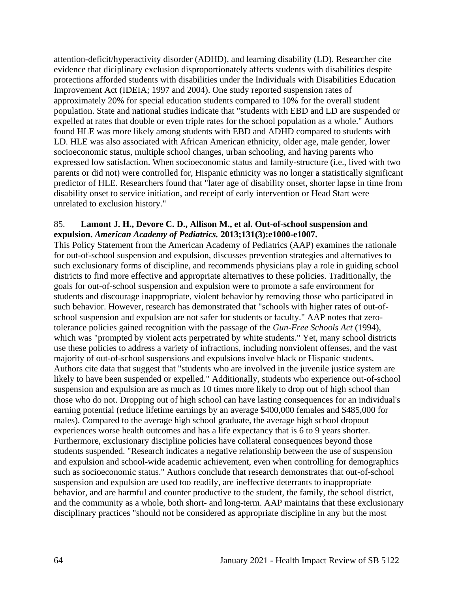attention-deficit/hyperactivity disorder (ADHD), and learning disability (LD). Researcher cite evidence that diciplinary exclusion disproportionately affects students with disabilities despite protections afforded students with disabilities under the Individuals with Disabilities Education Improvement Act (IDEIA; 1997 and 2004). One study reported suspension rates of approximately 20% for special education students compared to 10% for the overall student population. State and national studies indicate that "students with EBD and LD are suspended or expelled at rates that double or even triple rates for the school population as a whole." Authors found HLE was more likely among students with EBD and ADHD compared to students with LD. HLE was also associated with African American ethnicity, older age, male gender, lower socioeconomic status, multiple school changes, urban schooling, and having parents who expressed low satisfaction. When socioeconomic status and family-structure (i.e., lived with two parents or did not) were controlled for, Hispanic ethnicity was no longer a statistically significant predictor of HLE. Researchers found that "later age of disability onset, shorter lapse in time from disability onset to service initiation, and receipt of early intervention or Head Start were unrelated to exclusion history."

#### 85. **Lamont J. H., Devore C. D., Allison M., et al. Out-of-school suspension and expulsion.** *American Academy of Pediatrics.* **2013;131(3):e1000-e1007.**

This Policy Statement from the American Academy of Pediatrics (AAP) examines the rationale for out-of-school suspension and expulsion, discusses prevention strategies and alternatives to such exclusionary forms of discipline, and recommends physicians play a role in guiding school districts to find more effective and appropriate alternatives to these policies. Traditionally, the goals for out-of-school suspension and expulsion were to promote a safe environment for students and discourage inappropriate, violent behavior by removing those who participated in such behavior. However, research has demonstrated that "schools with higher rates of out-ofschool suspension and expulsion are not safer for students or faculty." AAP notes that zerotolerance policies gained recognition with the passage of the *Gun-Free Schools Act* (1994), which was "prompted by violent acts perpetrated by white students." Yet, many school districts use these policies to address a variety of infractions, including nonviolent offenses, and the vast majority of out-of-school suspensions and expulsions involve black or Hispanic students. Authors cite data that suggest that "students who are involved in the juvenile justice system are likely to have been suspended or expelled." Additionally, students who experience out-of-school suspension and expulsion are as much as 10 times more likely to drop out of high school than those who do not. Dropping out of high school can have lasting consequences for an individual's earning potential (reduce lifetime earnings by an average \$400,000 females and \$485,000 for males). Compared to the average high school graduate, the average high school dropout experiences worse health outcomes and has a life expectancy that is 6 to 9 years shorter. Furthermore, exclusionary discipline policies have collateral consequences beyond those students suspended. "Research indicates a negative relationship between the use of suspension and expulsion and school-wide academic achievement, even when controlling for demographics such as socioeconomic status." Authors conclude that research demonstrates that out-of-school suspension and expulsion are used too readily, are ineffective deterrants to inappropriate behavior, and are harmful and counter productive to the student, the family, the school district, and the community as a whole, both short- and long-term. AAP maintains that these exclusionary disciplinary practices "should not be considered as appropriate discipline in any but the most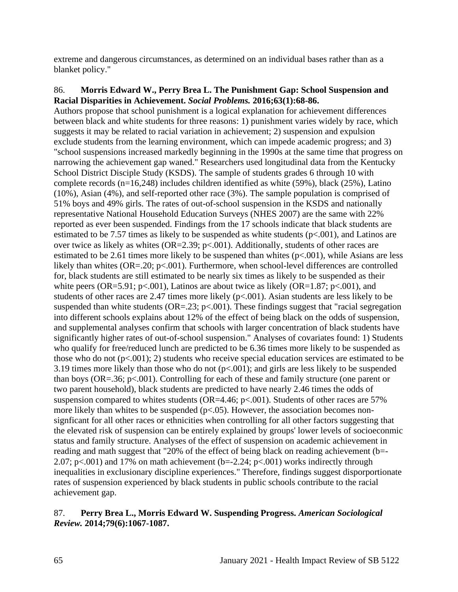extreme and dangerous circumstances, as determined on an individual bases rather than as a blanket policy."

#### 86. **Morris Edward W., Perry Brea L. The Punishment Gap: School Suspension and Racial Disparities in Achievement.** *Social Problems.* **2016;63(1):68-86.**

Authors propose that school punishment is a logical explanation for achievement differences between black and white students for three reasons: 1) punishment varies widely by race, which suggests it may be related to racial variation in achievement; 2) suspension and expulsion exclude students from the learning environment, which can impede academic progress; and 3) "school suspensions increased markedly beginning in the 1990s at the same time that progress on narrowing the achievement gap waned." Researchers used longitudinal data from the Kentucky School District Disciple Study (KSDS). The sample of students grades 6 through 10 with complete records (n=16,248) includes children identified as white (59%), black (25%), Latino (10%), Asian (4%), and self-reported other race (3%). The sample population is comprised of 51% boys and 49% girls. The rates of out-of-school suspension in the KSDS and nationally representative National Household Education Surveys (NHES 2007) are the same with 22% reported as ever been suspended. Findings from the 17 schools indicate that black students are estimated to be 7.57 times as likely to be suspended as white students  $(p<.001)$ , and Latinos are over twice as likely as whites (OR=2.39;  $p<.001$ ). Additionally, students of other races are estimated to be 2.61 times more likely to be suspened than whites  $(p<.001)$ , while Asians are less likely than whites (OR=.20; p<.001). Furthermore, when school-level differences are controlled for, black students are still estimated to be nearly six times as likely to be suspended as their white peers (OR=5.91; p<.001), Latinos are about twice as likely (OR=1.87; p<.001), and students of other races are 2.47 times more likely  $(p<.001)$ . Asian students are less likely to be suspended than white students ( $OR = .23$ ;  $p < .001$ ). These findings suggest that "racial segregation" into different schools explains about 12% of the effect of being black on the odds of suspension, and supplemental analyses confirm that schools with larger concentration of black students have significantly higher rates of out-of-school suspension." Analyses of covariates found: 1) Students who qualify for free/reduced lunch are predicted to be 6.36 times more likely to be suspended as those who do not  $(p<.001)$ ; 2) students who receive special education services are estimated to be 3.19 times more likely than those who do not (p<.001); and girls are less likely to be suspended than boys (OR=.36; p<.001). Controlling for each of these and family structure (one parent or two parent household), black students are predicted to have nearly 2.46 times the odds of suspension compared to whites students (OR=4.46;  $p<.001$ ). Students of other races are 57% more likely than whites to be suspended  $(p<0.05)$ . However, the association becomes nonsignficant for all other races or ethnicities when controlling for all other factors suggesting that the elevated risk of suspension can be entirely explained by groups' lower levels of socioeconmic status and family structure. Analyses of the effect of suspension on academic achievement in reading and math suggest that "20% of the effect of being black on reading achievement (b=- 2.07; p $\lt$ .001) and 17% on math achievement (b=-2.24; p $\lt$ .001) works indirectly through inequalities in exclusionary discipline experiences." Therefore, findings suggest disporportionate rates of suspension experienced by black students in public schools contribute to the racial achievement gap.

#### 87. **Perry Brea L., Morris Edward W. Suspending Progress.** *American Sociological Review.* **2014;79(6):1067-1087.**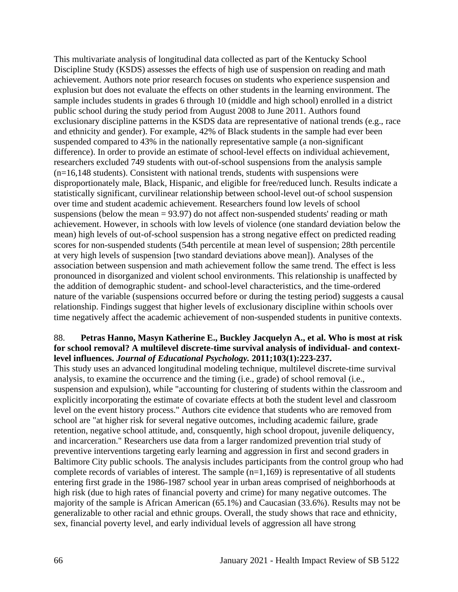This multivariate analysis of longitudinal data collected as part of the Kentucky School Discipline Study (KSDS) assesses the effects of high use of suspension on reading and math achievement. Authors note prior research focuses on students who experience suspension and explusion but does not evaluate the effects on other students in the learning environment. The sample includes students in grades 6 through 10 (middle and high school) enrolled in a district public school during the study period from August 2008 to June 2011. Authors found exclusionary discipline patterns in the KSDS data are representative of national trends (e.g., race and ethnicity and gender). For example, 42% of Black students in the sample had ever been suspended compared to 43% in the nationally representative sample (a non-significant difference). In order to provide an estimate of school-level effects on individual achievement, researchers excluded 749 students with out-of-school suspensions from the analysis sample (n=16,148 students). Consistent with national trends, students with suspensions were disproportionately male, Black, Hispanic, and eligible for free/reduced lunch. Results indicate a statistically significant, curvilinear relationship between school-level out-of school suspension over time and student academic achievement. Researchers found low levels of school suspensions (below the mean = 93.97) do not affect non-suspended students' reading or math achievement. However, in schools with low levels of violence (one standard deviation below the mean) high levels of out-of-school suspension has a strong negative effect on predicted reading scores for non-suspended students (54th percentile at mean level of suspension; 28th percentile at very high levels of suspension [two standard deviations above mean]). Analyses of the association between suspension and math achievement follow the same trend. The effect is less pronounced in disorganized and violent school environments. This relationship is unaffected by the addition of demographic student- and school-level characteristics, and the time-ordered nature of the variable (suspensions occurred before or during the testing period) suggests a causal relationship. Findings suggest that higher levels of exclusionary discipline within schools over time negatively affect the academic achievement of non-suspended students in punitive contexts.

#### 88. **Petras Hanno, Masyn Katherine E., Buckley Jacquelyn A., et al. Who is most at risk for school removal? A multilevel discrete-time survival analysis of individual- and contextlevel influences.** *Journal of Educational Psychology.* **2011;103(1):223-237.**

This study uses an advanced longitudinal modeling technique, multilevel discrete-time survival analysis, to examine the occurrence and the timing (i.e., grade) of school removal (i.e., suspension and expulsion), while "accounting for clustering of students within the classroom and explicitly incorporating the estimate of covariate effects at both the student level and classroom level on the event history process." Authors cite evidence that students who are removed from school are "at higher risk for several negative outcomes, including academic failure, grade retention, negative school attitude, and, consquently, high school dropout, juvenile deliquency, and incarceration." Researchers use data from a larger randomized prevention trial study of preventive interventions targeting early learning and aggression in first and second graders in Baltimore City public schools. The analysis includes participants from the control group who had complete records of variables of interest. The sample (n=1,169) is representative of all students entering first grade in the 1986-1987 school year in urban areas comprised of neighborhoods at high risk (due to high rates of financial poverty and crime) for many negative outcomes. The majority of the sample is African American (65.1%) and Caucasian (33.6%). Results may not be generalizable to other racial and ethnic groups. Overall, the study shows that race and ethnicity, sex, financial poverty level, and early individual levels of aggression all have strong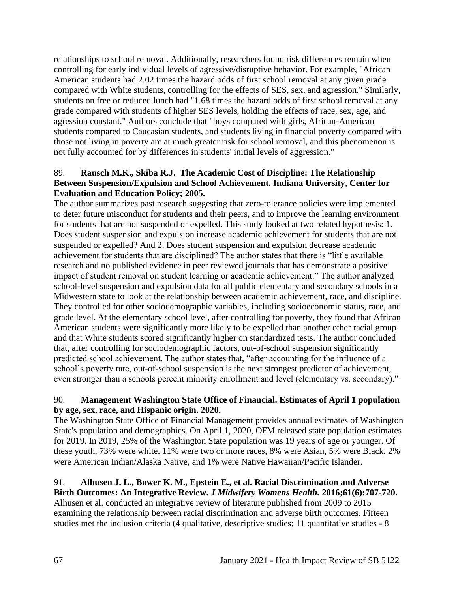relationships to school removal. Additionally, researchers found risk differences remain when controlling for early individual levels of agressive/disruptive behavior. For example, "African American students had 2.02 times the hazard odds of first school removal at any given grade compared with White students, controlling for the effects of SES, sex, and agression." Similarly, students on free or reduced lunch had "1.68 times the hazard odds of first school removal at any grade compared with students of higher SES levels, holding the effects of race, sex, age, and agression constant." Authors conclude that "boys compared with girls, African-American students compared to Caucasian students, and students living in financial poverty compared with those not living in poverty are at much greater risk for school removal, and this phenomenon is not fully accounted for by differences in students' initial levels of aggression."

# 89. **Rausch M.K., Skiba R.J. The Academic Cost of Discipline: The Relationship Between Suspension/Expulsion and School Achievement. Indiana University, Center for Evaluation and Education Policy; 2005.**

The author summarizes past research suggesting that zero-tolerance policies were implemented to deter future misconduct for students and their peers, and to improve the learning environment for students that are not suspended or expelled. This study looked at two related hypothesis: 1. Does student suspension and expulsion increase academic achievement for students that are not suspended or expelled? And 2. Does student suspension and expulsion decrease academic achievement for students that are disciplined? The author states that there is "little available research and no published evidence in peer reviewed journals that has demonstrate a positive impact of student removal on student learning or academic achievement." The author analyzed school-level suspension and expulsion data for all public elementary and secondary schools in a Midwestern state to look at the relationship between academic achievement, race, and discipline. They controlled for other sociodemographic variables, including socioeconomic status, race, and grade level. At the elementary school level, after controlling for poverty, they found that African American students were significantly more likely to be expelled than another other racial group and that White students scored significantly higher on standardized tests. The author concluded that, after controlling for sociodemographic factors, out-of-school suspension significantly predicted school achievement. The author states that, "after accounting for the influence of a school's poverty rate, out-of-school suspension is the next strongest predictor of achievement, even stronger than a schools percent minority enrollment and level (elementary vs. secondary)."

### 90. **Management Washington State Office of Financial. Estimates of April 1 population by age, sex, race, and Hispanic origin. 2020.**

The Washington State Office of Financial Management provides annual estimates of Washington State's population and demographics. On April 1, 2020, OFM released state population estimates for 2019. In 2019, 25% of the Washington State population was 19 years of age or younger. Of these youth, 73% were white, 11% were two or more races, 8% were Asian, 5% were Black, 2% were American Indian/Alaska Native, and 1% were Native Hawaiian/Pacific Islander.

#### 91. **Alhusen J. L., Bower K. M., Epstein E., et al. Racial Discrimination and Adverse Birth Outcomes: An Integrative Review.** *J Midwifery Womens Health.* **2016;61(6):707-720.**

Alhusen et al. conducted an integrative review of literature published from 2009 to 2015 examining the relationship between racial discrimination and adverse birth outcomes. Fifteen studies met the inclusion criteria (4 qualitative, descriptive studies; 11 quantitative studies - 8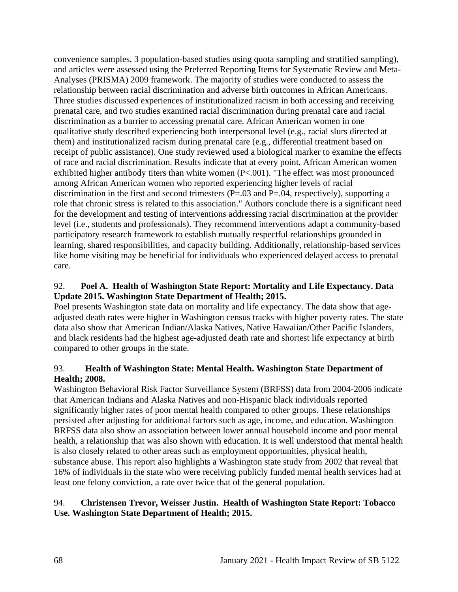convenience samples, 3 population-based studies using quota sampling and stratified sampling), and articles were assessed using the Preferred Reporting Items for Systematic Review and Meta-Analyses (PRISMA) 2009 framework. The majority of studies were conducted to assess the relationship between racial discrimination and adverse birth outcomes in African Americans. Three studies discussed experiences of institutionalized racism in both accessing and receiving prenatal care, and two studies examined racial discrimination during prenatal care and racial discrimination as a barrier to accessing prenatal care. African American women in one qualitative study described experiencing both interpersonal level (e.g., racial slurs directed at them) and institutionalized racism during prenatal care (e.g., differential treatment based on receipt of public assistance). One study reviewed used a biological marker to examine the effects of race and racial discrimination. Results indicate that at every point, African American women exhibited higher antibody titers than white women (P<.001). "The effect was most pronounced among African American women who reported experiencing higher levels of racial discrimination in the first and second trimesters  $(P=.03$  and  $P=.04$ , respectively), supporting a role that chronic stress is related to this association." Authors conclude there is a significant need for the development and testing of interventions addressing racial discrimination at the provider level (i.e., students and professionals). They recommend interventions adapt a community-based participatory research framework to establish mutually respectful relationships grounded in learning, shared responsibilities, and capacity building. Additionally, relationship-based services like home visiting may be beneficial for individuals who experienced delayed access to prenatal care.

# 92. **Poel A. Health of Washington State Report: Mortality and Life Expectancy. Data Update 2015. Washington State Department of Health; 2015.**

Poel presents Washington state data on mortality and life expectancy. The data show that ageadjusted death rates were higher in Washington census tracks with higher poverty rates. The state data also show that American Indian/Alaska Natives, Native Hawaiian/Other Pacific Islanders, and black residents had the highest age-adjusted death rate and shortest life expectancy at birth compared to other groups in the state.

### 93. **Health of Washington State: Mental Health. Washington State Department of Health; 2008.**

Washington Behavioral Risk Factor Surveillance System (BRFSS) data from 2004-2006 indicate that American Indians and Alaska Natives and non-Hispanic black individuals reported significantly higher rates of poor mental health compared to other groups. These relationships persisted after adjusting for additional factors such as age, income, and education. Washington BRFSS data also show an association between lower annual household income and poor mental health, a relationship that was also shown with education. It is well understood that mental health is also closely related to other areas such as employment opportunities, physical health, substance abuse. This report also highlights a Washington state study from 2002 that reveal that 16% of individuals in the state who were receiving publicly funded mental health services had at least one felony conviction, a rate over twice that of the general population.

# 94. **Christensen Trevor, Weisser Justin. Health of Washington State Report: Tobacco Use. Washington State Department of Health; 2015.**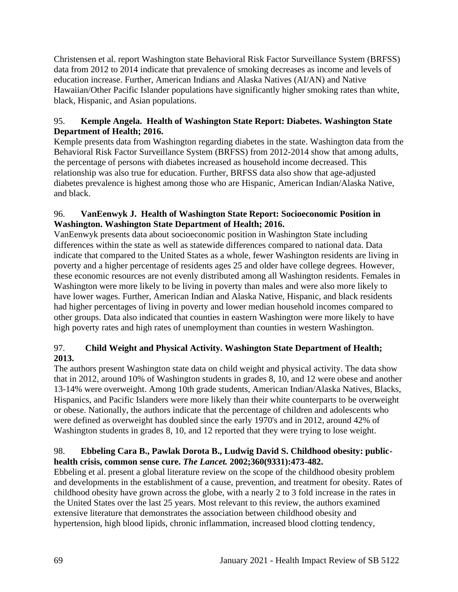Christensen et al. report Washington state Behavioral Risk Factor Surveillance System (BRFSS) data from 2012 to 2014 indicate that prevalence of smoking decreases as income and levels of education increase. Further, American Indians and Alaska Natives (AI/AN) and Native Hawaiian/Other Pacific Islander populations have significantly higher smoking rates than white, black, Hispanic, and Asian populations.

# 95. **Kemple Angela. Health of Washington State Report: Diabetes. Washington State Department of Health; 2016.**

Kemple presents data from Washington regarding diabetes in the state. Washington data from the Behavioral Risk Factor Surveillance System (BRFSS) from 2012-2014 show that among adults, the percentage of persons with diabetes increased as household income decreased. This relationship was also true for education. Further, BRFSS data also show that age-adjusted diabetes prevalence is highest among those who are Hispanic, American Indian/Alaska Native, and black.

# 96. **VanEenwyk J. Health of Washington State Report: Socioeconomic Position in Washington. Washington State Department of Health; 2016.**

VanEenwyk presents data about socioeconomic position in Washington State including differences within the state as well as statewide differences compared to national data. Data indicate that compared to the United States as a whole, fewer Washington residents are living in poverty and a higher percentage of residents ages 25 and older have college degrees. However, these economic resources are not evenly distributed among all Washington residents. Females in Washington were more likely to be living in poverty than males and were also more likely to have lower wages. Further, American Indian and Alaska Native, Hispanic, and black residents had higher percentages of living in poverty and lower median household incomes compared to other groups. Data also indicated that counties in eastern Washington were more likely to have high poverty rates and high rates of unemployment than counties in western Washington.

# 97. **Child Weight and Physical Activity. Washington State Department of Health; 2013.**

The authors present Washington state data on child weight and physical activity. The data show that in 2012, around 10% of Washington students in grades 8, 10, and 12 were obese and another 13-14% were overweight. Among 10th grade students, American Indian/Alaska Natives, Blacks, Hispanics, and Pacific Islanders were more likely than their white counterparts to be overweight or obese. Nationally, the authors indicate that the percentage of children and adolescents who were defined as overweight has doubled since the early 1970's and in 2012, around 42% of Washington students in grades 8, 10, and 12 reported that they were trying to lose weight.

# 98. **Ebbeling Cara B., Pawlak Dorota B., Ludwig David S. Childhood obesity: publichealth crisis, common sense cure.** *The Lancet.* **2002;360(9331):473-482.**

Ebbeling et al. present a global literature review on the scope of the childhood obesity problem and developments in the establishment of a cause, prevention, and treatment for obesity. Rates of childhood obesity have grown across the globe, with a nearly 2 to 3 fold increase in the rates in the United States over the last 25 years. Most relevant to this review, the authors examined extensive literature that demonstrates the association between childhood obesity and hypertension, high blood lipids, chronic inflammation, increased blood clotting tendency,